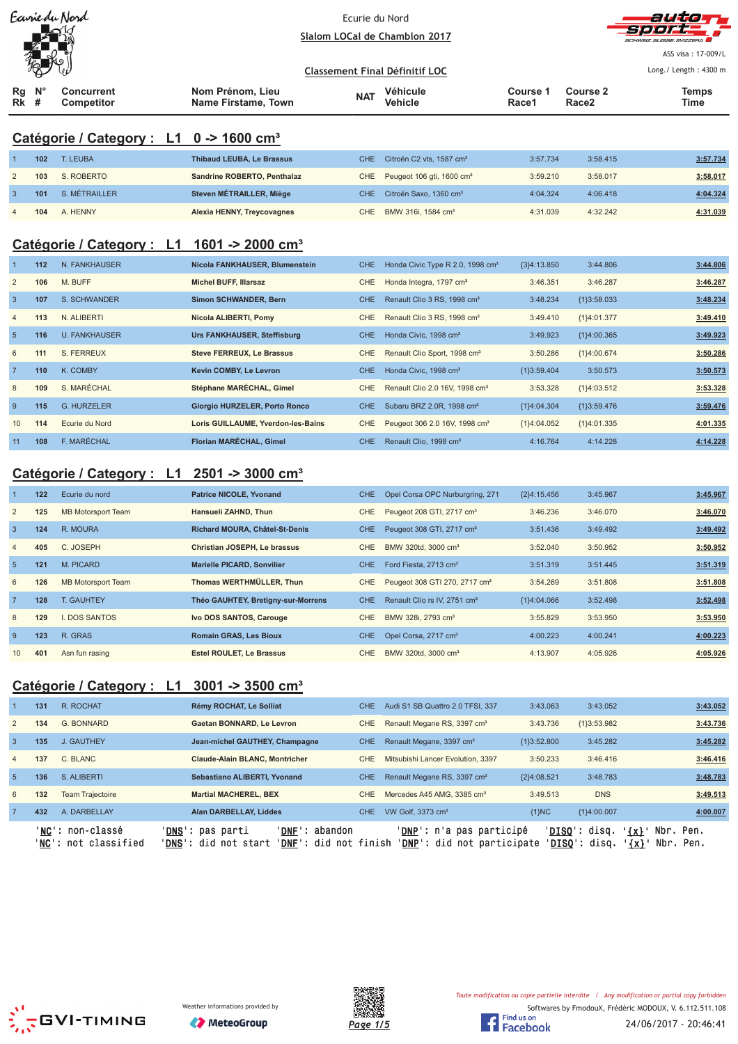| Earriedu Nord<br>$-\triangle$ |             |                                        |                                         | Ecurie du Nord                        | Slalom LOCal de Chamblon 2017 |                   | autorr<br>sport-<br>SCHWEIZ SUISSE SVIZZERA |                                                       |  |
|-------------------------------|-------------|----------------------------------------|-----------------------------------------|---------------------------------------|-------------------------------|-------------------|---------------------------------------------|-------------------------------------------------------|--|
|                               | 冤           |                                        |                                         | <b>Classement Final Définitif LOC</b> |                               |                   |                                             | ASS visa: 17-009/L<br>Long./ Length: $4300 \text{ m}$ |  |
| Rg<br>$Rk$ #                  | $N^{\circ}$ | <b>Concurrent</b><br><b>Competitor</b> | Nom Prénom, Lieu<br>Name Firstame, Town | <b>NAT</b>                            | Véhicule<br><b>Vehicle</b>    | Course 1<br>Race1 | Course 2<br>Race2                           | <b>Temps</b><br>Time                                  |  |

# **Catégorie / Category : L1 0 -> 1600 cm³**

|   | 102 | T. LEUBA      | <b>Thibaud LEUBA, Le Brassus</b> | CHE Citroën C2 vts. 1587 cm <sup>3</sup>  | 3:57.734 | 3:58.415 | 3:57.734 |
|---|-----|---------------|----------------------------------|-------------------------------------------|----------|----------|----------|
|   | 103 | S. ROBERTO    | Sandrine ROBERTO, Penthalaz      | CHE Peugeot 106 gti, 1600 cm <sup>3</sup> | 3:59.210 | 3:58.017 | 3:58.017 |
|   | 101 | S. MÉTRAILLER | Steven MÉTRAILLER, Miège         | CHE Citroën Saxo, 1360 cm <sup>3</sup>    | 4:04.324 | 4:06.418 | 4:04.324 |
| 4 | 104 | A. HENNY      | Alexia HENNY, Treycovagnes       | CHE BMW 316i, 1584 cm <sup>3</sup>        | 4:31.039 | 4:32.242 | 4:31.039 |

# **Catégorie / Category : L1 1601 -> 2000 cm³**

|                 | $112$ | N. FANKHAUSER        | Nicola FANKHAUSER, Blumenstein     | CHE.       | Honda Civic Type R 2.0, 1998 cm <sup>3</sup> | ${3}4:13.850$ | 3:44.806      | 3:44.806 |
|-----------------|-------|----------------------|------------------------------------|------------|----------------------------------------------|---------------|---------------|----------|
| $\overline{2}$  | 106   | M. BUFF              | <b>Michel BUFF, Illarsaz</b>       | CHE        | Honda Integra, 1797 cm <sup>3</sup>          | 3:46.351      | 3:46.287      | 3:46.287 |
| $\overline{3}$  | 107   | S. SCHWANDER         | <b>Simon SCHWANDER, Bern</b>       | <b>CHE</b> | Renault Clio 3 RS, 1998 cm <sup>3</sup>      | 3:48.234      | ${13:58.033}$ | 3:48.234 |
| $\overline{4}$  | 113   | N. ALIBERTI          | Nicola ALIBERTI, Pomy              | CHE        | Renault Clio 3 RS, 1998 cm <sup>3</sup>      | 3:49.410      | {1}4:01.377   | 3:49.410 |
| 5               | 116   | <b>U. FANKHAUSER</b> | Urs FANKHAUSER, Steffisburg        | <b>CHE</b> | Honda Civic, 1998 cm <sup>3</sup>            | 3:49.923      | ${1}4:00.365$ | 3:49.923 |
| 6               | 111   | S. FERREUX           | <b>Steve FERREUX, Le Brassus</b>   | <b>CHE</b> | Renault Clio Sport, 1998 cm <sup>3</sup>     | 3:50.286      | ${1}4:00.674$ | 3:50.286 |
| $\overline{7}$  | 110   | K. COMBY             | Kevin COMBY, Le Levron             | CHE.       | Honda Civic, 1998 cm <sup>3</sup>            | ${13:59.404}$ | 3:50.573      | 3:50.573 |
| 8               | 109   | S. MARÉCHAL          | Stéphane MARÉCHAL, Gimel           | <b>CHE</b> | Renault Clio 2.0 16V, 1998 cm <sup>3</sup>   | 3:53.328      | {1}4:03.512   | 3:53.328 |
| 9               | 115   | <b>G. HURZELER</b>   | Giorgio HURZELER, Porto Ronco      | <b>CHE</b> | Subaru BRZ 2.0R, 1998 cm <sup>3</sup>        | ${1}4:04.304$ | ${13:59.476}$ | 3:59.476 |
| 10 <sup>2</sup> | 114   | Ecurie du Nord       | Loris GUILLAUME, Yverdon-les-Bains | <b>CHE</b> | Peugeot 306 2.0 16V, 1998 cm <sup>3</sup>    | ${1}4:04.052$ | ${1}4:01.335$ | 4:01.335 |
| 11              | 108   | F. MARÉCHAL          | Florian MARÉCHAL, Gimel            | <b>CHE</b> | Renault Clio, 1998 cm <sup>3</sup>           | 4:16.764      | 4:14.228      | 4:14.228 |

# **Catégorie / Category : L1 2501 -> 3000 cm³**

|                | 122 | Ecurie du nord            | <b>Patrice NICOLE, Yvonand</b>     | <b>CHE</b> | Opel Corsa OPC Nurburgring, 271           | ${2}4:15.456$ | 3:45.967 | 3:45.967 |
|----------------|-----|---------------------------|------------------------------------|------------|-------------------------------------------|---------------|----------|----------|
| $\overline{2}$ | 125 | <b>MB Motorsport Team</b> | Hansueli ZAHND, Thun               | CHE.       | Peugeot 208 GTI, 2717 cm <sup>3</sup>     | 3:46.236      | 3:46.070 | 3:46.070 |
| $\overline{3}$ | 124 | R. MOURA                  | Richard MOURA, Châtel-St-Denis     | <b>CHE</b> | Peugeot 308 GTI, 2717 cm <sup>3</sup>     | 3:51.436      | 3:49.492 | 3:49.492 |
| $\overline{4}$ | 405 | C. JOSEPH                 | Christian JOSEPH, Le brassus       | CHE.       | BMW 320td, 3000 cm <sup>3</sup>           | 3:52.040      | 3:50.952 | 3:50.952 |
| 5              | 121 | M. PICARD                 | <b>Marielle PICARD, Sonvilier</b>  | CHE.       | Ford Fiesta, 2713 cm <sup>3</sup>         | 3:51.319      | 3:51.445 | 3:51.319 |
| 6              | 126 | <b>MB Motorsport Team</b> | Thomas WERTHMÜLLER, Thun           | CHE.       | Peugeot 308 GTI 270, 2717 cm <sup>3</sup> | 3:54.269      | 3:51.808 | 3:51.808 |
| $\overline{7}$ | 128 | <b>T. GAUHTEY</b>         | Théo GAUHTEY, Bretigny-sur-Morrens | CHE.       | Renault Clio rs IV, 2751 cm <sup>3</sup>  | ${1}4:04.066$ | 3:52.498 | 3:52.498 |
| 8              | 129 | <b>I. DOS SANTOS</b>      | Ivo DOS SANTOS, Carouge            | CHE.       | BMW 328i, 2793 cm <sup>3</sup>            | 3:55.829      | 3:53.950 | 3:53.950 |
| 9              | 123 | R. GRAS                   | <b>Romain GRAS, Les Bioux</b>      | <b>CHE</b> | Opel Corsa, 2717 cm <sup>3</sup>          | 4:00.223      | 4:00.241 | 4:00.223 |
| 10             | 401 | Asn fun rasing            | <b>Estel ROULET. Le Brassus</b>    | CHE.       | BMW 320td, 3000 cm <sup>3</sup>           | 4:13.907      | 4:05.926 | 4:05.926 |

# **Catégorie / Category : L1 3001 -> 3500 cm³**

|                | 131 | R. ROCHAT                                | Rémy ROCHAT, Le Solliat                                                                              | <b>CHE</b> | Audi S1 SB Quattro 2.0 TFSI, 337                                         | 3:43.063      | 3:43.052                        | 3:43.052                                         |
|----------------|-----|------------------------------------------|------------------------------------------------------------------------------------------------------|------------|--------------------------------------------------------------------------|---------------|---------------------------------|--------------------------------------------------|
| $\overline{2}$ | 134 | G. BONNARD                               | Gaetan BONNARD, Le Levron                                                                            | CHE        | Renault Megane RS, 3397 cm <sup>3</sup>                                  | 3:43.736      | ${1}3:53.982$                   | 3:43.736                                         |
| $\overline{3}$ | 135 | J. GAUTHEY                               | Jean-michel GAUTHEY, Champagne                                                                       | <b>CHE</b> | Renault Megane, 3397 cm <sup>3</sup>                                     | ${13:52.800}$ | 3:45.282                        | 3:45.282                                         |
| $\overline{4}$ | 137 | C. BLANC                                 | <b>Claude-Alain BLANC, Montricher</b>                                                                | CHE        | Mitsubishi Lancer Evolution, 3397                                        | 3:50.233      | 3:46.416                        | 3:46.416                                         |
| 5              | 136 | S. ALIBERTI                              | Sebastiano ALIBERTI, Yvonand                                                                         | <b>CHE</b> | Renault Megane RS, 3397 cm <sup>3</sup>                                  | {2}4:08.521   | 3:48.783                        | 3:48.783                                         |
| 6              | 132 | <b>Team Trajectoire</b>                  | <b>Martial MACHEREL, BEX</b>                                                                         | CHE        | Mercedes A45 AMG, 3385 cm <sup>3</sup>                                   | 3:49.513      | <b>DNS</b>                      | 3:49.513                                         |
| 7              | 432 | A. DARBELLAY                             | <b>Alan DARBELLAY, Liddes</b>                                                                        | CHE.       | VW Golf, 3373 cm <sup>3</sup>                                            | ${1}NC$       | {1}4:00.007                     | 4:00.007                                         |
|                |     | 'NC': non-classé<br>'NC': not classified | ' <b>DNS</b> ': pas parti<br>'DNF': abandon<br>' <b>DNS':</b> did not start<br>'DNF': did not finish |            | ' <b>DNP</b> ': n'a pas participé<br>' <b>DNP</b> ': did not participate | 'DISO':       | ' <b>DISO</b> ': disq.<br>disq. | Nbr. Pen.<br>$'$ {x} $'$<br>$\{x\}$<br>Nbr. Pen. |





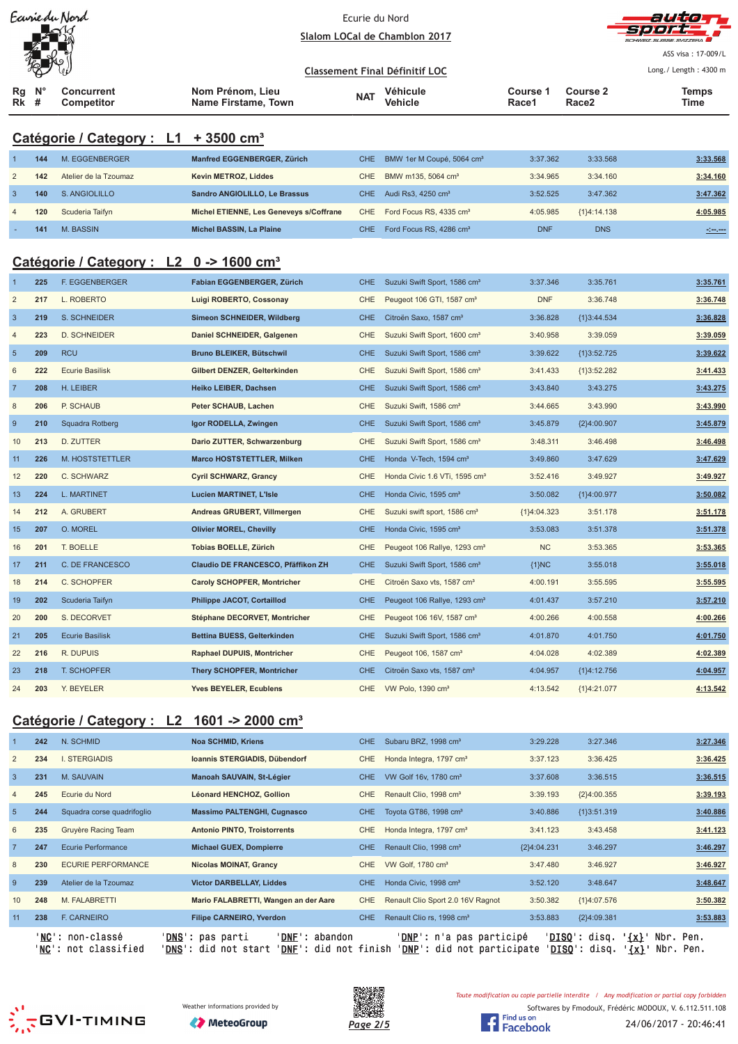|                                                     |                                                        | Earrie du Nord                                   |                                                | Ecurie du Nord | Slalom LOCal de Chamblon 2017             |                          |                               | auta<br><b>CHWEIZ SUISSE SVIZZERA</b>                                                                                 |  |  |  |
|-----------------------------------------------------|--------------------------------------------------------|--------------------------------------------------|------------------------------------------------|----------------|-------------------------------------------|--------------------------|-------------------------------|-----------------------------------------------------------------------------------------------------------------------|--|--|--|
|                                                     |                                                        |                                                  |                                                |                |                                           |                          |                               | ASS visa: 17-009/L                                                                                                    |  |  |  |
|                                                     |                                                        |                                                  |                                                |                | <b>Classement Final Définitif LOC</b>     |                          |                               | Long./ Length: 4300 m                                                                                                 |  |  |  |
| Rg<br>Rk                                            | #                                                      | Concurrent<br>Competitor                         | Nom Prénom, Lieu<br><b>Name Firstame, Town</b> | <b>NAT</b>     | Véhicule<br>Vehicle                       | <b>Course 1</b><br>Race1 | Course 2<br>Race <sub>2</sub> | <b>Temps</b><br>Time                                                                                                  |  |  |  |
|                                                     |                                                        | Catégorie / Category : L1 + 3500 cm <sup>3</sup> |                                                |                |                                           |                          |                               |                                                                                                                       |  |  |  |
| -1                                                  | 144                                                    | M. EGGENBERGER                                   | Manfred EGGENBERGER, Zürich                    | <b>CHE</b>     | BMW 1er M Coupé, 5064 cm <sup>3</sup>     | 3:37.362                 | 3:33.568                      | 3:33.568                                                                                                              |  |  |  |
| $\overline{2}$                                      | 142                                                    | Atelier de la Tzoumaz                            | Kevin METROZ, Liddes                           | <b>CHE</b>     | BMW m135, 5064 cm <sup>3</sup>            | 3:34.965                 | 3:34.160                      | 3:34.160                                                                                                              |  |  |  |
| $\overline{3}$                                      | 140                                                    | S. ANGIOLILLO                                    | Sandro ANGIOLILLO, Le Brassus                  | <b>CHE</b>     | Audi Rs3, 4250 cm <sup>3</sup>            | 3:52.525                 | 3:47.362                      | 3:47.362                                                                                                              |  |  |  |
| $\overline{4}$                                      | 120                                                    | Scuderia Taifyn                                  | Michel ETIENNE, Les Geneveys s/Coffrane        | <b>CHE</b>     | Ford Focus RS, 4335 cm <sup>3</sup>       | 4:05.985                 | ${1}4:14.138$                 | 4:05.985                                                                                                              |  |  |  |
|                                                     | 141                                                    | M. BASSIN                                        | Michel BASSIN, La Plaine                       | <b>CHE</b>     | Ford Focus RS, 4286 cm <sup>3</sup>       | <b>DNF</b>               | <b>DNS</b>                    | <u> - 100 - 100 - 100 - 100 - 100 - 100 - 100 - 100 - 100 - 100 - 100 - 100 - 100 - 100 - 100 - 100 - 100 - 100 -</u> |  |  |  |
| Catégorie / Category : L2 0 -> 1600 cm <sup>3</sup> |                                                        |                                                  |                                                |                |                                           |                          |                               |                                                                                                                       |  |  |  |
| -1                                                  | 225                                                    | <b>F. EGGENBERGER</b>                            | Fabian EGGENBERGER, Zürich                     | <b>CHE</b>     | Suzuki Swift Sport, 1586 cm <sup>3</sup>  | 3:37.346                 | 3:35.761                      | 3:35.761                                                                                                              |  |  |  |
| $\overline{2}$                                      | 217                                                    | L. ROBERTO                                       | Luigi ROBERTO, Cossonay                        | CHE            | Peugeot 106 GTI, 1587 cm <sup>3</sup>     | <b>DNF</b>               | 3:36.748                      | 3:36.748                                                                                                              |  |  |  |
| $\overline{3}$                                      | 219                                                    | S. SCHNEIDER                                     | Simeon SCHNEIDER, Wildberg                     | <b>CHE</b>     | Citroën Saxo, 1587 cm <sup>3</sup>        | 3:36.828                 | ${1}3:44.534$                 | 3:36.828                                                                                                              |  |  |  |
| $\overline{4}$                                      | 223                                                    | D. SCHNEIDER                                     | Daniel SCHNEIDER, Galgenen                     | CHE            | Suzuki Swift Sport, 1600 cm <sup>3</sup>  | 3:40.958                 | 3:39.059                      | 3:39.059                                                                                                              |  |  |  |
| $\overline{5}$                                      | 209                                                    | <b>RCU</b>                                       | Bruno BLEIKER, Bütschwil                       | <b>CHE</b>     | Suzuki Swift Sport, 1586 cm <sup>3</sup>  | 3:39.622                 | ${1}3:52.725$                 | 3:39.622                                                                                                              |  |  |  |
| $\,6\,$                                             | 222                                                    | <b>Ecurie Basilisk</b>                           | Gilbert DENZER, Gelterkinden                   | <b>CHE</b>     | Suzuki Swift Sport, 1586 cm <sup>3</sup>  | 3:41.433                 | ${1}3:52.282$                 | 3:41.433                                                                                                              |  |  |  |
| $\overline{7}$                                      | 208                                                    | H. LEIBER                                        | Heiko LEIBER, Dachsen                          | <b>CHE</b>     | Suzuki Swift Sport, 1586 cm <sup>3</sup>  | 3:43.840                 | 3:43.275                      | 3:43.275                                                                                                              |  |  |  |
| 8                                                   | 206                                                    | P. SCHAUB                                        | Peter SCHAUB, Lachen                           | <b>CHE</b>     | Suzuki Swift, 1586 cm <sup>3</sup>        | 3:44.665                 | 3:43.990                      | 3:43.990                                                                                                              |  |  |  |
| $\overline{9}$                                      | 210                                                    | Squadra Rotberg                                  | Igor RODELLA, Zwingen                          | <b>CHE</b>     | Suzuki Swift Sport, 1586 cm <sup>3</sup>  | 3:45.879                 | {2}4:00.907                   | 3:45.879                                                                                                              |  |  |  |
| 10                                                  | 213                                                    | D. ZUTTER                                        | Dario ZUTTER, Schwarzenburg                    | <b>CHE</b>     | Suzuki Swift Sport, 1586 cm <sup>3</sup>  | 3:48.311                 | 3:46.498                      | 3:46.498                                                                                                              |  |  |  |
| 11                                                  | 226                                                    | M. HOSTSTETTLER                                  | <b>Marco HOSTSTETTLER, Milken</b>              | <b>CHE</b>     | Honda V-Tech, 1594 cm <sup>3</sup>        | 3:49.860                 | 3:47.629                      | 3:47.629                                                                                                              |  |  |  |
| 12                                                  | 220                                                    | C. SCHWARZ                                       | <b>Cyril SCHWARZ, Grancy</b>                   | <b>CHE</b>     | Honda Civic 1.6 VTi, 1595 cm <sup>3</sup> | 3:52.416                 | 3:49.927                      | 3:49.927                                                                                                              |  |  |  |
| 13                                                  | 224                                                    | L. MARTINET                                      | <b>Lucien MARTINET, L'Isle</b>                 | <b>CHE</b>     | Honda Civic, 1595 cm <sup>3</sup>         | 3:50.082                 | ${1}4:00.977$                 | 3:50.082                                                                                                              |  |  |  |
| 14                                                  | 212                                                    | A. GRUBERT                                       | Andreas GRUBERT, Villmergen                    | <b>CHE</b>     | Suzuki swift sport, 1586 cm <sup>3</sup>  | ${1}3.04.323$            | 3:51.178                      | 3:51.178                                                                                                              |  |  |  |
| 15                                                  | 207                                                    | O. MOREL                                         | <b>Olivier MOREL, Chevilly</b>                 | <b>CHE</b>     | Honda Civic, 1595 cm <sup>3</sup>         | 3:53.083                 | 3:51.378                      | 3:51.378                                                                                                              |  |  |  |
| 16                                                  | 201                                                    | T. BOELLE                                        | Tobias BOELLE, Zürich                          | <b>CHE</b>     | Peugeot 106 Rallye, 1293 cm <sup>3</sup>  | <b>NC</b>                | 3:53.365                      | 3:53.365                                                                                                              |  |  |  |
| 17                                                  | 211                                                    | C. DE FRANCESCO                                  | Claudio DE FRANCESCO, Pfäffikon ZH             | <b>CHE</b>     | Suzuki Swift Sport, 1586 cm <sup>3</sup>  | {1}NC                    | 3:55.018                      | 3:55.018                                                                                                              |  |  |  |
| 18                                                  | 214                                                    | C. SCHOPFER                                      | <b>Caroly SCHOPFER, Montricher</b>             | CHE            | Citroën Saxo vts, 1587 cm <sup>3</sup>    | 4:00.191                 | 3:55.595                      | 3:55.595                                                                                                              |  |  |  |
| 19                                                  | 202                                                    | Scuderia Taifyn                                  | Philippe JACOT, Cortaillod                     | <b>CHE</b>     | Peugeot 106 Rallye, 1293 cm <sup>3</sup>  | 4:01.437                 | 3:57.210                      | 3:57.210                                                                                                              |  |  |  |
| 20                                                  | 200                                                    | S. DECORVET                                      | Stéphane DECORVET, Montricher                  | CHE            | Peugeot 106 16V, 1587 cm <sup>3</sup>     | 4:00.266                 | 4:00.558                      | 4:00.266                                                                                                              |  |  |  |
| 21                                                  | 205                                                    | <b>Ecurie Basilisk</b>                           | Bettina BUESS, Gelterkinden                    | <b>CHE</b>     | Suzuki Swift Sport, 1586 cm <sup>3</sup>  | 4:01.870                 | 4:01.750                      | 4:01.750                                                                                                              |  |  |  |
| 22                                                  | 216                                                    | R. DUPUIS                                        | <b>Raphael DUPUIS, Montricher</b>              | <b>CHE</b>     | Peugeot 106, 1587 cm <sup>3</sup>         | 4:04.028                 | 4:02.389                      | 4:02.389                                                                                                              |  |  |  |
| 23                                                  | 218                                                    | <b>T. SCHOPFER</b>                               | <b>Thery SCHOPFER, Montricher</b>              | <b>CHE</b>     | Citroën Saxo vts, 1587 cm <sup>3</sup>    | 4:04.957                 | ${1}4:12.756$                 | 4:04.957                                                                                                              |  |  |  |
| 24                                                  | 203                                                    | Y. BEYELER                                       | <b>Yves BEYELER, Ecublens</b>                  | <b>CHE</b>     | VW Polo, 1390 cm <sup>3</sup>             | 4:13.542                 | ${1}4:21.077$                 | 4:13.542                                                                                                              |  |  |  |
|                                                     | Catégorie / Category : L2 1601 -> 2000 cm <sup>3</sup> |                                                  |                                                |                |                                           |                          |                               |                                                                                                                       |  |  |  |

|                 | 242 | N. SCHMID                                         | <b>Noa SCHMID, Kriens</b>                                                                                  | CHE.       | Subaru BRZ, 1998 cm <sup>3</sup>                                       | 3:29.228      | 3:27.346                                       | 3:27.346                                       |
|-----------------|-----|---------------------------------------------------|------------------------------------------------------------------------------------------------------------|------------|------------------------------------------------------------------------|---------------|------------------------------------------------|------------------------------------------------|
| $\overline{2}$  | 234 | <b>I. STERGIADIS</b>                              | Ioannis STERGIADIS, Dübendorf                                                                              | <b>CHE</b> | Honda Integra, 1797 cm <sup>3</sup>                                    | 3:37.123      | 3:36.425                                       | 3:36.425                                       |
| $\mathbf{3}$    | 231 | M. SAUVAIN                                        | Manoah SAUVAIN, St-Légier                                                                                  | <b>CHE</b> | VW Golf 16v, 1780 cm <sup>3</sup>                                      | 3:37.608      | 3:36.515                                       | 3:36.515                                       |
|                 | 245 | Ecurie du Nord                                    | Léonard HENCHOZ, Gollion                                                                                   | <b>CHE</b> | Renault Clio, 1998 cm <sup>3</sup>                                     | 3:39.193      | ${2}4:00.355$                                  | 3:39.193                                       |
| $5\overline{5}$ | 244 | Squadra corse quadrifoglio                        | <b>Massimo PALTENGHI, Cugnasco</b>                                                                         | CHE.       | Toyota GT86, 1998 cm <sup>3</sup>                                      | 3:40.886      | ${1}3:51.319$                                  | 3:40.886                                       |
| 6               | 235 | Gruyère Racing Team                               | <b>Antonio PINTO, Troistorrents</b>                                                                        | <b>CHE</b> | Honda Integra, 1797 cm <sup>3</sup>                                    | 3:41.123      | 3:43.458                                       | 3:41.123                                       |
|                 | 247 | Ecurie Performance                                | <b>Michael GUEX, Dompierre</b>                                                                             | CHE        | Renault Clio, 1998 cm <sup>3</sup>                                     | ${2}4:04.231$ | 3:46.297                                       | 3:46.297                                       |
| 8               | 230 | <b>ECURIE PERFORMANCE</b>                         | <b>Nicolas MOINAT, Grancy</b>                                                                              | CHE.       | VW Golf, 1780 cm <sup>3</sup>                                          | 3:47.480      | 3:46.927                                       | 3:46.927                                       |
| 9               | 239 | Atelier de la Tzoumaz                             | <b>Victor DARBELLAY, Liddes</b>                                                                            | CHE.       | Honda Civic, 1998 cm <sup>3</sup>                                      | 3:52.120      | 3:48.647                                       | 3:48.647                                       |
| 10              | 248 | M. FALABRETTI                                     | Mario FALABRETTI, Wangen an der Aare                                                                       | CHE.       | Renault Clio Sport 2.0 16V Ragnot                                      | 3:50.382      | ${1}4:07.576$                                  | 3:50.382                                       |
| 11              | 238 | <b>F. CARNEIRO</b>                                | <b>Filipe CARNEIRO, Yverdon</b>                                                                            | CHE.       | Renault Clio rs, 1998 cm <sup>3</sup>                                  | 3:53.883      | ${2}4:09.381$                                  | 3:53.883                                       |
|                 |     | ' <b>NC</b> ': non-classé<br>'NC': not classified | ' <b>DNS</b> ': pas parti<br>'DNF': abandon<br>'DNS'<br>' <b>DNF</b> ': did not finish<br>': did not start |            | ' <b>DNP</b> ': n'a pas participé<br><b>'DNP':</b> did not participate |               | ' <b>DISO':</b> disq.<br>' <b>DISQ':</b> disq. | $\{x\}$ .<br>Nbr. Pen.<br>$\{x\}$<br>Nbr. Pen. |





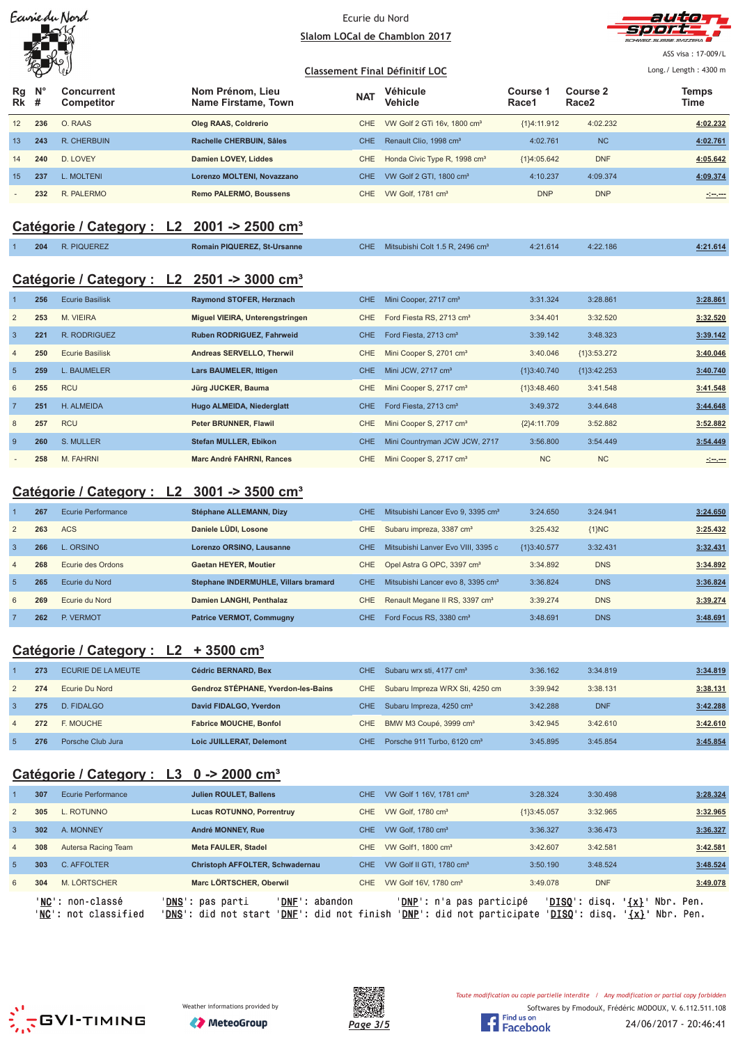## Ecurie du Nord <u>Slalom LOCal de Chamblon 2017</u>



ASS visa: 17-009/L

#### <u>**Classement Final Définitif LOC**</u> Long./ Length: 4300 m **Rg Rk N° # Concurrent Competitor Nom Prénom, Lieu Name Firstame, Town Véhicule Vehicle Course 1 Race1 Course 2 Race2 Temps NAT Vehicle The Course Figure 2 The Vehicle The Race 2 Time** 12 **236** O. RAAS **Oleg RAAS, Coldrerio** CHE VW Golf 2 GTi 16v, 1800 cm³ {1}4:11.912 4:02.232 **4:02.232** 13 **243** R. CHERBUIN **Rachelle CHERBUIN, Sâles** CHE Renault Clio, 1998 cm³ 4:02.761 NC **4:02.761** 14 **240** D. LOVEY **Damien LOVEY, Liddes** CHE Honda Civic Type R, 1998 cm<sup>3</sup> {1}4:05.642 DNF **4:05.642** 15 **237** L. MOLTENI **Lorenzo MOLTENI, Novazzano** CHE VW Golf 2 GTI, 1800 cm³ 4:10.237 4:09.374 **4:09.374** - **232** R. PALERMO **Remo PALERMO, Boussens** CHE VW Golf, 1781 cm³ DNP DNP **-:--.---**

# **Catégorie / Category : L2 2001 -> 2500 cm³**

|  | 204 | R. PIQUEREZ | <b>Romain PIQUEREZ, St-Ursanne</b> | <b>CHE</b> | Mitsubishi Colt 1.5 R, 2496 cm <sup>3</sup> | 4:21.614 | 4:22.186 | : 21.614 |
|--|-----|-------------|------------------------------------|------------|---------------------------------------------|----------|----------|----------|
|--|-----|-------------|------------------------------------|------------|---------------------------------------------|----------|----------|----------|

# **Catégorie / Category : L2 2501 -> 3000 cm³**

|                | 256 | <b>Ecurie Basilisk</b> | Raymond STOFER, Herznach        | CHE.       | Mini Cooper, 2717 cm <sup>3</sup>    | 3:31.324      | 3:28.861      | 3:28.861                                                                                                                           |
|----------------|-----|------------------------|---------------------------------|------------|--------------------------------------|---------------|---------------|------------------------------------------------------------------------------------------------------------------------------------|
| $\overline{2}$ | 253 | M. VIEIRA              | Miguel VIEIRA, Unterengstringen | CHE        | Ford Fiesta RS, 2713 cm <sup>3</sup> | 3:34.401      | 3:32.520      | 3:32.520                                                                                                                           |
| $\overline{3}$ | 221 | R. RODRIGUEZ           | Ruben RODRIGUEZ, Fahrweid       | <b>CHE</b> | Ford Fiesta, 2713 cm <sup>3</sup>    | 3:39.142      | 3:48.323      | 3:39.142                                                                                                                           |
| $\overline{4}$ | 250 | <b>Ecurie Basilisk</b> | Andreas SERVELLO, Therwil       | CHE.       | Mini Cooper S, 2701 cm <sup>3</sup>  | 3:40.046      | ${13:53.272}$ | 3:40.046                                                                                                                           |
| 5              | 259 | <b>L. BAUMELER</b>     | Lars BAUMELER, Ittigen          | CHE        | Mini JCW, 2717 cm <sup>3</sup>       | ${1}3:40.740$ | ${1}3:42.253$ | 3:40.740                                                                                                                           |
| 6              | 255 | <b>RCU</b>             | Jürg JUCKER, Bauma              | CHE        | Mini Cooper S, 2717 cm <sup>3</sup>  | ${1}3:48.460$ | 3:41.548      | 3:41.548                                                                                                                           |
| $\overline{7}$ | 251 | H. ALMEIDA             | Hugo ALMEIDA, Niederglatt       | <b>CHE</b> | Ford Fiesta, 2713 cm <sup>3</sup>    | 3:49.372      | 3:44.648      | 3:44.648                                                                                                                           |
| 8              | 257 | <b>RCU</b>             | Peter BRUNNER, Flawil           | CHE        | Mini Cooper S, 2717 cm <sup>3</sup>  | ${2}4:11.709$ | 3:52.882      | 3:52.882                                                                                                                           |
| -9             | 260 | S. MULLER              | <b>Stefan MULLER, Ebikon</b>    | <b>CHE</b> | Mini Countryman JCW JCW, 2717        | 3:56.800      | 3:54.449      | 3:54.449                                                                                                                           |
|                | 258 | M. FAHRNI              | Marc André FAHRNI, Rances       | CHE        | Mini Cooper S, 2717 cm <sup>3</sup>  | <b>NC</b>     | <b>NC</b>     | $\frac{1}{2} \left( \frac{1}{2} \frac{1}{2} \right) \left( \frac{1}{2} \frac{1}{2} \right) \left( \frac{1}{2} \frac{1}{2} \right)$ |

# **Catégorie / Category : L2 3001 -> 3500 cm³**

|                | 267 | Ecurie Performance | Stéphane ALLEMANN, Dizy              | <b>CHE</b> | Mitsubishi Lancer Evo 9, 3395 cm <sup>3</sup> | 3:24.650      | 3:24.941   | 3:24.650 |
|----------------|-----|--------------------|--------------------------------------|------------|-----------------------------------------------|---------------|------------|----------|
| 2              | 263 | <b>ACS</b>         | Daniele LÜDI, Losone                 | CHE        | Subaru impreza, 3387 cm <sup>3</sup>          | 3:25.432      | ${1}NC$    | 3:25.432 |
| 3              | 266 | ORSINO             | Lorenzo ORSINO, Lausanne             | <b>CHE</b> | Mitsubishi Lanver Evo VIII, 3395 c            | ${13:40.577}$ | 3:32.431   | 3:32.431 |
| $\overline{4}$ | 268 | Ecurie des Ordons  | <b>Gaetan HEYER, Moutier</b>         | CHE        | Opel Astra G OPC, 3397 cm <sup>3</sup>        | 3:34.892      | <b>DNS</b> | 3:34.892 |
| $\overline{5}$ | 265 | Ecurie du Nord     | Stephane INDERMUHLE, Villars bramard | CHE.       | Mitsubishi Lancer evo 8, 3395 cm <sup>3</sup> | 3:36.824      | <b>DNS</b> | 3:36.824 |
| 6              | 269 | Ecurie du Nord     | Damien LANGHI, Penthalaz             | CHE.       | Renault Megane II RS, 3397 cm <sup>3</sup>    | 3:39.274      | <b>DNS</b> | 3:39.274 |
|                | 262 | P. VERMOT          | <b>Patrice VERMOT, Commugny</b>      | CHE.       | Ford Focus RS, 3380 cm <sup>3</sup>           | 3:48.691      | <b>DNS</b> | 3:48.691 |

# **Catégorie / Category : L2 + 3500 cm³**

|                | 273 | ECURIE DE LA MEUTE | Cédric BERNARD, Bex                 | CHE Subaru wrx sti, 4177 cm <sup>3</sup>    | 3:36.162 | 3:34.819   | 3:34.819 |
|----------------|-----|--------------------|-------------------------------------|---------------------------------------------|----------|------------|----------|
| 2              | 274 | Ecurie Du Nord     | Gendroz STÉPHANE, Yverdon-les-Bains | CHE Subaru Impreza WRX Sti, 4250 cm         | 3:39.942 | 3:38.131   | 3:38.131 |
| 3              | 275 | D. FIDALGO         | David FIDALGO, Yverdon              | CHE Subaru Impreza, 4250 cm <sup>3</sup>    | 3:42.288 | <b>DNF</b> | 3:42.288 |
| $\overline{a}$ | 272 | F. MOUCHE          | <b>Fabrice MOUCHE, Bonfol</b>       | CHE BMW M3 Coupé, 3999 cm <sup>3</sup>      | 3:42.945 | 3:42.610   | 3:42.610 |
| -5             | 276 | Porsche Club Jura  | Loic JUILLERAT, Delemont            | CHE Porsche 911 Turbo, 6120 cm <sup>3</sup> | 3:45.895 | 3:45.854   | 3:45.854 |

# **Catégorie / Category : L3 0 -> 2000 cm³**

|                 | 307 | Ecurie Performance                      | <b>Julien ROULET, Ballens</b>                                                                                      | CHE. | VW Golf 1 16V, 1781 cm <sup>3</sup>                                      | 3:28.324                                | 3:30.498   | 3:28.324                                     |
|-----------------|-----|-----------------------------------------|--------------------------------------------------------------------------------------------------------------------|------|--------------------------------------------------------------------------|-----------------------------------------|------------|----------------------------------------------|
| 2               | 305 | L. ROTUNNO                              | Lucas ROTUNNO, Porrentruy                                                                                          | CHE  | VW Golf, 1780 cm <sup>3</sup>                                            | ${1}3:45.057$                           | 3:32.965   | 3:32.965                                     |
| 3               | 302 | A. MONNEY                               | André MONNEY, Rue                                                                                                  | CHE. | VW Golf, 1780 cm <sup>3</sup>                                            | 3:36.327                                | 3:36.473   | 3:36.327                                     |
| $\overline{4}$  | 308 | Autersa Racing Team                     | <b>Meta FAULER, Stadel</b>                                                                                         | CHE. | VW Golf1, 1800 cm <sup>3</sup>                                           | 3:42.607                                | 3:42.581   | 3:42.581                                     |
| $5\overline{)}$ | 303 | C. AFFOLTER                             | <b>Christoph AFFOLTER, Schwadernau</b>                                                                             | CHE. | VW Golf II GTI, 1780 cm <sup>3</sup>                                     | 3:50.190                                | 3:48.524   | 3:48.524                                     |
| 6               | 304 | M. LÖRTSCHER                            | Marc LÖRTSCHER, Oberwil                                                                                            | CHE  | VW Golf 16V, 1780 cm <sup>3</sup>                                        | 3:49.078                                | <b>DNF</b> | 3:49.078                                     |
|                 |     | 'NC': non-classé<br>NC': not classified | ' <b>DNS</b> ': pas parti<br>'DNF' :<br>abandon<br>' <b>DNF</b> ': did not finish<br>' <b>DNS</b> ': did not start |      | ' <b>DNP</b> ': n'a pas participé<br>' <b>DNP</b> ': did not participate | ' <b>DISO</b> ': disq.<br>'DISO': disq. |            | $\{x\}$<br>Nbr. Pen.<br>$\{x\}$<br>Nbr. Pen. |





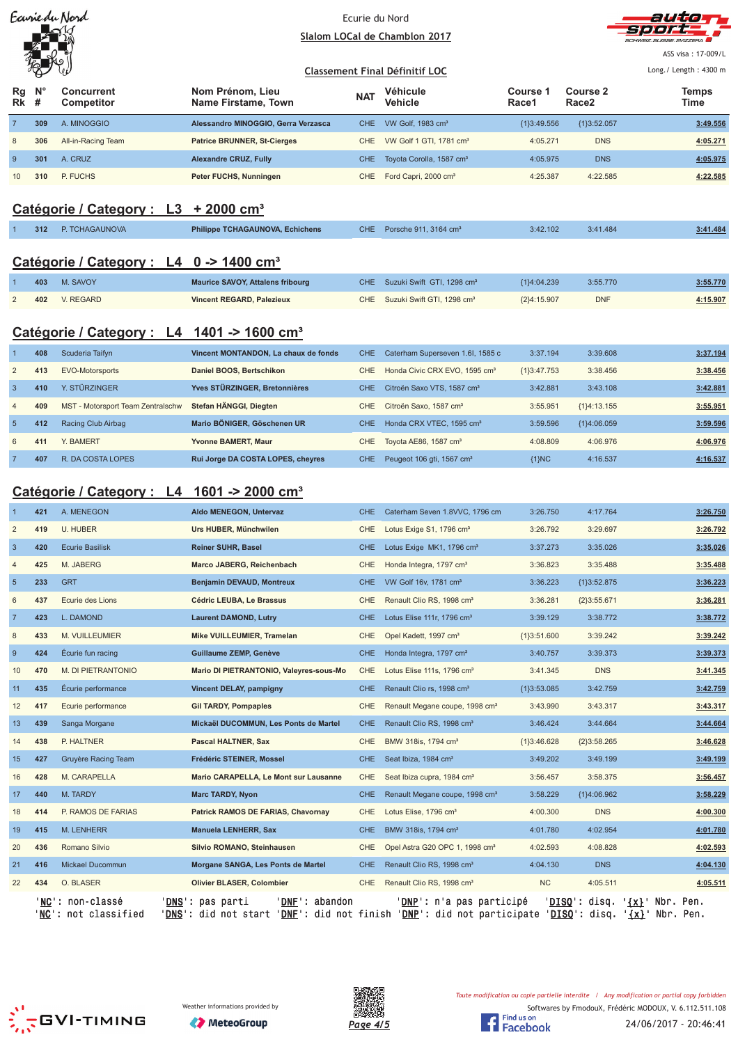|                |                  | Earrie du Nord                                         |                                                                                                                                                    | Ecurie du Nord    |                                                                                  | autor                        |                                      |                                                 |
|----------------|------------------|--------------------------------------------------------|----------------------------------------------------------------------------------------------------------------------------------------------------|-------------------|----------------------------------------------------------------------------------|------------------------------|--------------------------------------|-------------------------------------------------|
|                |                  |                                                        |                                                                                                                                                    |                   | Slalom LOCal de Chamblon 2017                                                    |                              |                                      | <b>SCHWEIZ SLIISSE SVIZZERA</b>                 |
|                |                  |                                                        |                                                                                                                                                    |                   |                                                                                  |                              |                                      | ASS visa: 17-009/L                              |
|                |                  |                                                        |                                                                                                                                                    |                   | <b>Classement Final Définitif LOC</b>                                            |                              |                                      | Long./ Length: 4300 m                           |
| Rg<br>Rk       | $N^{\circ}$<br># | Concurrent<br>Competitor                               | Nom Prénom, Lieu<br>Name Firstame, Town                                                                                                            | <b>NAT</b>        | Véhicule<br>Vehicle                                                              | Course 1<br>Race1            | <b>Course 2</b><br>Race <sub>2</sub> | <b>Temps</b><br>Time                            |
| $\overline{7}$ | 309              | A. MINOGGIO                                            | Alessandro MINOGGIO, Gerra Verzasca                                                                                                                | <b>CHE</b>        | VW Golf, 1983 cm <sup>3</sup>                                                    | ${1}3:49.556$                | ${1}3:52.057$                        | 3:49.556                                        |
| 8              | 306              | All-in-Racing Team                                     | <b>Patrice BRUNNER, St-Cierges</b>                                                                                                                 | <b>CHE</b>        | VW Golf 1 GTI, 1781 cm <sup>3</sup>                                              | 4:05.271                     | <b>DNS</b>                           | 4:05.271                                        |
| 9              | 301              | A. CRUZ                                                | <b>Alexandre CRUZ, Fully</b>                                                                                                                       | <b>CHE</b>        | Toyota Corolla, 1587 cm <sup>3</sup>                                             | 4:05.975                     | <b>DNS</b>                           | 4:05.975                                        |
| 10             | 310              | P. FUCHS                                               | Peter FUCHS, Nunningen                                                                                                                             | CHE               | Ford Capri, 2000 cm <sup>3</sup>                                                 | 4:25.387                     | 4:22.585                             | 4:22.585                                        |
|                |                  |                                                        |                                                                                                                                                    |                   |                                                                                  |                              |                                      |                                                 |
|                |                  | Catégorie / Category : L3 + 2000 cm <sup>3</sup>       |                                                                                                                                                    |                   |                                                                                  |                              |                                      |                                                 |
|                | 312              | P. TCHAGAUNOVA                                         | Philippe TCHAGAUNOVA, Echichens                                                                                                                    | CHE               | Porsche 911, 3164 cm <sup>3</sup>                                                | 3:42.102                     | 3:41.484                             | 3:41.484                                        |
|                |                  | Catégorie / Category : L4 0 -> 1400 cm <sup>3</sup>    |                                                                                                                                                    |                   |                                                                                  |                              |                                      |                                                 |
|                |                  |                                                        |                                                                                                                                                    | <b>CHE</b>        |                                                                                  |                              |                                      |                                                 |
| $\overline{2}$ | 403<br>402       | M. SAVOY<br>V. REGARD                                  | <b>Maurice SAVOY, Attalens fribourg</b><br><b>Vincent REGARD, Palezieux</b>                                                                        | <b>CHE</b>        | Suzuki Swift GTI, 1298 cm <sup>3</sup><br>Suzuki Swift GTI, 1298 cm <sup>3</sup> | {1}4:04.239<br>${2}4:15.907$ | 3:55.770<br><b>DNF</b>               | 3:55.770<br>4:15.907                            |
|                |                  |                                                        |                                                                                                                                                    |                   |                                                                                  |                              |                                      |                                                 |
|                |                  | Catégorie / Category : L4 1401 -> 1600 cm <sup>3</sup> |                                                                                                                                                    |                   |                                                                                  |                              |                                      |                                                 |
| $\overline{1}$ | 408              | Scuderia Taifyn                                        | Vincent MONTANDON, La chaux de fonds                                                                                                               | <b>CHE</b>        | Caterham Superseven 1.6I, 1585 c                                                 | 3:37.194                     | 3:39.608                             | 3:37.194                                        |
| $\overline{2}$ | 413              | EVO-Motorsports                                        | Daniel BOOS, Bertschikon                                                                                                                           | <b>CHE</b>        | Honda Civic CRX EVO, 1595 cm <sup>3</sup>                                        | ${1}3:47.753$                | 3:38.456                             | 3:38.456                                        |
| $\overline{3}$ | 410              | Y. STÜRZINGER                                          | Yves STÜRZINGER, Bretonnières                                                                                                                      | <b>CHE</b>        | Citroën Saxo VTS, 1587 cm <sup>3</sup>                                           | 3:42.881                     | 3:43.108                             | 3:42.881                                        |
| $\overline{4}$ | 409              | MST - Motorsport Team Zentralschw                      | Stefan HÄNGGI, Diegten                                                                                                                             | <b>CHE</b>        | Citroën Saxo, 1587 cm <sup>3</sup>                                               | 3:55.951                     | ${1}4:13.155$                        | 3:55.951                                        |
| $\overline{5}$ | 412              | Racing Club Airbag                                     | Mario BÖNIGER, Göschenen UR                                                                                                                        | <b>CHE</b>        | Honda CRX VTEC, 1595 cm <sup>3</sup>                                             | 3:59.596                     | ${1}4:06.059$                        | 3:59.596                                        |
| 6              | 411              | Y. BAMERT                                              | Yvonne BAMERT, Maur                                                                                                                                | <b>CHE</b>        | Toyota AE86, 1587 cm <sup>3</sup>                                                | 4:08.809                     | 4:06.976                             | 4:06.976                                        |
| $\overline{7}$ | 407              | R. DA COSTA LOPES                                      | Rui Jorge DA COSTA LOPES, cheyres                                                                                                                  | CHE               | Peugeot 106 gti, 1567 cm <sup>3</sup>                                            | ${1}NC$                      | 4:16.537                             | 4:16.537                                        |
|                |                  |                                                        |                                                                                                                                                    |                   |                                                                                  |                              |                                      |                                                 |
|                |                  | Catégorie / Category : L4                              | 1601 -> 2000 cm <sup>3</sup>                                                                                                                       |                   |                                                                                  |                              |                                      |                                                 |
| $\mathbf{1}$   | 421              | A. MENEGON                                             | Aldo MENEGON, Untervaz                                                                                                                             | <b>CHE</b>        | Caterham Seven 1.8VVC, 1796 cm                                                   | 3:26.750                     | 4:17.764                             | 3:26.750                                        |
| $\overline{2}$ | 419              | U. HUBER                                               | Urs HUBER, Münchwilen                                                                                                                              | <b>CHE</b>        | Lotus Exige S1, 1796 cm <sup>3</sup>                                             | 3:26.792                     | 3:29.697                             | 3:26.792                                        |
| $\overline{3}$ | 420              | <b>Ecurie Basilisk</b>                                 | <b>Reiner SUHR, Basel</b>                                                                                                                          | <b>CHE</b>        | Lotus Exige MK1, 1796 cm <sup>3</sup>                                            | 3:37.273                     | 3:35.026                             | 3:35.026                                        |
| $\overline{4}$ | 425              | M. JABERG                                              | Marco JABERG, Reichenbach                                                                                                                          |                   | CHE Honda Integra, 1797 cm <sup>3</sup>                                          | 3:36.823                     | 3:35.488                             | 3:35.488                                        |
| $\overline{5}$ | 233              | <b>GRT</b>                                             | Benjamin DEVAUD, Montreux                                                                                                                          | CHE.              | VW Golf 16v, 1781 cm <sup>3</sup>                                                | 3:36.223                     | ${1}3:52.875$                        | 3:36.223                                        |
| 6              | 437              | Ecurie des Lions                                       | Cédric LEUBA, Le Brassus                                                                                                                           | CHE               | Renault Clio RS, 1998 cm <sup>3</sup>                                            | 3:36.281                     | ${2}3:55.671$                        | 3:36.281                                        |
| $\overline{7}$ | 423              | L. DAMOND                                              | <b>Laurent DAMOND, Lutry</b>                                                                                                                       | <b>CHE</b>        | Lotus Elise 111r, 1796 cm <sup>3</sup>                                           | 3:39.129                     | 3:38.772                             | 3:38.772                                        |
| 8              | 433              | M. VUILLEUMIER                                         | Mike VUILLEUMIER, Tramelan                                                                                                                         | CHE               | Opel Kadett, 1997 cm <sup>3</sup>                                                | ${1}3:51.600$                | 3:39.242                             | 3:39.242                                        |
| 9              | 424              | Ecurie fun racing                                      | Guillaume ZEMP, Genève                                                                                                                             | CHE               | Honda Integra, 1797 cm <sup>3</sup>                                              | 3:40.757                     | 3:39.373                             | 3:39.373                                        |
| 10             | 470              | M. DI PIETRANTONIO                                     | Mario DI PIETRANTONIO, Valeyres-sous-Mo                                                                                                            | <b>CHE</b>        | Lotus Elise 111s, 1796 cm <sup>3</sup>                                           | 3:41.345                     | <b>DNS</b>                           | 3:41.345                                        |
| 11             | 435              | Écurie performance                                     | <b>Vincent DELAY, pampigny</b>                                                                                                                     | <b>CHE</b>        | Renault Clio rs, 1998 cm <sup>3</sup>                                            | ${1}3:53.085$                | 3:42.759                             | 3:42.759                                        |
| 12             | 417              | Ecurie performance                                     | <b>Gil TARDY, Pompaples</b>                                                                                                                        | CHE               | Renault Megane coupe, 1998 cm <sup>3</sup>                                       | 3:43.990                     | 3:43.317                             | 3:43.317                                        |
| 13             | 439              | Sanga Morgane                                          | Mickaël DUCOMMUN, Les Ponts de Martel                                                                                                              | <b>CHE</b>        | Renault Clio RS, 1998 cm <sup>3</sup>                                            | 3:46.424                     | 3:44.664                             | 3:44.664                                        |
| 14             | 438<br>427       | P. HALTNER<br>Gruyère Racing Team                      | Pascal HALTNER, Sax<br>Frédéric STEINER, Mossel                                                                                                    | CHE<br><b>CHE</b> | BMW 318is, 1794 cm <sup>3</sup><br>Seat Ibiza, 1984 cm <sup>3</sup>              | ${1}3:46.628$<br>3:49.202    | ${2}3:58.265$<br>3:49.199            | 3:46.628<br>3:49.199                            |
| 15             |                  | M. CARAPELLA                                           | Mario CARAPELLA, Le Mont sur Lausanne                                                                                                              |                   | Seat Ibiza cupra, 1984 cm <sup>3</sup>                                           |                              | 3:58.375                             |                                                 |
| 16<br>17       | 428<br>440       | M. TARDY                                               | <b>Marc TARDY, Nyon</b>                                                                                                                            | CHE<br><b>CHE</b> | Renault Megane coupe, 1998 cm <sup>3</sup>                                       | 3:56.457<br>3:58.229         | ${1}4:06.962$                        | 3:56.457<br>3:58.229                            |
| 18             | 414              | P. RAMOS DE FARIAS                                     | Patrick RAMOS DE FARIAS, Chavornay                                                                                                                 | CHE               | Lotus Elise, 1796 cm <sup>3</sup>                                                | 4:00.300                     | <b>DNS</b>                           | 4:00.300                                        |
| 19             | 415              | M. LENHERR                                             | <b>Manuela LENHERR, Sax</b>                                                                                                                        | <b>CHE</b>        | BMW 318is, 1794 cm <sup>3</sup>                                                  | 4:01.780                     | 4:02.954                             | 4:01.780                                        |
| 20             | 436              | Romano Silvio                                          | Silvio ROMANO, Steinhausen                                                                                                                         | CHE               | Opel Astra G20 OPC 1, 1998 cm <sup>3</sup>                                       | 4:02.593                     | 4:08.828                             | 4:02.593                                        |
| 21             | 416              | Mickael Ducommun                                       | Morgane SANGA, Les Ponts de Martel                                                                                                                 | CHE               | Renault Clio RS, 1998 cm <sup>3</sup>                                            | 4:04.130                     | <b>DNS</b>                           | 4:04.130                                        |
| 22             | 434              | O. BLASER                                              | Olivier BLASER, Colombier                                                                                                                          | CHE.              | Renault Clio RS, 1998 cm <sup>3</sup>                                            | <b>NC</b>                    | 4:05.511                             | 4:05.511                                        |
|                |                  | 'NC': non-classé<br>'NC': not classified               | 'DNE': abandon<br>' <b>DNS</b> ': pas parti<br>'DNS': did not start 'DNE': did not finish 'DNP': did not participate 'DISQ': disq. '{X}' Nbr. Pen. |                   | ' <mark>DNP</mark> ': n'a pas participé                                          |                              |                                      | ' <u>DISQ</u> ': disq. ' <u>{x}</u> ' Nbr. Pen. |





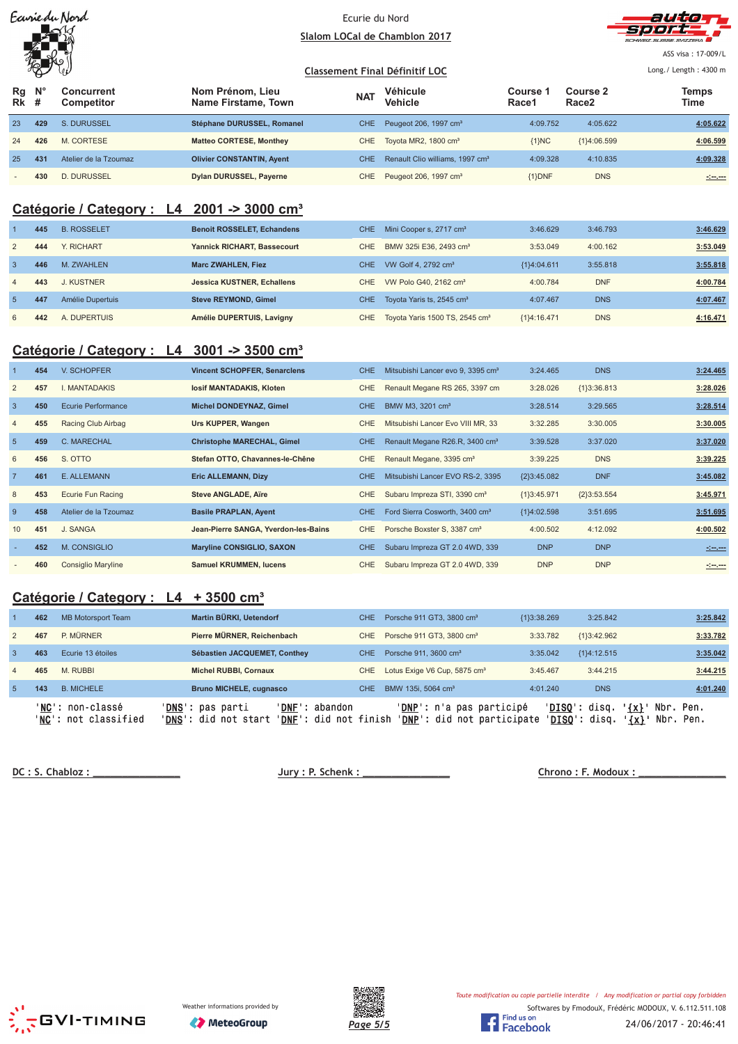|  | Earriedu Nord |  |
|--|---------------|--|
|  |               |  |
|  |               |  |
|  |               |  |

## Ecurie du Nord <u>Slalom LOCal de Chamblon 2017</u>



ASS visa: 17-009/L

#### $\sqrt[3]{\mathcal{L}}$ <u>**Classement Final Définitif LOC**</u> Long./ Length: 4300 m **Nom Prénom, Lieu Véhicule Course 1 Course 2 N° Concurrent Temps Rg NAT Vehicle The Course Figure 2 The Vehicle The Race 2 Time Competitor Name Firstame, Town Vehicle Race1 Race2 # Rk** 23 **429** S. DURUSSEL **Stéphane DURUSSEL, Romanel** CHE Peugeot 206, 1997 cm³ 4:09.752 4:05.622 **4:05.622** 24 **426** M. CORTESE **Matteo CORTESE, Monthey** CHE Toyota MR2, 1800 cm³ {1}NC {1}4:06.599 **4:06.599** 25 **431** Atelier de la Tzoumaz **Olivier CONSTANTIN, Ayent** CHE Renault Clio williams, 1997 cm<sup>3</sup> 4:09.328 4:10.835 4:10.835 - **430** D. DURUSSEL **Dylan DURUSSEL, Payerne** CHE Peugeot 206, 1997 cm³ {1}DNF DNS **-:--.---**

# **Catégorie / Category : L4 2001 -> 3000 cm³**

|                | 445 | <b>B. ROSSELET</b> | <b>Benoit ROSSELET, Echandens</b> | CHE. | Mini Cooper s, 2717 cm <sup>3</sup>            | 3:46.629      | 3:46.793   | 3:46.629 |
|----------------|-----|--------------------|-----------------------------------|------|------------------------------------------------|---------------|------------|----------|
| 2              | 444 | Y. RICHART         | Yannick RICHART, Bassecourt       | CHE  | BMW 325i E36, 2493 cm <sup>3</sup>             | 3:53.049      | 4:00.162   | 3:53.049 |
| -3             | 446 | M. ZWAHLEN         | <b>Marc ZWAHLEN, Fiez</b>         | CHE. | VW Golf 4, 2792 cm <sup>3</sup>                | ${1}4:04.611$ | 3:55.818   | 3:55.818 |
| $\overline{4}$ | 443 | J. KUSTNER         | <b>Jessica KUSTNER, Echallens</b> | CHE. | VW Polo G40, 2162 cm <sup>3</sup>              | 4:00.784      | <b>DNF</b> | 4:00.784 |
|                | 447 | Amélie Dupertuis   | <b>Steve REYMOND, Gimel</b>       | CHE. | Toyota Yaris ts, 2545 cm <sup>3</sup>          | 4:07.467      | <b>DNS</b> | 4:07.467 |
| 6              | 442 | A. DUPERTUIS       | Amélie DUPERTUIS, Lavigny         |      | CHE Toyota Yaris 1500 TS, 2545 cm <sup>3</sup> | ${1}4:16.471$ | <b>DNS</b> | 4:16.471 |

# **Catégorie / Category : L4 3001 -> 3500 cm³**

|                | 454 | V. SCHOPFER               | <b>Vincent SCHOPFER, Senarclens</b>  | CHE.       | Mitsubishi Lancer evo 9, 3395 cm <sup>3</sup> | 3:24.465      | <b>DNS</b>    | 3:24.465          |
|----------------|-----|---------------------------|--------------------------------------|------------|-----------------------------------------------|---------------|---------------|-------------------|
| 2              | 457 | I. MANTADAKIS             | losif MANTADAKIS, Kloten             | CHE        | Renault Megane RS 265, 3397 cm                | 3:28.026      | ${1}3:36.813$ | 3:28.026          |
| $\overline{3}$ | 450 | <b>Ecurie Performance</b> | <b>Michel DONDEYNAZ, Gimel</b>       | CHE.       | BMW M3, 3201 cm <sup>3</sup>                  | 3:28.514      | 3:29.565      | 3:28.514          |
| $\overline{4}$ | 455 | Racing Club Airbag        | Urs KUPPER, Wangen                   | CHE        | Mitsubishi Lancer Evo VIII MR, 33             | 3:32.285      | 3:30.005      | 3:30.005          |
| 5              | 459 | <b>C. MARECHAL</b>        | <b>Christophe MARECHAL, Gimel</b>    | CHE.       | Renault Megane R26.R, 3400 cm <sup>3</sup>    | 3:39.528      | 3:37.020      | 3:37.020          |
| 6              | 456 | S. OTTO                   | Stefan OTTO, Chavannes-le-Chêne      | <b>CHE</b> | Renault Megane, 3395 cm <sup>3</sup>          | 3:39.225      | <b>DNS</b>    | 3:39.225          |
| $\overline{7}$ | 461 | E. ALLEMANN               | <b>Eric ALLEMANN, Dizy</b>           | CHE.       | Mitsubishi Lancer EVO RS-2, 3395              | ${2}3:45.082$ | <b>DNF</b>    | 3:45.082          |
| 8              | 453 | Ecurie Fun Racing         | <b>Steve ANGLADE, Aïre</b>           | CHE        | Subaru Impreza STI, 3390 cm <sup>3</sup>      | ${1}3:45.971$ | ${2}3:53.554$ | 3:45.971          |
| -9             | 458 | Atelier de la Tzoumaz     | <b>Basile PRAPLAN, Ayent</b>         | CHE.       | Ford Sierra Cosworth, 3400 cm <sup>3</sup>    | ${1}4:02.598$ | 3:51.695      | 3:51.695          |
| 10             | 451 | J. SANGA                  | Jean-Pierre SANGA, Yverdon-les-Bains | CHE        | Porsche Boxster S, 3387 cm <sup>3</sup>       | 4:00.502      | 4:12.092      | 4:00.502          |
|                | 452 | M. CONSIGLIO              | <b>Maryline CONSIGLIO, SAXON</b>     | <b>CHE</b> | Subaru Impreza GT 2.0 4WD, 339                | <b>DNP</b>    | <b>DNP</b>    | <u> 1999 - 19</u> |
|                | 460 | <b>Consiglio Maryline</b> | <b>Samuel KRUMMEN, lucens</b>        | CHE        | Subaru Impreza GT 2.0 4WD, 339                | <b>DNP</b>    | <b>DNP</b>    |                   |

# **Catégorie / Category : L4 + 3500 cm³**

|                | 462 | MB Motorsport Team                       | Martin BÜRKI, Uetendorf                           |                                                           | <b>CHE</b>       | Porsche 911 GT3, 3800 cm <sup>3</sup>                           | ${13:38.269}$ | 3:25.842                       | 3:25.842                                          |
|----------------|-----|------------------------------------------|---------------------------------------------------|-----------------------------------------------------------|------------------|-----------------------------------------------------------------|---------------|--------------------------------|---------------------------------------------------|
| 2              | 467 | P. MÜRNER                                | Pierre MÜRNER, Reichenbach                        |                                                           | CHE.             | Porsche 911 GT3, 3800 cm <sup>3</sup>                           | 3:33.782      | ${1}3:42.962$                  | 3:33.782                                          |
| $\mathbf{3}$   | 463 | Ecurie 13 étoiles                        | Sébastien JACQUEMET, Conthey                      |                                                           | CHE <sup>1</sup> | Porsche 911, 3600 cm <sup>3</sup>                               | 3:35.042      | ${1}4:12.515$                  | 3:35.042                                          |
| $\overline{4}$ | 465 | M. RUBBI                                 | <b>Michel RUBBI, Cornaux</b>                      |                                                           | CHE.             | Lotus Exige V6 Cup, 5875 cm <sup>3</sup>                        | 3:45.467      | 3:44.215                       | 3:44.215                                          |
| -5             | 143 | <b>B. MICHELE</b>                        | <b>Bruno MICHELE, cugnasco</b>                    |                                                           | <b>CHE</b>       | BMW 135i, 5064 cm <sup>3</sup>                                  | 4:01.240      | <b>DNS</b>                     | 4:01.240                                          |
|                |     | 'NC': non-classé<br>'NC': not classified | 'DNS': pas parti<br>' <b>DNS</b> ': did not start | ' <b>DNF</b> ': abandon<br>' <b>DNF</b> ': did not finish |                  | ' <b>DNP</b> ': n'a pas participé<br>'DNP': did not participate |               | 'DISO': disq.<br>'DISO': disq. | $\{x\}$ '<br>Nbr. Pen.<br>$\{x\}$<br>Nbr.<br>Pen. |

DC: S. Chabloz:

 $Jury: P. Schenk:$ 

Chrono: F. Modoux:





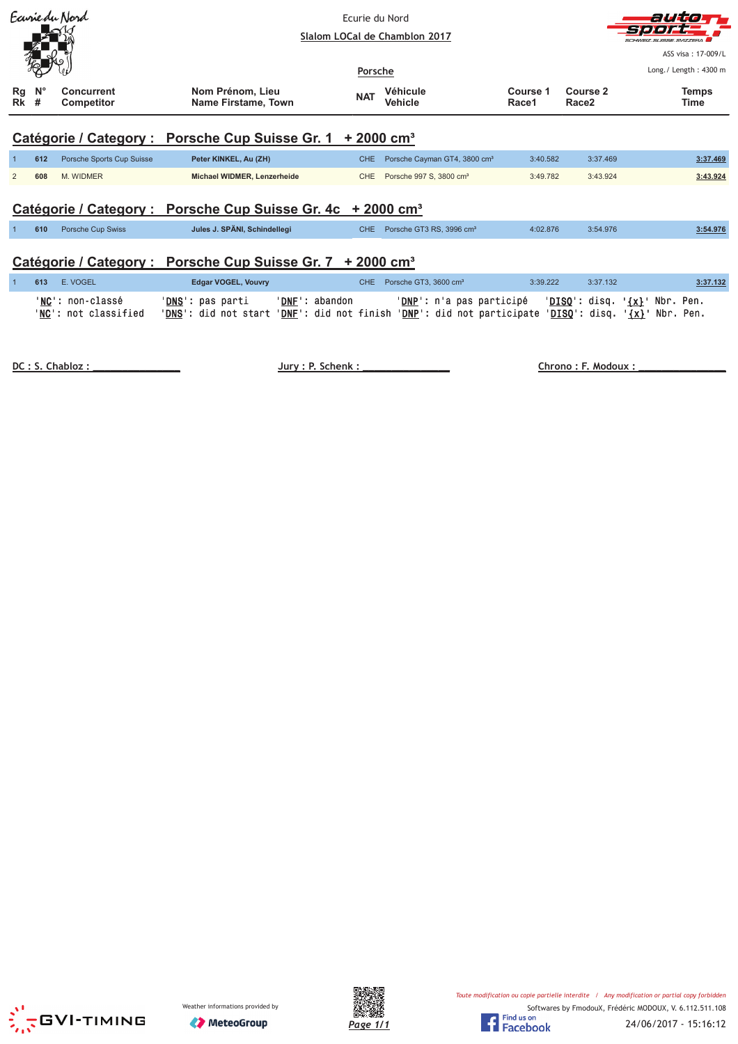| Ecurie du Nord |                         |                                 |                                                  | Ecurie du Nord<br>Slalom LOCal de Chamblon 2017 |                                          |                   |                                      | autio<br>ミナウィン<br>SUISSE SVIZZEDA<br>ASS visa: 17-009/L |
|----------------|-------------------------|---------------------------------|--------------------------------------------------|-------------------------------------------------|------------------------------------------|-------------------|--------------------------------------|---------------------------------------------------------|
| Rg<br>Rk       | $\mathsf{N}^\circ$<br># | <b>Concurrent</b><br>Competitor | Nom Prénom, Lieu<br>Name Firstame, Town          | Porsche<br><b>NAT</b>                           | <b>Véhicule</b><br><b>Vehicle</b>        | Course 1<br>Race1 | <b>Course 2</b><br>Race <sub>2</sub> | Long./ Length: 4300 m<br><b>Temps</b><br>Time           |
|                |                         |                                 | Catégorie / Category : Porsche Cup Suisse Gr. 1  | $+2000$ cm <sup>3</sup>                         |                                          |                   |                                      |                                                         |
|                | 612                     | Porsche Sports Cup Suisse       | Peter KINKEL, Au (ZH)                            | <b>CHE</b>                                      | Porsche Cayman GT4, 3800 cm <sup>3</sup> | 3:40.582          | 3:37.469                             | 3:37.469                                                |
| $\overline{2}$ | 608                     | M. WIDMER                       | Michael WIDMER, Lenzerheide                      | CHE                                             | Porsche 997 S, 3800 cm <sup>3</sup>      | 3:49.782          | 3:43.924                             | 3:43.924                                                |
|                |                         |                                 | Catégorie / Category : Porsche Cup Suisse Gr. 4c |                                                 | $+2000$ cm <sup>3</sup>                  |                   |                                      |                                                         |
|                | 610                     | Porsche Cup Swiss               | Jules J. SPÄNI, Schindellegi                     | <b>CHE</b>                                      | Porsche GT3 RS, 3996 cm <sup>3</sup>     | 4:02.876          | 3:54.976                             | 3:54.976                                                |
|                |                         |                                 | Catégorie / Category : Porsche Cup Suisse Gr. 7  | $+2000$ cm <sup>3</sup>                         |                                          |                   |                                      |                                                         |

| 613 E.VOGEL                              | Edgar VOGEL, Vouvry                                                                                                                                                                 |                | CHE Porsche GT3, 3600 cm <sup>3</sup>                                               | 3:39.222 | 3:37.132 | 3:37.132 |
|------------------------------------------|-------------------------------------------------------------------------------------------------------------------------------------------------------------------------------------|----------------|-------------------------------------------------------------------------------------|----------|----------|----------|
| 'NC': non-classé<br>'NC': not classified | ' <b>DNS</b> ': pas parti<br>' <mark>DNS</mark> ': did not start ' <u>DNF</u> ': did not finish ' <u>DNP</u> ': did not participate ' <u>DISQ</u> ': disq. ' <u>{x}</u> ' Nbr. Pen. | 'DNF': abandon | ' <u>DNP</u> ': n'a pas participé   ' <u>DISQ</u> ': disq. ' <u>{x}</u> ' Nbr. Pen. |          |          |          |

DC : S. Chabloz :

Jury : P. Schenk :

Chrono: F. Modoux:





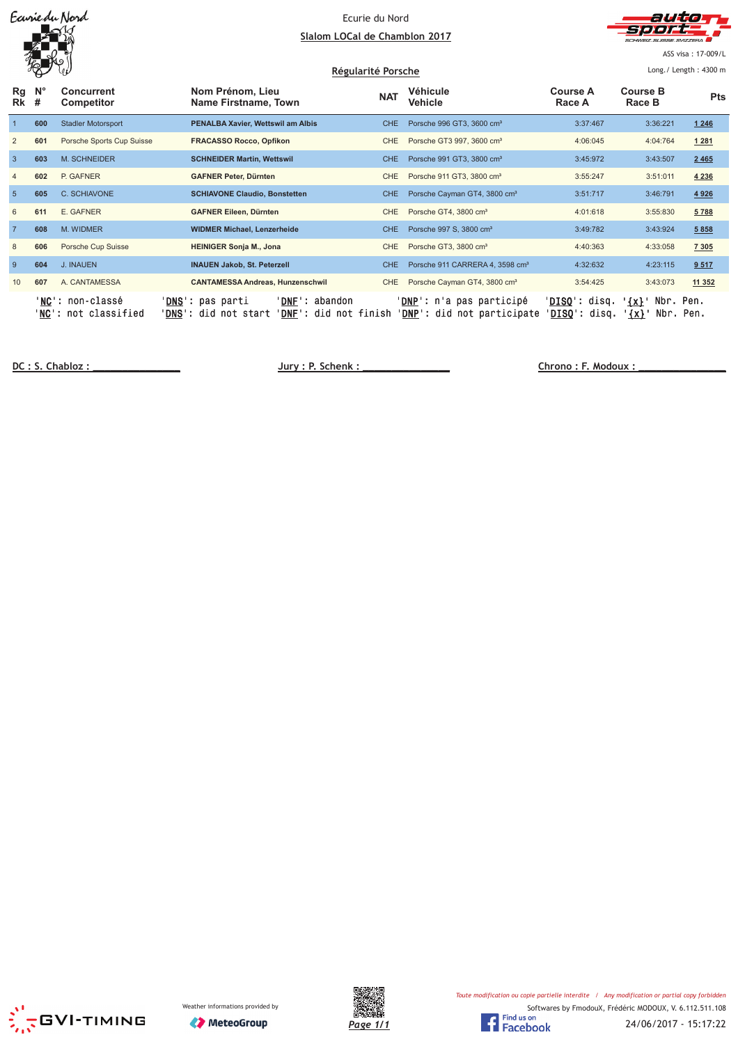| Earriedu Nord |
|---------------|
|               |
|               |
|               |

#### Ecurie du Nord <u>Slalom LOCal de Chamblon 2017</u>



ASS visa: 17-009/L

|                | H.               | Vθ                                                |                                                                                                             | Régularité Porsche |                                                                       | Long./ Length: 4300 m                    |                                               |            |
|----------------|------------------|---------------------------------------------------|-------------------------------------------------------------------------------------------------------------|--------------------|-----------------------------------------------------------------------|------------------------------------------|-----------------------------------------------|------------|
| Rg<br>Rk       | $N^{\circ}$<br># | <b>Concurrent</b><br><b>Competitor</b>            | Nom Prénom, Lieu<br>Name Firstname, Town                                                                    | <b>NAT</b>         | Véhicule<br>Vehicle                                                   | <b>Course A</b><br>Race A                | <b>Course B</b><br>Race B                     | <b>Pts</b> |
|                | 600              | <b>Stadler Motorsport</b>                         | PENALBA Xavier, Wettswil am Albis                                                                           | <b>CHE</b>         | Porsche 996 GT3, 3600 cm <sup>3</sup>                                 | 3:37:467                                 | 3:36:221                                      | 1246       |
| 2              | 601              | Porsche Sports Cup Suisse                         | <b>FRACASSO Rocco, Opfikon</b>                                                                              | <b>CHE</b>         | Porsche GT3 997, 3600 cm <sup>3</sup>                                 | 4:06:045                                 | 4:04:764                                      | 1 2 8 1    |
| $\overline{3}$ | 603              | M. SCHNEIDER                                      | <b>SCHNEIDER Martin, Wettswil</b>                                                                           | <b>CHE</b>         | Porsche 991 GT3, 3800 cm <sup>3</sup>                                 | 3:45:972                                 | 3:43:507                                      | 2 4 6 5    |
| $\overline{4}$ | 602              | P. GAFNER                                         | <b>GAFNER Peter, Dürnten</b>                                                                                | <b>CHE</b>         | Porsche 911 GT3, 3800 cm <sup>3</sup>                                 | 3:55:247                                 | 3:51:011                                      | 4 2 3 6    |
| 5              | 605              | C. SCHIAVONE                                      | <b>SCHIAVONE Claudio, Bonstetten</b>                                                                        | <b>CHE</b>         | Porsche Cayman GT4, 3800 cm <sup>3</sup>                              | 3:51:717                                 | 3:46:791                                      | 4926       |
| 6              | 611              | E. GAFNER                                         | <b>GAFNER Eileen, Dürnten</b>                                                                               | <b>CHE</b>         | Porsche GT4, 3800 cm <sup>3</sup>                                     | 4:01:618                                 | 3:55:830                                      | 5788       |
| $\overline{7}$ | 608              | M. WIDMER                                         | <b>WIDMER Michael, Lenzerheide</b>                                                                          | <b>CHE</b>         | Porsche 997 S, 3800 cm <sup>3</sup>                                   | 3:49:782                                 | 3:43:924                                      | 5 8 5 8    |
| 8              | 606              | Porsche Cup Suisse                                | <b>HEINIGER Sonja M., Jona</b>                                                                              | <b>CHE</b>         | Porsche GT3, 3800 cm <sup>3</sup>                                     | 4:40:363                                 | 4:33:058                                      | 7 3 0 5    |
| 9              | 604              | J. INAUEN                                         | <b>INAUEN Jakob, St. Peterzell</b>                                                                          | <b>CHE</b>         | Porsche 911 CARRERA 4, 3598 cm <sup>3</sup>                           | 4:32:632                                 | 4:23:115                                      | 9.517      |
| 10             | 607              | A. CANTAMESSA                                     | <b>CANTAMESSA Andreas, Hunzenschwil</b>                                                                     | <b>CHE</b>         | Porsche Cayman GT4, 3800 cm <sup>3</sup>                              | 3:54:425                                 | 3:43:073                                      | 11 352     |
|                |                  | ' <b>NC</b> ': non-classé<br>'NC': not classified | ' <b>DNS':</b> pas parti<br>'DNF': abandon<br>' <b>DNS</b> ': did not start<br><b>'DNF':</b> did not finish |                    | ' <b>DNP</b> ': n'a pas participé<br><b>DNP':</b> did not participate | ' <b>DISQ':</b> disq.<br>$DISQ'$ : disq. | Nbr.<br>$\{x\}$<br><u>'{x}</u> '<br>Nbr. Pen. | Pen.       |

DC: S. Chabloz:

 $Jury: P. Schenk:$ 

Chrono: F. Modoux:





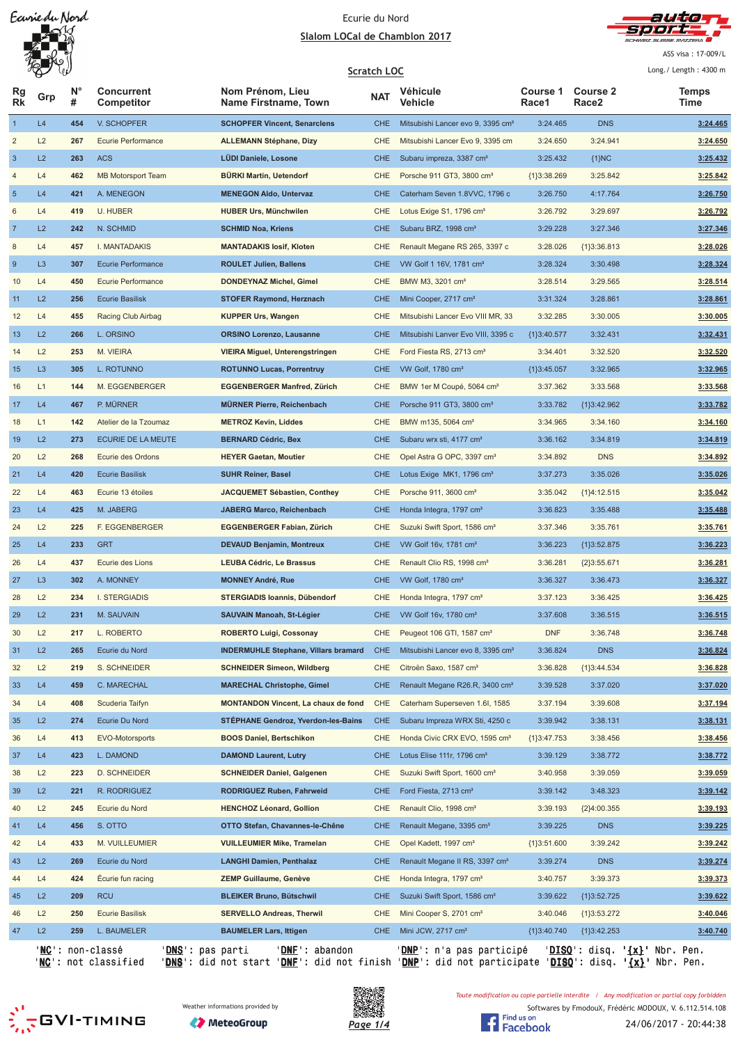## Ecurie du Nord <u>Slalom LOCal de Chamblon 2017</u>



ASS visa: 17-009/L

|                           | W              |                  |                                                        |                                             | <b>Scratch LOC</b> |                                               |                          |                                      | Long./ Length: 4300 m                           |
|---------------------------|----------------|------------------|--------------------------------------------------------|---------------------------------------------|--------------------|-----------------------------------------------|--------------------------|--------------------------------------|-------------------------------------------------|
| Rg<br><b>Rk</b>           | Grp            | $N^{\circ}$<br># | <b>Concurrent</b><br>Competitor                        | Nom Prénom, Lieu<br>Name Firstname, Town    | <b>NAT</b>         | <b>Véhicule</b><br>Vehicle                    | <b>Course 1</b><br>Race1 | <b>Course 2</b><br>Race <sub>2</sub> | Temps<br>Time                                   |
| $\mathbf{1}$              | L4             | 454              | V. SCHOPFER                                            | <b>SCHOPFER Vincent, Senarclens</b>         | <b>CHE</b>         | Mitsubishi Lancer evo 9, 3395 cm <sup>3</sup> | 3:24.465                 | <b>DNS</b>                           | 3:24.465                                        |
| $\overline{\mathbf{c}}$   | L2             | 267              | Ecurie Performance                                     | <b>ALLEMANN Stéphane, Dizy</b>              | <b>CHE</b>         | Mitsubishi Lancer Evo 9, 3395 cm              | 3:24.650                 | 3:24.941                             | 3:24.650                                        |
| $\ensuremath{\mathsf{3}}$ | L2             | 263              | <b>ACS</b>                                             | <b>LÜDI Daniele, Losone</b>                 | CHE                | Subaru impreza, 3387 cm <sup>3</sup>          | 3:25.432                 | ${1}NC$                              | 3:25.432                                        |
| 4                         | L4             | 462              | <b>MB Motorsport Team</b>                              | <b>BÜRKI Martin, Uetendorf</b>              | CHE                | Porsche 911 GT3, 3800 cm <sup>3</sup>         | ${1}3:38.269$            | 3:25.842                             | 3:25.842                                        |
| $\sqrt{5}$                | L4             | 421              | A. MENEGON                                             | <b>MENEGON Aldo, Untervaz</b>               | <b>CHE</b>         | Caterham Seven 1.8VVC, 1796 c                 | 3:26.750                 | 4:17.764                             | 3:26.750                                        |
| 6                         | L4             | 419              | U. HUBER                                               | <b>HUBER Urs, Münchwilen</b>                | <b>CHE</b>         | Lotus Exige S1, 1796 cm <sup>3</sup>          | 3:26.792                 | 3:29.697                             | 3:26.792                                        |
| $\overline{7}$            | L2             | 242              | N. SCHMID                                              | <b>SCHMID Noa, Kriens</b>                   | <b>CHE</b>         | Subaru BRZ, 1998 cm <sup>3</sup>              | 3:29.228                 | 3:27.346                             | 3:27.346                                        |
| 8                         | L4             | 457              | I. MANTADAKIS                                          | <b>MANTADAKIS losif, Kloten</b>             | <b>CHE</b>         | Renault Megane RS 265, 3397 c                 | 3:28.026                 | ${1}3:36.813$                        | 3:28.026                                        |
| $\boldsymbol{9}$          | L <sub>3</sub> | 307              | Ecurie Performance                                     | <b>ROULET Julien, Ballens</b>               | <b>CHE</b>         | VW Golf 1 16V, 1781 cm <sup>3</sup>           | 3:28.324                 | 3:30.498                             | 3:28.324                                        |
| 10                        | L4             | 450              | Ecurie Performance                                     | <b>DONDEYNAZ Michel, Gimel</b>              | CHE                | BMW M3, 3201 cm <sup>3</sup>                  | 3:28.514                 | 3:29.565                             | 3:28.514                                        |
| 11                        | L2             | 256              | <b>Ecurie Basilisk</b>                                 | <b>STOFER Raymond, Herznach</b>             | <b>CHE</b>         | Mini Cooper, 2717 cm <sup>3</sup>             | 3:31.324                 | 3:28.861                             | 3:28.861                                        |
| 12                        | L4             | 455              | Racing Club Airbag                                     | <b>KUPPER Urs, Wangen</b>                   | <b>CHE</b>         | Mitsubishi Lancer Evo VIII MR, 33             | 3:32.285                 | 3:30.005                             | 3:30.005                                        |
| 13                        | L2             | 266              | L. ORSINO                                              | <b>ORSINO Lorenzo, Lausanne</b>             | <b>CHE</b>         | Mitsubishi Lanver Evo VIII, 3395 c            | ${1}3:40.577$            | 3:32.431                             | 3:32.431                                        |
| 14                        | L2             | 253              | M. VIEIRA                                              | VIEIRA Miguel, Unterengstringen             | CHE                | Ford Fiesta RS, 2713 cm <sup>3</sup>          | 3:34.401                 | 3:32.520                             | 3:32.520                                        |
| 15                        | L <sub>3</sub> | 305              | L. ROTUNNO                                             | <b>ROTUNNO Lucas, Porrentruy</b>            | <b>CHE</b>         | VW Golf, 1780 cm <sup>3</sup>                 | ${1}3:45.057$            | 3:32.965                             | 3:32.965                                        |
| 16                        | L1             | 144              | M. EGGENBERGER                                         | EGGENBERGER Manfred, Zürich                 | CHE                | BMW 1er M Coupé, 5064 cm <sup>3</sup>         | 3:37.362                 | 3:33.568                             | 3:33.568                                        |
| 17                        | L4             | 467              | P. MÜRNER                                              | <b>MÜRNER Pierre, Reichenbach</b>           | <b>CHE</b>         | Porsche 911 GT3, 3800 cm <sup>3</sup>         | 3:33.782                 | ${1}3:42.962$                        | 3:33.782                                        |
| 18                        | L1             | 142              | Atelier de la Tzoumaz                                  | <b>METROZ Kevin, Liddes</b>                 | CHE                | BMW m135, 5064 cm <sup>3</sup>                | 3:34.965                 | 3:34.160                             | 3:34.160                                        |
| 19                        | L2             | 273              | ECURIE DE LA MEUTE                                     | <b>BERNARD Cédric, Bex</b>                  | <b>CHE</b>         | Subaru wrx sti, 4177 cm <sup>3</sup>          | 3:36.162                 | 3:34.819                             | 3:34.819                                        |
| 20                        | L2             | 268              | Ecurie des Ordons                                      | <b>HEYER Gaetan, Moutier</b>                | CHE                | Opel Astra G OPC, 3397 cm <sup>3</sup>        | 3:34.892                 | <b>DNS</b>                           | 3:34.892                                        |
| 21                        | L4             | 420              | <b>Ecurie Basilisk</b>                                 | <b>SUHR Reiner, Basel</b>                   | <b>CHE</b>         | Lotus Exige MK1, 1796 cm <sup>3</sup>         | 3:37.273                 | 3:35.026                             | 3:35.026                                        |
| 22                        | L4             | 463              | Ecurie 13 étoiles                                      | <b>JACQUEMET Sébastien, Conthey</b>         | <b>CHE</b>         | Porsche 911, 3600 cm <sup>3</sup>             | 3:35.042                 | ${1}4:12.515$                        | 3:35.042                                        |
| 23                        | L4             | 425              | M. JABERG                                              | <b>JABERG Marco, Reichenbach</b>            | <b>CHE</b>         | Honda Integra, 1797 cm <sup>3</sup>           | 3:36.823                 | 3:35.488                             | 3:35.488                                        |
| 24                        | L2             | 225              | F. EGGENBERGER                                         | EGGENBERGER Fabian, Zürich                  | CHE                | Suzuki Swift Sport, 1586 cm <sup>3</sup>      | 3:37.346                 | 3:35.761                             | 3:35.761                                        |
| 25                        | L4             | 233              | <b>GRT</b>                                             | <b>DEVAUD Benjamin, Montreux</b>            | <b>CHE</b>         | VW Golf 16v, 1781 cm <sup>3</sup>             | 3:36.223                 | ${1}3:52.875$                        | 3:36.223                                        |
| 26                        | L4             | 437              | Ecurie des Lions                                       | <b>LEUBA Cédric, Le Brassus</b>             | CHE                | Renault Clio RS, 1998 cm <sup>3</sup>         | 3:36.281                 | ${2}3:55.671$                        | 3:36.281                                        |
| 27                        | L <sub>3</sub> | 302              | A. MONNEY                                              | <b>MONNEY André, Rue</b>                    | <b>CHE</b>         | VW Golf, 1780 cm <sup>3</sup>                 | 3:36.327                 | 3:36.473                             | 3:36.327                                        |
| 28                        | L2             | 234              | <b>I. STERGIADIS</b>                                   | <b>STERGIADIS Ioannis, Dübendorf</b>        | CHE                | Honda Integra, 1797 cm <sup>3</sup>           | 3:37.123                 | 3:36.425                             | 3:36.425                                        |
| 29                        | L2             | 231              | M. SAUVAIN                                             | SAUVAIN Manoah, St-Légier                   | <b>CHE</b>         | VW Golf 16v, 1780 cm <sup>3</sup>             | 3:37.608                 | 3:36.515                             | 3:36.515                                        |
| 30                        | L2             | 217              | L. ROBERTO                                             | <b>ROBERTO Luigi, Cossonay</b>              | CHE                | Peugeot 106 GTI, 1587 cm <sup>3</sup>         | <b>DNF</b>               | 3:36.748                             | 3:36.748                                        |
| 31                        | L2             | 265              | Ecurie du Nord                                         | <b>INDERMUHLE Stephane, Villars bramard</b> | <b>CHE</b>         | Mitsubishi Lancer evo 8, 3395 cm <sup>3</sup> | 3:36.824                 | <b>DNS</b>                           | 3:36.824                                        |
| 32                        | L2             | 219              | S. SCHNEIDER                                           | <b>SCHNEIDER Simeon, Wildberg</b>           | CHE                | Citroën Saxo, 1587 cm <sup>3</sup>            | 3:36.828                 | ${1}3:44.534$                        | 3:36.828                                        |
| 33                        | L4             | 459              | C. MARECHAL                                            | <b>MARECHAL Christophe, Gimel</b>           | <b>CHE</b>         | Renault Megane R26.R, 3400 cm <sup>3</sup>    | 3:39.528                 | 3:37.020                             | 3:37.020                                        |
| 34                        | L4             | 408              | Scuderia Taifyn                                        | <b>MONTANDON Vincent, La chaux de fond</b>  | CHE                | Caterham Superseven 1.6I, 1585                | 3:37.194                 | 3:39.608                             | 3:37.194                                        |
| 35                        | L2             | 274              | Ecurie Du Nord                                         | <b>STÉPHANE Gendroz, Yverdon-les-Bains</b>  | <b>CHE</b>         | Subaru Impreza WRX Sti, 4250 c                | 3:39.942                 | 3:38.131                             | 3:38.131                                        |
| 36                        | L4             | 413              | EVO-Motorsports                                        | <b>BOOS Daniel, Bertschikon</b>             | CHE                | Honda Civic CRX EVO, 1595 cm <sup>3</sup>     | ${1}3:47.753$            | 3:38.456                             | 3:38.456                                        |
| 37                        | L4             | 423              | L. DAMOND                                              | <b>DAMOND Laurent, Lutry</b>                | <b>CHE</b>         | Lotus Elise 111r, 1796 cm <sup>3</sup>        | 3:39.129                 | 3:38.772                             | 3:38.772                                        |
| 38                        | L2             | 223              | D. SCHNEIDER                                           | <b>SCHNEIDER Daniel, Galgenen</b>           | CHE                | Suzuki Swift Sport, 1600 cm <sup>3</sup>      | 3:40.958                 | 3:39.059                             | 3:39.059                                        |
| 39                        | L2             | 221              | R. RODRIGUEZ                                           | <b>RODRIGUEZ Ruben, Fahrweid</b>            | CHE                | Ford Fiesta, 2713 cm <sup>3</sup>             | 3:39.142                 | 3:48.323                             | 3:39.142                                        |
| 40                        | L2             | 245              | Ecurie du Nord                                         | <b>HENCHOZ Léonard, Gollion</b>             | CHE                | Renault Clio, 1998 cm <sup>3</sup>            | 3:39.193                 | ${2}4:00.355$                        | 3:39.193                                        |
| 41                        | L4             | 456              | S. OTTO                                                | OTTO Stefan, Chavannes-le-Chêne             | <b>CHE</b>         | Renault Megane, 3395 cm <sup>3</sup>          | 3:39.225                 | <b>DNS</b>                           | 3:39.225                                        |
| 42                        | L4             | 433              | M. VUILLEUMIER                                         | <b>VUILLEUMIER Mike, Tramelan</b>           | CHE                | Opel Kadett, 1997 cm <sup>3</sup>             | ${1}3:51.600$            | 3:39.242                             | 3:39.242                                        |
| 43                        | L2             | 269              | Ecurie du Nord                                         | <b>LANGHI Damien, Penthalaz</b>             | <b>CHE</b>         | Renault Megane II RS, 3397 cm <sup>3</sup>    | 3:39.274                 | <b>DNS</b>                           | 3:39.274                                        |
| 44                        | L4             | 424              | Ecurie fun racing                                      | <b>ZEMP Guillaume, Genève</b>               | CHE                | Honda Integra, 1797 cm <sup>3</sup>           | 3:40.757                 | 3:39.373                             | 3:39.373                                        |
| 45                        | L2             | 209              | <b>RCU</b>                                             | <b>BLEIKER Bruno, Bütschwil</b>             | CHE                | Suzuki Swift Sport, 1586 cm <sup>3</sup>      | 3:39.622                 | ${1}3:52.725$                        | 3:39.622                                        |
| 46                        | L2             | 250              | <b>Ecurie Basilisk</b>                                 | <b>SERVELLO Andreas, Therwil</b>            | CHE                | Mini Cooper S, 2701 cm <sup>3</sup>           | 3:40.046                 | ${1}3:53.272$                        | 3:40.046                                        |
| 47                        | L2             | 259              | L. BAUMELER                                            | <b>BAUMELER Lars, Ittigen</b>               | <b>CHE</b>         | Mini JCW, 2717 cm <sup>3</sup>                | {1}3:40.740              | ${1}3:42.253$                        | 3:40.740                                        |
|                           |                |                  | ' <b>NC</b> ': non-classé<br>' <u>DNS</u> ': pas parti | ' <u>DNF</u> ': abandon                     |                    | <u>DNP</u> ': n'a pas participé               |                          |                                      | ' <u>DISQ</u> ': disq. ' <u>{x}</u> ' Nbr. Pen. |
|                           |                |                  |                                                        |                                             |                    |                                               |                          |                                      |                                                 |

'<u>NC</u>': not classified '<u>DNS</u>': did not start '<u>DNF</u>': did not finish '<u>DNP</u>': did not participate '<u>DISQ</u>': disq. '<u>{x}</u>' Nbr. Pen.

Toute modification ou copie partielle interdite / Any modification or partial copy forbidden



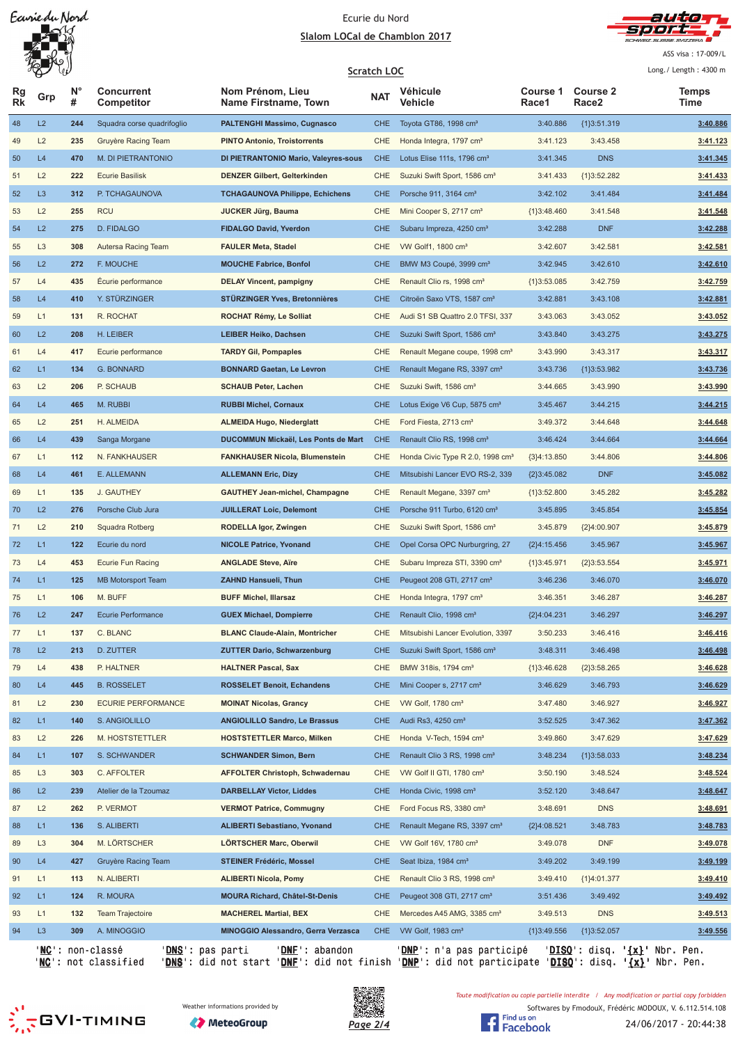## Ecurie du Nord Slalom LOCal de Chamblon 2017



ASS visa: 17-009/L

|                 | W<br>$\overline{\mathbb{Q}}$ |                  |                                               | <b>Scratch LOC</b>                       |            |                                              |                   |                          | Long./ Length: 4300 m         |
|-----------------|------------------------------|------------------|-----------------------------------------------|------------------------------------------|------------|----------------------------------------------|-------------------|--------------------------|-------------------------------|
| Rg<br><b>Rk</b> | Grp                          | $N^{\circ}$<br># | <b>Concurrent</b><br>Competitor               | Nom Prénom, Lieu<br>Name Firstname, Town | <b>NAT</b> | Véhicule<br>Vehicle                          | Course 1<br>Race1 | <b>Course 2</b><br>Race2 | Temps<br>Time                 |
| 48              | L2                           | 244              | Squadra corse quadrifoglio                    | <b>PALTENGHI Massimo, Cugnasco</b>       | CHE        | Toyota GT86, 1998 cm <sup>3</sup>            | 3:40.886          | ${1}3:51.319$            | 3:40.886                      |
| 49              | L2                           | 235              | Gruyère Racing Team                           | <b>PINTO Antonio, Troistorrents</b>      | <b>CHE</b> | Honda Integra, 1797 cm <sup>3</sup>          | 3:41.123          | 3:43.458                 | 3:41.123                      |
| 50              | L4                           | 470              | M. DI PIETRANTONIO                            | DI PIETRANTONIO Mario, Valeyres-sous     | <b>CHE</b> | Lotus Elise 111s, 1796 cm <sup>3</sup>       | 3:41.345          | <b>DNS</b>               | 3:41.345                      |
| 51              | L2                           | 222              | <b>Ecurie Basilisk</b>                        | <b>DENZER Gilbert, Gelterkinden</b>      | CHE        | Suzuki Swift Sport, 1586 cm <sup>3</sup>     | 3:41.433          | ${1}3:52.282$            | 3:41.433                      |
| 52              | L <sub>3</sub>               | 312              | P. TCHAGAUNOVA                                | <b>TCHAGAUNOVA Philippe, Echichens</b>   | CHE        | Porsche 911, 3164 cm <sup>3</sup>            | 3:42.102          | 3:41.484                 | 3:41.484                      |
| 53              | L2                           | 255              | <b>RCU</b>                                    | <b>JUCKER Jürg, Bauma</b>                | CHE        | Mini Cooper S, 2717 cm <sup>3</sup>          | ${1}3:48.460$     | 3:41.548                 | 3:41.548                      |
| 54              | L2                           | 275              | D. FIDALGO                                    | <b>FIDALGO David, Yverdon</b>            | CHE        | Subaru Impreza, 4250 cm <sup>3</sup>         | 3:42.288          | <b>DNF</b>               | 3:42.288                      |
| 55              | L <sub>3</sub>               | 308              | Autersa Racing Team                           | <b>FAULER Meta, Stadel</b>               | CHE        | VW Golf1, 1800 cm <sup>3</sup>               | 3:42.607          | 3:42.581                 | 3:42.581                      |
| 56              | L2                           | 272              | F. MOUCHE                                     | <b>MOUCHE Fabrice, Bonfol</b>            | <b>CHE</b> | BMW M3 Coupé, 3999 cm <sup>3</sup>           | 3:42.945          | 3:42.610                 | 3:42.610                      |
| 57              | L4                           | 435              | Écurie performance                            | <b>DELAY Vincent, pampigny</b>           | CHE        | Renault Clio rs, 1998 cm <sup>3</sup>        | ${1}3:53.085$     | 3:42.759                 | 3:42.759                      |
| 58              | L4                           | 410              | Y. STÜRZINGER                                 | <b>STÜRZINGER Yves, Bretonnières</b>     | <b>CHE</b> | Citroën Saxo VTS, 1587 cm <sup>3</sup>       | 3:42.881          | 3:43.108                 | 3:42.881                      |
| 59              | L1                           | 131              | R. ROCHAT                                     | ROCHAT Rémy, Le Solliat                  | CHE        | Audi S1 SB Quattro 2.0 TFSI, 337             | 3:43.063          | 3:43.052                 | 3:43.052                      |
| 60              | L2                           | 208              | H. LEIBER                                     | <b>LEIBER Heiko, Dachsen</b>             | <b>CHE</b> | Suzuki Swift Sport, 1586 cm <sup>3</sup>     | 3:43.840          | 3:43.275                 | 3:43.275                      |
| 61              | L4                           | 417              | Ecurie performance                            | <b>TARDY Gil, Pompaples</b>              | CHE        | Renault Megane coupe, 1998 cm <sup>3</sup>   | 3:43.990          | 3:43.317                 | 3:43.317                      |
| 62              | L1                           | 134              | G. BONNARD                                    | <b>BONNARD Gaetan, Le Levron</b>         | CHE        | Renault Megane RS, 3397 cm <sup>3</sup>      | 3:43.736          | ${1}3:53.982$            | 3:43.736                      |
| 63              | L2                           | 206              | P. SCHAUB                                     | <b>SCHAUB Peter, Lachen</b>              | CHE        | Suzuki Swift, 1586 cm <sup>3</sup>           | 3:44.665          | 3:43.990                 | 3:43.990                      |
| 64              | L4                           | 465              | M. RUBBI                                      | <b>RUBBI Michel, Cornaux</b>             | <b>CHE</b> | Lotus Exige V6 Cup, 5875 cm <sup>3</sup>     | 3:45.467          | 3:44.215                 | 3:44.215                      |
| 65              | L2                           | 251              | H. ALMEIDA                                    | <b>ALMEIDA Hugo, Niederglatt</b>         | CHE        | Ford Fiesta, 2713 cm <sup>3</sup>            | 3:49.372          | 3:44.648                 | 3:44.648                      |
| 66              | L4                           | 439              | Sanga Morgane                                 | DUCOMMUN Mickaël, Les Ponts de Mart      | <b>CHE</b> | Renault Clio RS, 1998 cm <sup>3</sup>        | 3:46.424          | 3:44.664                 | 3:44.664                      |
| 67              | L1                           | 112              | N. FANKHAUSER                                 | <b>FANKHAUSER Nicola, Blumenstein</b>    | CHE        | Honda Civic Type R 2.0, 1998 cm <sup>3</sup> | ${3}4:13.850$     | 3:44.806                 | 3:44.806                      |
| 68              | L4                           | 461              | E. ALLEMANN                                   | <b>ALLEMANN Eric, Dizy</b>               | <b>CHE</b> | Mitsubishi Lancer EVO RS-2, 339              | ${2}3:45.082$     | <b>DNF</b>               | 3:45.082                      |
| 69              | L1                           | 135              | J. GAUTHEY                                    | <b>GAUTHEY Jean-michel, Champagne</b>    | CHE        | Renault Megane, 3397 cm <sup>3</sup>         | ${1}3:52.800$     | 3:45.282                 | 3:45.282                      |
| 70              | L2                           | 276              | Porsche Club Jura                             | <b>JUILLERAT Loic, Delemont</b>          | <b>CHE</b> | Porsche 911 Turbo, 6120 cm <sup>3</sup>      | 3:45.895          | 3:45.854                 | 3:45.854                      |
| 71              | L2                           | 210              | Squadra Rotberg                               | RODELLA Igor, Zwingen                    | CHE        | Suzuki Swift Sport, 1586 cm <sup>3</sup>     | 3:45.879          | {2}4:00.907              | 3:45.879                      |
| 72              | L1                           | 122              | Ecurie du nord                                | <b>NICOLE Patrice, Yvonand</b>           | <b>CHE</b> | Opel Corsa OPC Nurburgring, 27               | ${2}4:15.456$     | 3:45.967                 | 3:45.967                      |
| 73              | L4                           | 453              | Ecurie Fun Racing                             | <b>ANGLADE Steve, Aïre</b>               | CHE        | Subaru Impreza STI, 3390 cm <sup>3</sup>     | ${1}3:45.971$     | ${2}3:53.554$            | 3:45.971                      |
| 74              | L1                           | 125              | <b>MB Motorsport Team</b>                     | <b>ZAHND Hansueli, Thun</b>              | CHE        | Peugeot 208 GTI, 2717 cm <sup>3</sup>        | 3:46.236          | 3:46.070                 | 3:46.070                      |
| 75              | L1                           | 106              | M. BUFF                                       | <b>BUFF Michel, Illarsaz</b>             | CHE        | Honda Integra, 1797 cm <sup>3</sup>          | 3:46.351          | 3:46.287                 | 3:46.287                      |
| 76              | L2                           | 247              | <b>Ecurie Performance</b>                     | <b>GUEX Michael, Dompierre</b>           | CHE.       | Renault Clio, 1998 cm <sup>3</sup>           | {2}4:04.231       | 3:46.297                 | 3:46.297                      |
| 77              | L1                           | 137              | C. BLANC                                      | <b>BLANC Claude-Alain, Montricher</b>    | <b>CHE</b> | Mitsubishi Lancer Evolution, 3397            | 3:50.233          | 3:46.416                 | 3:46.416                      |
| 78              | L2                           | 213              | D. ZUTTER                                     | <b>ZUTTER Dario, Schwarzenburg</b>       | CHE        | Suzuki Swift Sport, 1586 cm <sup>3</sup>     | 3:48.311          | 3:46.498                 | 3:46.498                      |
| 79              | L4                           | 438              | P. HALTNER                                    | <b>HALTNER Pascal, Sax</b>               | CHE        | BMW 318is, 1794 cm <sup>3</sup>              | ${1}3:46.628$     | ${2}3:58.265$            | 3:46.628                      |
| 80              | L4                           | 445              | <b>B. ROSSELET</b>                            | <b>ROSSELET Benoit, Echandens</b>        | CHE        | Mini Cooper s, 2717 cm <sup>3</sup>          | 3:46.629          | 3:46.793                 | 3:46.629                      |
| 81              | L2                           | 230              | <b>ECURIE PERFORMANCE</b>                     | <b>MOINAT Nicolas, Grancy</b>            | CHE        | VW Golf, 1780 cm <sup>3</sup>                | 3:47.480          | 3:46.927                 | 3:46.927                      |
| 82              | L1                           | 140              | S. ANGIOLILLO                                 | <b>ANGIOLILLO Sandro, Le Brassus</b>     | CHE        | Audi Rs3, 4250 cm <sup>3</sup>               | 3:52.525          | 3:47.362                 | 3:47.362                      |
| 83              | L2                           | 226              | M. HOSTSTETTLER                               | <b>HOSTSTETTLER Marco, Milken</b>        | CHE        | Honda V-Tech, 1594 cm <sup>3</sup>           | 3:49.860          | 3:47.629                 | 3:47.629                      |
| 84              | L1                           | 107              | S. SCHWANDER                                  | <b>SCHWANDER Simon, Bern</b>             | CHE        | Renault Clio 3 RS, 1998 cm <sup>3</sup>      | 3:48.234          | ${1}3:58.033$            | 3:48.234                      |
| 85              | L <sub>3</sub>               | 303              | C. AFFOLTER                                   | <b>AFFOLTER Christoph, Schwadernau</b>   | CHE        | VW Golf II GTI, 1780 cm <sup>3</sup>         | 3:50.190          | 3:48.524                 | 3:48.524                      |
| 86              | L2                           | 239              | Atelier de la Tzoumaz                         | <b>DARBELLAY Victor, Liddes</b>          | <b>CHE</b> | Honda Civic, 1998 cm <sup>3</sup>            | 3:52.120          | 3:48.647                 | 3:48.647                      |
| 87              | L2                           | 262              | P. VERMOT                                     | <b>VERMOT Patrice, Commugny</b>          | CHE        | Ford Focus RS, 3380 cm <sup>3</sup>          | 3:48.691          | <b>DNS</b>               | 3:48.691                      |
| 88              | L1                           | 136              | S. ALIBERTI                                   | <b>ALIBERTI Sebastiano, Yvonand</b>      | CHE        | Renault Megane RS, 3397 cm <sup>3</sup>      | {2}4:08.521       | 3:48.783                 | 3:48.783                      |
| 89              | L <sub>3</sub>               | 304              | M. LÖRTSCHER                                  | LÖRTSCHER Marc, Oberwil                  | CHE        | VW Golf 16V, 1780 cm <sup>3</sup>            | 3:49.078          | <b>DNF</b>               | 3:49.078                      |
| 90              | L4                           | 427              | Gruyère Racing Team                           | <b>STEINER Frédéric, Mossel</b>          | <b>CHE</b> | Seat Ibiza, 1984 cm <sup>3</sup>             | 3:49.202          | 3:49.199                 | 3:49.199                      |
| 91              | L1                           | 113              | N. ALIBERTI                                   | <b>ALIBERTI Nicola, Pomy</b>             | CHE        | Renault Clio 3 RS, 1998 cm <sup>3</sup>      | 3:49.410          | ${1}4:01.377$            | 3:49.410                      |
| 92              | L1                           | 124              | R. MOURA                                      | <b>MOURA Richard, Châtel-St-Denis</b>    | CHE        | Peugeot 308 GTI, 2717 cm <sup>3</sup>        | 3:51.436          | 3:49.492                 | 3:49.492                      |
| 93              | L1                           | 132              | Team Trajectoire                              | <b>MACHEREL Martial, BEX</b>             | CHE        | Mercedes A45 AMG, 3385 cm <sup>3</sup>       | 3:49.513          | <b>DNS</b>               | 3:49.513                      |
| 94              | L <sub>3</sub>               | 309              | A. MINOGGIO                                   | MINOGGIO Alessandro, Gerra Verzasca      | <b>CHE</b> | VW Golf, 1983 cm <sup>3</sup>                | ${1}3:49.556$     | ${1}3:52.057$            | 3:49.556                      |
|                 |                              |                  | 'NC': non-classé<br>' <u>DNS</u> ': pas parti | ' <u>DNF</u> ': abandon                  |            | ' <u>DNP</u> ': n'a pas participé            |                   |                          | 'DISQ': disq. '{x}' Nbr. Pen. |

'<u>NC</u>': not classified '<u>DNS</u>': did not start '<u>DNF</u>': did not finish '<u>DNP</u>': did not participate '<u>DISQ</u>': disq. '<u>{x}</u>' Nbr. Pen.







Toute modification ou copie partielle interdite / Any modification or partial copy forbidden

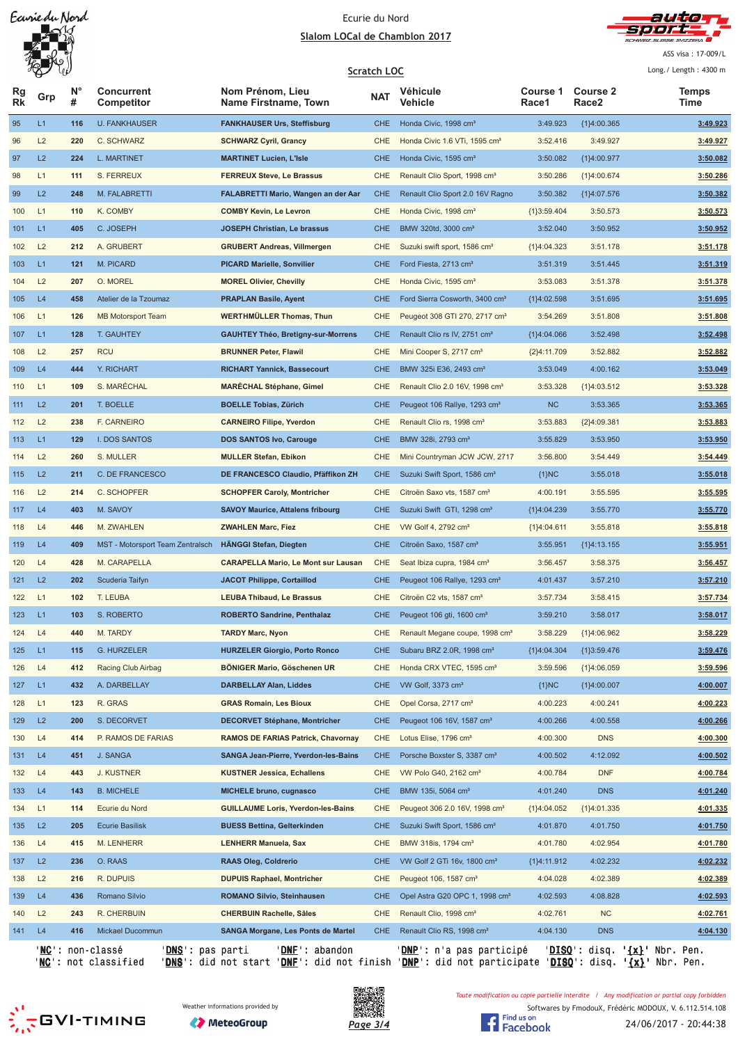## Ecurie du Nord Slalom LOCal de Chamblon 2017



ASS visa: 17-009/L

|                 | W   |                  |                                                        |                                                 |            | <b>Scratch LOC</b>                         |                   |                                      | Long./ Length: 4300 m         |
|-----------------|-----|------------------|--------------------------------------------------------|-------------------------------------------------|------------|--------------------------------------------|-------------------|--------------------------------------|-------------------------------|
| Rg<br><b>Rk</b> | Grp | $N^{\circ}$<br># | <b>Concurrent</b><br><b>Competitor</b>                 | Nom Prénom, Lieu<br><b>Name Firstname, Town</b> | <b>NAT</b> | Véhicule<br>Vehicle                        | Course 1<br>Race1 | <b>Course 2</b><br>Race <sub>2</sub> | <b>Temps</b><br>Time          |
| 95              | L1  | 116              | <b>U. FANKHAUSER</b>                                   | <b>FANKHAUSER Urs, Steffisburg</b>              | <b>CHE</b> | Honda Civic, 1998 cm <sup>3</sup>          | 3:49.923          | ${1}4:00.365$                        | 3:49.923                      |
| 96              | L2  | 220              | C. SCHWARZ                                             | <b>SCHWARZ Cyril, Grancy</b>                    | CHE        | Honda Civic 1.6 VTi, 1595 cm <sup>3</sup>  | 3:52.416          | 3:49.927                             | 3:49.927                      |
| 97              | L2  | 224              | L. MARTINET                                            | <b>MARTINET Lucien, L'Isle</b>                  | <b>CHE</b> | Honda Civic, 1595 cm <sup>3</sup>          | 3:50.082          | {1}4:00.977                          | 3:50.082                      |
| 98              | L1  | 111              | S. FERREUX                                             | <b>FERREUX Steve, Le Brassus</b>                | CHE        | Renault Clio Sport, 1998 cm <sup>3</sup>   | 3:50.286          | ${1}4:00.674$                        | 3:50.286                      |
| 99              | L2  | 248              | M. FALABRETTI                                          | <b>FALABRETTI Mario, Wangen an der Aar</b>      | <b>CHE</b> | Renault Clio Sport 2.0 16V Ragno           | 3:50.382          | ${1}4:07.576$                        | 3:50.382                      |
| 100             | L1  | 110              | K. COMBY                                               | <b>COMBY Kevin, Le Levron</b>                   | CHE        | Honda Civic, 1998 cm <sup>3</sup>          | ${1}3:59.404$     | 3:50.573                             | 3:50.573                      |
| 101             | L1  | 405              | C. JOSEPH                                              | JOSEPH Christian, Le brassus                    | <b>CHE</b> | BMW 320td, 3000 cm <sup>3</sup>            | 3:52.040          | 3:50.952                             | 3:50.952                      |
| 102             | L2  | 212              | A. GRUBERT                                             | <b>GRUBERT Andreas, Villmergen</b>              | CHE        | Suzuki swift sport, 1586 cm <sup>3</sup>   | ${1}4:04.323$     | 3:51.178                             | 3:51.178                      |
| 103             | L1  | 121              | M. PICARD                                              | <b>PICARD Marielle, Sonvilier</b>               | <b>CHE</b> | Ford Fiesta, 2713 cm <sup>3</sup>          | 3:51.319          | 3:51.445                             | 3:51.319                      |
| 104             | L2  | 207              | O. MOREL                                               | <b>MOREL Olivier, Chevilly</b>                  | CHE        | Honda Civic, 1595 cm <sup>3</sup>          | 3:53.083          | 3:51.378                             | 3:51.378                      |
| 105             | L4  | 458              | Atelier de la Tzoumaz                                  | <b>PRAPLAN Basile, Ayent</b>                    | <b>CHE</b> | Ford Sierra Cosworth, 3400 cm <sup>3</sup> | ${1}4:02.598$     | 3:51.695                             | 3:51.695                      |
| 106             | L1  | 126              | <b>MB Motorsport Team</b>                              | <b>WERTHMÜLLER Thomas, Thun</b>                 | CHE        | Peugeot 308 GTI 270, 2717 cm <sup>3</sup>  | 3:54.269          | 3:51.808                             | 3:51.808                      |
| 107             | L1  | 128              | <b>T. GAUHTEY</b>                                      | <b>GAUHTEY Théo, Bretigny-sur-Morrens</b>       | <b>CHE</b> | Renault Clio rs IV, 2751 cm <sup>3</sup>   | ${1}4:04.066$     | 3:52.498                             | 3:52.498                      |
| 108             | L2  | 257              | <b>RCU</b>                                             | <b>BRUNNER Peter, Flawil</b>                    | <b>CHE</b> | Mini Cooper S, 2717 cm <sup>3</sup>        | ${2}4:11.709$     | 3:52.882                             | 3:52.882                      |
| 109             | L4  | 444              | <b>Y. RICHART</b>                                      | <b>RICHART Yannick, Bassecourt</b>              | <b>CHE</b> | BMW 325i E36, 2493 cm <sup>3</sup>         | 3:53.049          | 4:00.162                             | 3:53.049                      |
| 110             | L1  | 109              | S. MARÉCHAL                                            | <b>MARÉCHAL Stéphane, Gimel</b>                 | CHE        | Renault Clio 2.0 16V, 1998 cm <sup>3</sup> | 3:53.328          | ${1}4:03.512$                        | 3:53.328                      |
| 111             | L2  | 201              | T. BOELLE                                              | <b>BOELLE Tobias, Zürich</b>                    | <b>CHE</b> | Peugeot 106 Rallye, 1293 cm <sup>3</sup>   | <b>NC</b>         | 3:53.365                             | 3:53.365                      |
| 112             | L2  | 238              | F. CARNEIRO                                            | <b>CARNEIRO Filipe, Yverdon</b>                 | CHE        | Renault Clio rs, 1998 cm <sup>3</sup>      | 3:53.883          | ${2}4:09.381$                        | 3:53.883                      |
| 113             | L1  | 129              | I. DOS SANTOS                                          | <b>DOS SANTOS Ivo, Carouge</b>                  | <b>CHE</b> | BMW 328i, 2793 cm <sup>3</sup>             | 3:55.829          | 3:53.950                             | 3:53.950                      |
| 114             | L2  | 260              | S. MULLER                                              | <b>MULLER Stefan, Ebikon</b>                    | CHE        | Mini Countryman JCW JCW, 2717              | 3:56.800          | 3:54.449                             | 3:54.449                      |
| 115             | L2  | 211              | C. DE FRANCESCO                                        | DE FRANCESCO Claudio, Pfäffikon ZH              | <b>CHE</b> | Suzuki Swift Sport, 1586 cm <sup>3</sup>   | ${1}NC$           | 3:55.018                             | 3:55.018                      |
| 116             | L2  | 214              | C. SCHOPFER                                            | <b>SCHOPFER Caroly, Montricher</b>              | CHE        | Citroën Saxo vts, 1587 cm <sup>3</sup>     | 4:00.191          | 3:55.595                             | 3:55.595                      |
| 117             | L4  | 403              | M. SAVOY                                               | <b>SAVOY Maurice, Attalens fribourg</b>         | <b>CHE</b> | Suzuki Swift GTI, 1298 cm <sup>3</sup>     | {1}4:04.239       | 3:55.770                             | 3:55.770                      |
| 118             | L4  | 446              | M. ZWAHLEN                                             | <b>ZWAHLEN Marc, Fiez</b>                       | CHE        | VW Golf 4, 2792 cm <sup>3</sup>            | ${1}4:04.611$     | 3:55.818                             | 3:55.818                      |
| 119             | L4  | 409              | MST - Motorsport Team Zentralsch                       | HÄNGGI Stefan, Diegten                          | <b>CHE</b> | Citroën Saxo, 1587 cm <sup>3</sup>         | 3:55.951          | ${1}4:13.155$                        | 3:55.951                      |
| 120             | L4  | 428              | M. CARAPELLA                                           | <b>CARAPELLA Mario, Le Mont sur Lausan</b>      | CHE        | Seat Ibiza cupra, 1984 cm <sup>3</sup>     | 3:56.457          | 3:58.375                             | 3:56.457                      |
| 121             | L2  | 202              | Scuderia Taifyn                                        | <b>JACOT Philippe, Cortaillod</b>               | <b>CHE</b> | Peugeot 106 Rallye, 1293 cm <sup>3</sup>   | 4:01.437          | 3:57.210                             | 3:57.210                      |
| 122             | L1  | 102              | T. LEUBA                                               | <b>LEUBA Thibaud, Le Brassus</b>                | CHE        | Citroën C2 vts, 1587 cm <sup>3</sup>       | 3:57.734          | 3:58.415                             | 3:57.734                      |
| 123             | L1  | 103              | S. ROBERTO                                             | <b>ROBERTO Sandrine, Penthalaz</b>              | <b>CHE</b> | Peugeot 106 gti, 1600 cm <sup>3</sup>      | 3:59.210          | 3:58.017                             | 3:58.017                      |
| 124             | L4  | 440              | M. TARDY                                               | <b>TARDY Marc, Nyon</b>                         | CHE        | Renault Megane coupe, 1998 cm <sup>3</sup> | 3:58.229          | ${1}4:06.962$                        | 3:58.229                      |
| 125             | L1  | 115              | <b>G. HURZELER</b>                                     | <b>HURZELER Giorgio, Porto Ronco</b>            | <b>CHE</b> | Subaru BRZ 2.0R, 1998 cm <sup>3</sup>      | ${1}3.04.304$     | ${1}3:59.476$                        | 3:59.476                      |
| 126             | L4  | 412              | Racing Club Airbag                                     | BÖNIGER Mario, Göschenen UR                     | CHE        | Honda CRX VTEC, 1595 cm <sup>3</sup>       | 3:59.596          | ${1}4:06.059$                        | 3:59.596                      |
| 127             | L1  | 432              | A. DARBELLAY                                           | <b>DARBELLAY Alan, Liddes</b>                   | <b>CHE</b> | VW Golf, 3373 cm <sup>3</sup>              | ${1}NC$           | {1}4:00.007                          | 4:00.007                      |
| 128             | L1  | 123              | R. GRAS                                                | <b>GRAS Romain, Les Bioux</b>                   | CHE        | Opel Corsa, 2717 cm <sup>3</sup>           | 4:00.223          | 4:00.241                             | 4:00.223                      |
| 129             | L2  | 200              | S. DECORVET                                            | <b>DECORVET Stéphane, Montricher</b>            | <b>CHE</b> | Peugeot 106 16V, 1587 cm <sup>3</sup>      | 4:00.266          | 4:00.558                             | 4:00.266                      |
| 130             | L4  | 414              | P. RAMOS DE FARIAS                                     | <b>RAMOS DE FARIAS Patrick, Chavornay</b>       | CHE        | Lotus Elise, 1796 cm <sup>3</sup>          | 4:00.300          | <b>DNS</b>                           | 4:00.300                      |
| 131             | L4  | 451              | J. SANGA                                               | <b>SANGA Jean-Pierre, Yverdon-les-Bains</b>     | <b>CHE</b> | Porsche Boxster S, 3387 cm <sup>3</sup>    | 4:00.502          | 4:12.092                             | 4:00.502                      |
| 132             | L4  | 443              | <b>J. KUSTNER</b>                                      | <b>KUSTNER Jessica, Echallens</b>               | CHE        | VW Polo G40, 2162 cm <sup>3</sup>          | 4:00.784          | <b>DNF</b>                           | 4:00.784                      |
| 133             | L4  | 143              | <b>B. MICHELE</b>                                      | <b>MICHELE bruno, cugnasco</b>                  | <b>CHE</b> | BMW 135i, 5064 cm <sup>3</sup>             | 4:01.240          | <b>DNS</b>                           | 4:01.240                      |
| 134             | L1  | 114              | Ecurie du Nord                                         | <b>GUILLAUME Loris, Yverdon-les-Bains</b>       | CHE        | Peugeot 306 2.0 16V, 1998 cm <sup>3</sup>  | ${1}4:04.052$     | ${1}4:01.335$                        | 4:01.335                      |
| 135             | L2  | 205              | <b>Ecurie Basilisk</b>                                 | <b>BUESS Bettina, Gelterkinden</b>              | <b>CHE</b> | Suzuki Swift Sport, 1586 cm <sup>3</sup>   | 4:01.870          | 4:01.750                             | 4:01.750                      |
| 136             | L4  | 415              | M. LENHERR                                             | <b>LENHERR Manuela, Sax</b>                     | CHE        | BMW 318is, 1794 cm <sup>3</sup>            | 4:01.780          | 4:02.954                             | 4:01.780                      |
| 137             | L2  | 236              | O. RAAS                                                | <b>RAAS Oleg, Coldrerio</b>                     | <b>CHE</b> | VW Golf 2 GTi 16v, 1800 cm <sup>3</sup>    | {1}4:11.912       | 4:02.232                             | 4:02.232                      |
| 138             | L2  | 216              | R. DUPUIS                                              | <b>DUPUIS Raphael, Montricher</b>               | CHE        | Peugeot 106, 1587 cm <sup>3</sup>          | 4:04.028          | 4:02.389                             | 4:02.389                      |
| 139             | L4  | 436              | Romano Silvio                                          | <b>ROMANO Silvio, Steinhausen</b>               | <b>CHE</b> | Opel Astra G20 OPC 1, 1998 cm <sup>3</sup> | 4:02.593          | 4:08.828                             | 4:02.593                      |
| 140             | L2  | 243              | R. CHERBUIN                                            | <b>CHERBUIN Rachelle, Sâles</b>                 | CHE        | Renault Clio, 1998 cm <sup>3</sup>         | 4:02.761          | NC                                   | 4:02.761                      |
| 141             | L4  | 416              | Mickael Ducommun                                       | <b>SANGA Morgane, Les Ponts de Martel</b>       | <b>CHE</b> | Renault Clio RS, 1998 cm <sup>3</sup>      | 4:04.130          | <b>DNS</b>                           | 4:04.130                      |
|                 |     |                  | ' <b>NC</b> ': non-classé<br>' <u>DNS</u> ': pas parti | 'DNE': abandon                                  |            | ' <u>DNP</u> ': n'a pas participé          |                   |                                      | 'DISQ': disq. '{x}' Nbr. Pen. |

'<u>NC</u>': not classified '<u>DNS</u>': did not start '<u>DNF</u>': did not finish '<u>DNP</u>': did not participate '<u>DISQ</u>': disq. '<u>{x}</u>' Nbr. Pen.

Toute modification ou copie partielle interdite / Any modification or partial copy forbidden







Softwares by FmodouX, Frédéric MODOUX, V. 6.112.514.108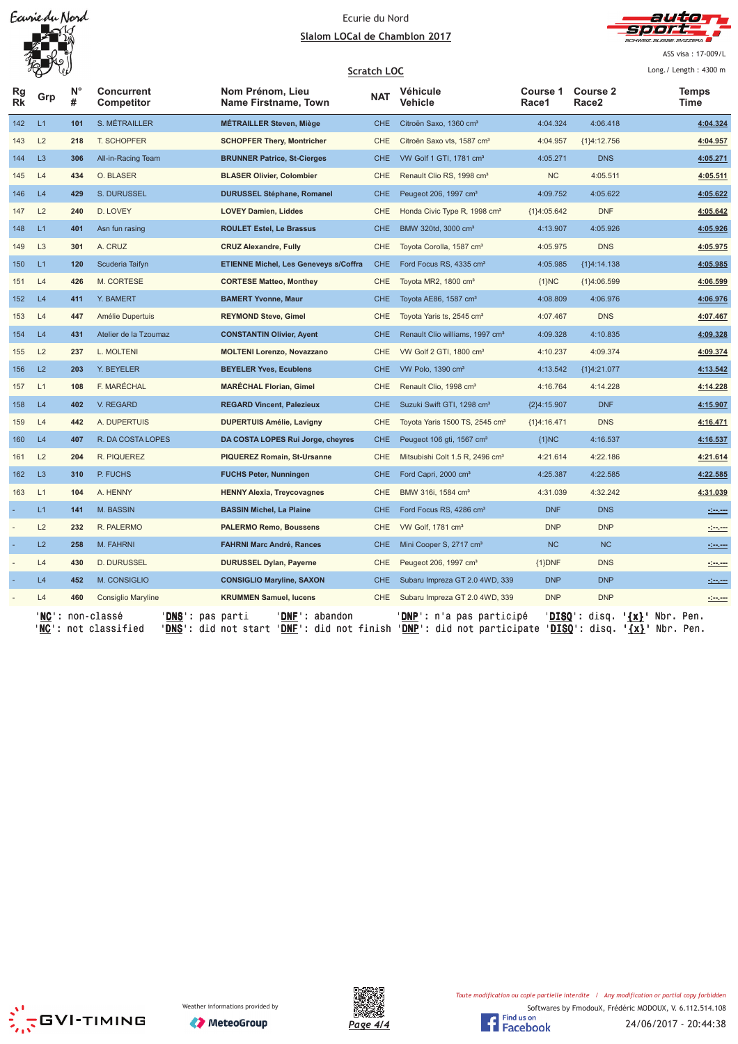## Ecurie du Nord Slalom LOCal de Chamblon 2017



ASS visa: 17-009/L

|                 | $\overline{\mathscr{P}}$<br>W |         |                                                                          |                                                                                                                                                                  | Scratch LOC |                                             |                          |                          |                          | Long./ Length: 4300 m                                                                                                                                                                                                                |
|-----------------|-------------------------------|---------|--------------------------------------------------------------------------|------------------------------------------------------------------------------------------------------------------------------------------------------------------|-------------|---------------------------------------------|--------------------------|--------------------------|--------------------------|--------------------------------------------------------------------------------------------------------------------------------------------------------------------------------------------------------------------------------------|
| Rg<br><b>Rk</b> |                               | N°<br># | <b>Concurrent</b><br>Competitor                                          | Nom Prénom, Lieu<br>Name Firstname, Town                                                                                                                         | <b>NAT</b>  | Véhicule<br>Vehicle                         | <b>Course 1</b><br>Race1 | <b>Course 2</b><br>Race2 |                          | <b>Temps</b><br>Time                                                                                                                                                                                                                 |
| 142             | L1                            | 101     | S. MÉTRAILLER                                                            | <b>MÉTRAILLER Steven, Miège</b>                                                                                                                                  | <b>CHE</b>  | Citroën Saxo, 1360 cm <sup>3</sup>          | 4:04.324                 | 4:06.418                 |                          | 4:04.324                                                                                                                                                                                                                             |
| 143             | L2                            | 218     | <b>T. SCHOPFER</b>                                                       | <b>SCHOPFER Thery, Montricher</b>                                                                                                                                | <b>CHE</b>  | Citroën Saxo vts, 1587 cm <sup>3</sup>      | 4:04.957                 | ${1}4:12.756$            |                          | 4:04.957                                                                                                                                                                                                                             |
| 144             | L <sub>3</sub>                | 306     | All-in-Racing Team                                                       | <b>BRUNNER Patrice, St-Cierges</b>                                                                                                                               | CHE.        | VW Golf 1 GTI, 1781 cm <sup>3</sup>         | 4:05.271                 | <b>DNS</b>               |                          | 4:05.271                                                                                                                                                                                                                             |
| 145             | L4                            | 434     | O. BLASER                                                                | <b>BLASER Olivier, Colombier</b>                                                                                                                                 | CHE         | Renault Clio RS, 1998 cm <sup>3</sup>       | <b>NC</b>                | 4:05.511                 |                          | 4:05.511                                                                                                                                                                                                                             |
| 146             | L4                            | 429     | S. DURUSSEL                                                              | <b>DURUSSEL Stéphane, Romanel</b>                                                                                                                                | <b>CHE</b>  | Peugeot 206, 1997 cm <sup>3</sup>           | 4:09.752                 | 4:05.622                 |                          | 4:05.622                                                                                                                                                                                                                             |
| 147             | L2                            | 240     | D. LOVEY                                                                 | <b>LOVEY Damien, Liddes</b>                                                                                                                                      | CHE         | Honda Civic Type R, 1998 cm <sup>3</sup>    | ${1}4:05.642$            | <b>DNF</b>               |                          | 4:05.642                                                                                                                                                                                                                             |
| 148             | L1                            | 401     | Asn fun rasing                                                           | <b>ROULET Estel, Le Brassus</b>                                                                                                                                  | <b>CHE</b>  | BMW 320td, 3000 cm <sup>3</sup>             | 4:13.907                 | 4:05.926                 |                          | 4:05.926                                                                                                                                                                                                                             |
| 149             | L <sub>3</sub>                | 301     | A. CRUZ                                                                  | <b>CRUZ Alexandre, Fully</b>                                                                                                                                     | <b>CHE</b>  | Toyota Corolla, 1587 cm <sup>3</sup>        | 4:05.975                 | <b>DNS</b>               |                          | 4:05.975                                                                                                                                                                                                                             |
| 150             | L1                            | 120     | Scuderia Taifyn                                                          | <b>ETIENNE Michel, Les Geneveys s/Coffra</b>                                                                                                                     | <b>CHE</b>  | Ford Focus RS, 4335 cm <sup>3</sup>         | 4:05.985                 | ${1}4:14.138$            |                          | 4:05.985                                                                                                                                                                                                                             |
| 151             | L4                            | 426     | M. CORTESE                                                               | <b>CORTESE Matteo, Monthey</b>                                                                                                                                   | <b>CHE</b>  | Toyota MR2, 1800 cm <sup>3</sup>            | ${1}NC$                  | ${1}4:06.599$            |                          | 4:06.599                                                                                                                                                                                                                             |
| 152             | L4                            | 411     | Y. BAMERT                                                                | <b>BAMERT Yvonne, Maur</b>                                                                                                                                       | CHE         | Toyota AE86, 1587 cm <sup>3</sup>           | 4:08.809                 | 4:06.976                 |                          | 4:06.976                                                                                                                                                                                                                             |
| 153             | L4                            | 447     | Amélie Dupertuis                                                         | <b>REYMOND Steve, Gimel</b>                                                                                                                                      | <b>CHE</b>  | Toyota Yaris ts, 2545 cm <sup>3</sup>       | 4:07.467                 | <b>DNS</b>               |                          | 4:07.467                                                                                                                                                                                                                             |
| 154             | L4                            | 431     | Atelier de la Tzoumaz                                                    | <b>CONSTANTIN Olivier, Ayent</b>                                                                                                                                 | <b>CHE</b>  | Renault Clio williams, 1997 cm <sup>3</sup> | 4:09.328                 | 4:10.835                 |                          | 4:09.328                                                                                                                                                                                                                             |
| 155             | L2                            | 237     | L. MOLTENI                                                               | <b>MOLTENI Lorenzo, Novazzano</b>                                                                                                                                | CHE         | VW Golf 2 GTI, 1800 cm <sup>3</sup>         | 4:10.237                 | 4:09.374                 |                          | 4:09.374                                                                                                                                                                                                                             |
| 156             | L2                            | 203     | Y. BEYELER                                                               | <b>BEYELER Yves, Ecublens</b>                                                                                                                                    | <b>CHE</b>  | VW Polo, 1390 cm <sup>3</sup>               | 4:13.542                 | ${1}4:21.077$            |                          | 4:13.542                                                                                                                                                                                                                             |
| 157             | L1                            | 108     | F. MARÉCHAL                                                              | <b>MARECHAL Florian, Gimel</b>                                                                                                                                   | CHE         | Renault Clio, 1998 cm <sup>3</sup>          | 4:16.764                 | 4:14.228                 |                          | 4:14.228                                                                                                                                                                                                                             |
| 158             | L4                            | 402     | V. REGARD                                                                | <b>REGARD Vincent, Palezieux</b>                                                                                                                                 | <b>CHE</b>  | Suzuki Swift GTI, 1298 cm <sup>3</sup>      | {2}4:15.907              | <b>DNF</b>               |                          | 4:15.907                                                                                                                                                                                                                             |
| 159             | L4                            | 442     | A. DUPERTUIS                                                             | <b>DUPERTUIS Amélie, Lavigny</b>                                                                                                                                 | <b>CHE</b>  | Toyota Yaris 1500 TS, 2545 cm <sup>3</sup>  | ${1}4:16.471$            | <b>DNS</b>               |                          | 4:16.471                                                                                                                                                                                                                             |
| 160             | L4                            | 407     | R. DA COSTA LOPES                                                        | DA COSTA LOPES Rui Jorge, cheyres                                                                                                                                | <b>CHE</b>  | Peugeot 106 gti, 1567 cm <sup>3</sup>       | ${1}NC$                  | 4:16.537                 |                          | 4:16.537                                                                                                                                                                                                                             |
| 161             | L2                            | 204     | R. PIQUEREZ                                                              | <b>PIQUEREZ Romain, St-Ursanne</b>                                                                                                                               | <b>CHE</b>  | Mitsubishi Colt 1.5 R, 2496 cm <sup>3</sup> | 4:21.614                 | 4:22.186                 |                          | 4:21.614                                                                                                                                                                                                                             |
| 162             | L <sub>3</sub>                | 310     | P. FUCHS                                                                 | <b>FUCHS Peter, Nunningen</b>                                                                                                                                    | <b>CHE</b>  | Ford Capri, 2000 cm <sup>3</sup>            | 4:25.387                 | 4:22.585                 |                          | 4:22.585                                                                                                                                                                                                                             |
| 163             | L1                            | 104     | A. HENNY                                                                 | <b>HENNY Alexia, Treycovagnes</b>                                                                                                                                | <b>CHE</b>  | BMW 316i, 1584 cm <sup>3</sup>              | 4:31.039                 | 4:32.242                 |                          | 4:31.039                                                                                                                                                                                                                             |
|                 | L1                            | 141     | M. BASSIN                                                                | <b>BASSIN Michel, La Plaine</b>                                                                                                                                  | <b>CHE</b>  | Ford Focus RS, 4286 cm <sup>3</sup>         | <b>DNF</b>               | <b>DNS</b>               |                          | <u> - 100 - 100 - 100 - 100 - 100 - 100 - 100 - 100 - 100 - 100 - 100 - 100 - 100 - 100 - 100 - 100 - 100 - 100 - 100 - 100 - 100 - 100 - 100 - 100 - 100 - 100 - 100 - 100 - 100 - 100 - 100 - 100 - 100 - 100 - 100 - 100 - 10</u> |
|                 | L2                            | 232     | R. PALERMO                                                               | <b>PALERMO Remo, Boussens</b>                                                                                                                                    | <b>CHE</b>  | VW Golf, 1781 cm <sup>3</sup>               | <b>DNP</b>               | <b>DNP</b>               |                          | <u> 1999 - 1999 - 1999 - 1999 - 1999 - 1999 - 1999 - 1999 - 1999 - 1999 - 1999 - 1999 - 1999 - 1999 - 1999 - 199</u>                                                                                                                 |
|                 | L2                            | 258     | M. FAHRNI                                                                | <b>FAHRNI Marc André, Rances</b>                                                                                                                                 | <b>CHE</b>  | Mini Cooper S, 2717 cm <sup>3</sup>         | <b>NC</b>                | <b>NC</b>                |                          | $\frac{1}{2}$ and $\frac{1}{2}$                                                                                                                                                                                                      |
|                 | L4                            | 430     | D. DURUSSEL                                                              | <b>DURUSSEL Dylan, Payerne</b>                                                                                                                                   | <b>CHE</b>  | Peugeot 206, 1997 cm <sup>3</sup>           | ${1}$ DNF                | <b>DNS</b>               |                          | <u> 1999 - 1999</u>                                                                                                                                                                                                                  |
|                 | L4                            | 452     | M. CONSIGLIO                                                             | <b>CONSIGLIO Maryline, SAXON</b>                                                                                                                                 | <b>CHE</b>  | Subaru Impreza GT 2.0 4WD, 339              | <b>DNP</b>               | <b>DNP</b>               |                          | <u> 1999 - 1999</u>                                                                                                                                                                                                                  |
|                 | L4                            | 460     | <b>Consiglio Maryline</b>                                                | <b>KRUMMEN Samuel, lucens</b>                                                                                                                                    | <b>CHE</b>  | Subaru Impreza GT 2.0 4WD, 339              | <b>DNP</b>               | <b>DNP</b>               |                          | <u>Since</u>                                                                                                                                                                                                                         |
|                 | ' NC                          |         | non-classé<br>' <b>DNS</b> ': pas parti<br>' <b>NC</b> ': not classified | 'DNF': abandon<br>' <b>DNS</b> ': did not start ' <b>DNF</b> ': did not finish ' <b>DNP</b> ': did not participate ' <b>DISQ</b> ': disq. <b>'{x}'</b> Nbr. Pen. |             | DNP': n'a pas participé                     |                          | ' <b>DISQ</b> ': disq.   | ' <u>{x}</u> ' Nbr. Pen. |                                                                                                                                                                                                                                      |





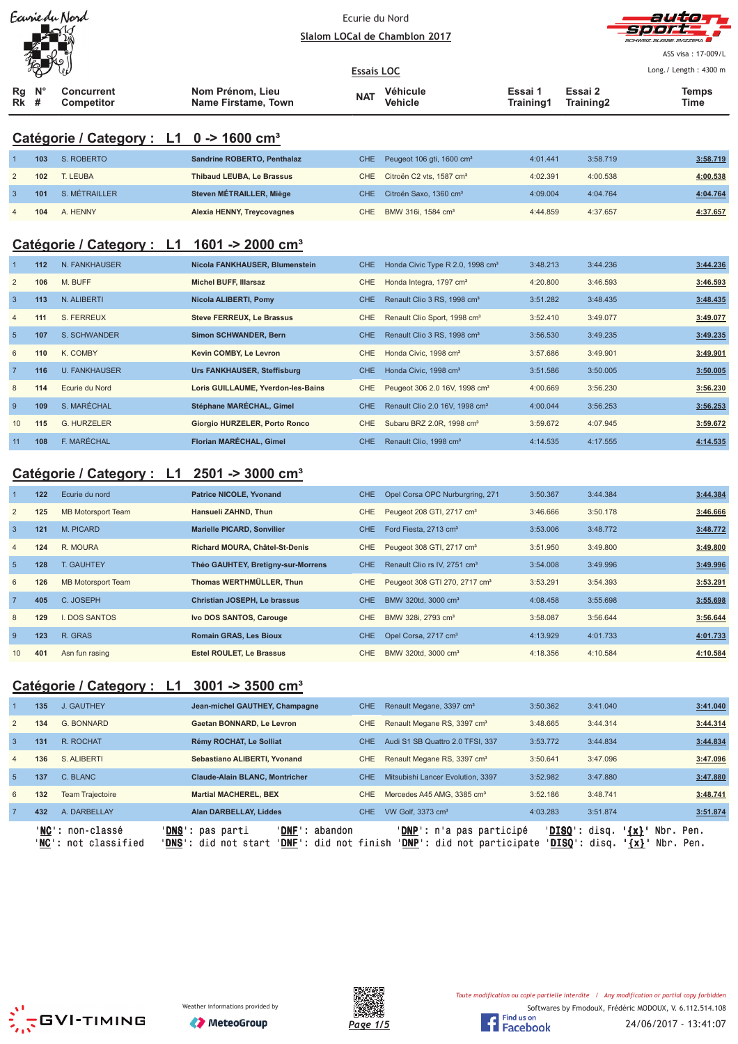|                 |     | Earriedu Nord                                       | Ecurie du Nord<br>Slalom LOCal de Chamblon 2017 |            |                                              |                      |                      | autan<br>コワン                |
|-----------------|-----|-----------------------------------------------------|-------------------------------------------------|------------|----------------------------------------------|----------------------|----------------------|-----------------------------|
|                 |     |                                                     |                                                 |            |                                              |                      |                      | ASS visa: 17-009/L          |
|                 |     |                                                     | <b>Essais LOC</b>                               |            |                                              |                      |                      | Long./ Length: 4300 m       |
| Rg<br><b>Rk</b> | #   | <b>Concurrent</b><br><b>Competitor</b>              | Nom Prénom, Lieu<br>Name Firstame, Town         | <b>NAT</b> | Véhicule<br><b>Vehicle</b>                   | Essai 1<br>Training1 | Essai 2<br>Training2 | <b>Temps</b><br><b>Time</b> |
|                 |     | Catégorie / Category : L1 0 -> 1600 cm <sup>3</sup> |                                                 |            |                                              |                      |                      |                             |
| 1               | 103 | S. ROBERTO                                          | Sandrine ROBERTO, Penthalaz                     | <b>CHE</b> | Peugeot 106 gti, 1600 cm <sup>3</sup>        | 4:01.441             | 3:58.719             | 3:58.719                    |
| $\overline{2}$  | 102 | T. LEUBA                                            | <b>Thibaud LEUBA, Le Brassus</b>                | <b>CHE</b> | Citroën C2 vts, 1587 cm <sup>3</sup>         | 4:02.391             | 4:00.538             | 4:00.538                    |
| 3               | 101 | S. MÉTRAILLER                                       | Steven MÉTRAILLER, Miège                        | <b>CHE</b> | Citroën Saxo, 1360 cm <sup>3</sup>           | 4:09.004             | 4:04.764             | 4:04.764                    |
| $\overline{4}$  | 104 | A. HENNY                                            | Alexia HENNY, Treycovagnes                      | CHE.       | BMW 316i, 1584 cm <sup>3</sup>               | 4:44.859             | 4:37.657             | 4:37.657                    |
|                 |     | Catégorie / Category : L1                           | 1601 -> 2000 cm <sup>3</sup>                    |            |                                              |                      |                      |                             |
| $\overline{1}$  | 112 | N. FANKHAUSER                                       | Nicola FANKHAUSER, Blumenstein                  | <b>CHE</b> | Honda Civic Type R 2.0, 1998 cm <sup>3</sup> | 3:48.213             | 3:44.236             | 3:44.236                    |
| $\overline{2}$  | 106 | M. BUFF                                             | <b>Michel BUFF, Illarsaz</b>                    | <b>CHE</b> | Honda Integra, 1797 cm <sup>3</sup>          | 4:20.800             | 3:46.593             | 3:46.593                    |
| $\mathbf{3}$    | 113 | N. ALIBERTI                                         | Nicola ALIBERTI, Pomy                           | <b>CHE</b> | Renault Clio 3 RS, 1998 cm <sup>3</sup>      | 3:51.282             | 3:48.435             | 3:48.435                    |
| $\overline{4}$  | 111 | S. FERREUX                                          | <b>Steve FERREUX, Le Brassus</b>                | CHE        | Renault Clio Sport, 1998 cm <sup>3</sup>     | 3:52.410             | 3:49.077             | 3:49.077                    |
| $5\phantom{1}$  | 107 | S. SCHWANDER                                        | Simon SCHWANDER, Bern                           | <b>CHE</b> | Renault Clio 3 RS, 1998 cm <sup>3</sup>      | 3:56.530             | 3:49.235             | 3:49.235                    |
| 6               | 110 | K. COMBY                                            | Kevin COMBY, Le Levron                          | CHE        | Honda Civic, 1998 cm <sup>3</sup>            | 3:57.686             | 3:49.901             | 3:49.901                    |
| $\overline{7}$  | 116 | <b>U. FANKHAUSER</b>                                | Urs FANKHAUSER, Steffisburg                     | <b>CHE</b> | Honda Civic, 1998 cm <sup>3</sup>            | 3:51.586             | 3:50.005             | 3:50.005                    |
| 8               | 114 | Ecurie du Nord                                      | Loris GUILLAUME, Yverdon-les-Bains              | <b>CHE</b> | Peugeot 306 2.0 16V, 1998 cm <sup>3</sup>    | 4:00.669             | 3:56.230             | 3:56.230                    |
| 9               | 109 | S. MARÉCHAL                                         | Stéphane MARÉCHAL, Gimel                        | <b>CHE</b> | Renault Clio 2.0 16V, 1998 cm <sup>3</sup>   | 4:00.044             | 3:56.253             | 3:56.253                    |
| 10              | 115 | <b>G. HURZELER</b>                                  | Giorgio HURZELER, Porto Ronco                   | CHE        | Subaru BRZ 2.0R, 1998 cm <sup>3</sup>        | 3:59.672             | 4:07.945             | 3:59.672                    |
| 11              | 108 | F. MARÉCHAL                                         | Florian MARÉCHAL, Gimel                         | CHE.       | Renault Clio, 1998 cm <sup>3</sup>           | 4:14.535             | 4:17.555             | 4:14.535                    |
|                 |     | Catégorie / Category :<br>L1                        | $2501 - 3000$ cm <sup>3</sup>                   |            |                                              |                      |                      |                             |
|                 |     | $422$ Equip du nord                                 | <b>Dotring NICOLE Vuenand</b>                   |            | CHE Opel Caree ODC Nurburgrips 274           | 9.50927              | 0.11001              | $9.44.99A$                  |

|                 | 122 | Ecurie du nord     | <b>Patrice NICOLE, Yvonand</b>     | <b>CHE</b> | Opel Corsa OPC Nurburgring, 271           | 3:50.367 | 3:44.384 | 3:44.384 |
|-----------------|-----|--------------------|------------------------------------|------------|-------------------------------------------|----------|----------|----------|
| 2               | 125 | MB Motorsport Team | Hansueli ZAHND, Thun               | CHE        | Peugeot 208 GTI, 2717 cm <sup>3</sup>     | 3:46.666 | 3:50.178 | 3:46.666 |
| $\mathbf{3}$    | 121 | M. PICARD          | <b>Marielle PICARD, Sonvilier</b>  | CHE.       | Ford Fiesta, 2713 cm <sup>3</sup>         | 3:53.006 | 3:48.772 | 3:48.772 |
| $\overline{4}$  | 124 | R. MOURA           | Richard MOURA, Châtel-St-Denis     | <b>CHE</b> | Peugeot 308 GTI, 2717 cm <sup>3</sup>     | 3:51.950 | 3:49.800 | 3:49.800 |
| $5\overline{5}$ | 128 | <b>T. GAUHTEY</b>  | Théo GAUHTEY, Bretigny-sur-Morrens | <b>CHE</b> | Renault Clio rs IV, 2751 cm <sup>3</sup>  | 3:54.008 | 3:49.996 | 3:49.996 |
| 6               | 126 | MB Motorsport Team | Thomas WERTHMÜLLER, Thun           | CHE        | Peugeot 308 GTI 270, 2717 cm <sup>3</sup> | 3:53.291 | 3:54.393 | 3:53.291 |
| $\overline{7}$  | 405 | C. JOSEPH          | Christian JOSEPH, Le brassus       | <b>CHE</b> | BMW 320td, 3000 cm <sup>3</sup>           | 4:08.458 | 3:55.698 | 3:55.698 |
| 8               | 129 | I. DOS SANTOS      | Ivo DOS SANTOS, Carouge            | CHE        | BMW 328i, 2793 cm <sup>3</sup>            | 3:58.087 | 3:56.644 | 3:56.644 |
| 9               | 123 | R. GRAS            | <b>Romain GRAS, Les Bioux</b>      | <b>CHE</b> | Opel Corsa, 2717 cm <sup>3</sup>          | 4:13.929 | 4:01.733 | 4:01.733 |
| 10              | 401 | Asn fun rasing     | <b>Estel ROULET. Le Brassus</b>    | CHE        | BMW 320td, 3000 cm <sup>3</sup>           | 4:18.356 | 4:10.584 | 4:10.584 |

# **Catégorie / Category : L1 3001 -> 3500 cm³**

|                 | 135 | J. GAUTHEY                                              | Jean-michel GAUTHEY, Champagne                                                                                | CHE. | Renault Megane, 3397 cm <sup>3</sup>                            | 3:50.362                 | 3:41.040                    | 3:41.040                  |
|-----------------|-----|---------------------------------------------------------|---------------------------------------------------------------------------------------------------------------|------|-----------------------------------------------------------------|--------------------------|-----------------------------|---------------------------|
| 2               | 134 | G. BONNARD                                              | Gaetan BONNARD, Le Levron                                                                                     | CHE  | Renault Megane RS, 3397 cm <sup>3</sup>                         | 3:48.665                 | 3:44.314                    | 3:44.314                  |
| $\overline{3}$  | 131 | R. ROCHAT                                               | Rémy ROCHAT, Le Solliat                                                                                       | CHE. | Audi S1 SB Quattro 2.0 TFSI, 337                                | 3:53.772                 | 3:44.834                    | 3:44.834                  |
| $\overline{4}$  | 136 | S. ALIBERTI                                             | Sebastiano ALIBERTI, Yvonand                                                                                  | CHE  | Renault Megane RS, 3397 cm <sup>3</sup>                         | 3:50.641                 | 3:47.096                    | 3:47.096                  |
| $-5$            | 137 | C. BLANC                                                | <b>Claude-Alain BLANC, Montricher</b>                                                                         | CHE. | Mitsubishi Lancer Evolution, 3397                               | 3:52.982                 | 3:47.880                    | 3:47.880                  |
| 6               | 132 | <b>Team Trajectoire</b>                                 | <b>Martial MACHEREL, BEX</b>                                                                                  | CHE. | Mercedes A45 AMG, 3385 cm <sup>3</sup>                          | 3:52.186                 | 3:48.741                    | 3:48.741                  |
| $7\phantom{.0}$ | 432 | A. DARBELLAY                                            | <b>Alan DARBELLAY, Liddes</b>                                                                                 | CHE. | VW Golf, 3373 cm <sup>3</sup>                                   | 4:03.283                 | 3:51.874                    | 3:51.874                  |
|                 |     | ' <b>NC':</b> non-classé<br><b>NC':</b> not classified' | ' <b>DNS':</b> pas parti<br>' <b>DNF</b> ': abandon<br>' <b>DNS</b> ': did not start<br>'DNF': did not finish |      | ' <b>DNP</b> ': n'a pas participé<br>'DNP': did not participate | 'DISO': disq.<br>'DISO': | $\{x\}$<br>disa.<br>$\{x\}$ | Nbr.<br>Pen.<br>Nbr. Pen. |





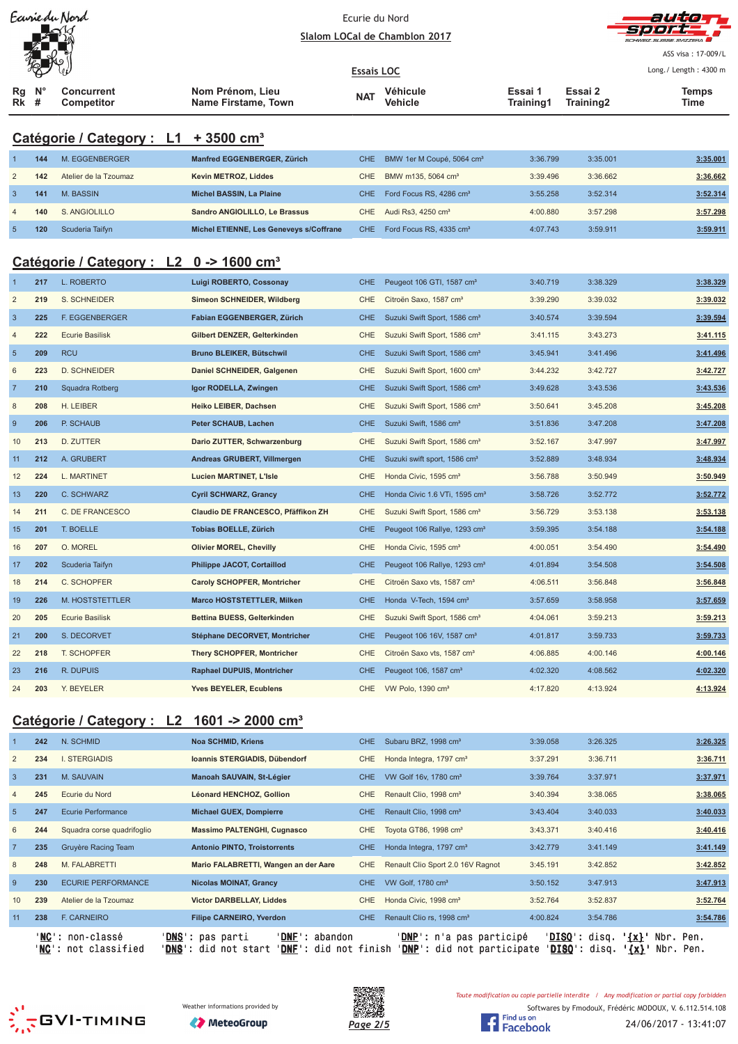|                |     | Earrie du Nord                                         | Ecurie du Nord                                 |                   |                                           |                      |                      | auto                  |
|----------------|-----|--------------------------------------------------------|------------------------------------------------|-------------------|-------------------------------------------|----------------------|----------------------|-----------------------|
|                |     |                                                        |                                                |                   | Slalom LOCal de Chamblon 2017             |                      |                      |                       |
|                |     |                                                        |                                                |                   |                                           |                      |                      | ASS visa: 17-009/L    |
|                |     |                                                        |                                                | <b>Essais LOC</b> |                                           |                      |                      | Long./ Length: 4300 m |
| Rg<br>Rk       | #   | <b>Concurrent</b><br>Competitor                        | Nom Prénom, Lieu<br><b>Name Firstame, Town</b> | <b>NAT</b>        | <b>Véhicule</b><br>Vehicle                | Essai 1<br>Training1 | Essai 2<br>Training2 | <b>Temps</b><br>Time  |
|                |     |                                                        |                                                |                   |                                           |                      |                      |                       |
|                |     | Catégorie / Category : L1 + 3500 cm <sup>3</sup>       |                                                |                   |                                           |                      |                      |                       |
|                | 144 | M. EGGENBERGER                                         | Manfred EGGENBERGER, Zürich                    | <b>CHE</b>        | BMW 1er M Coupé, 5064 cm <sup>3</sup>     | 3:36.799             | 3:35.001             | 3:35.001              |
| $\overline{c}$ | 142 | Atelier de la Tzoumaz                                  | Kevin METROZ, Liddes                           | CHE               | BMW m135, 5064 cm <sup>3</sup>            | 3:39.496             | 3:36.662             | 3:36.662              |
| $\mathbf{3}$   | 141 | M. BASSIN                                              | Michel BASSIN, La Plaine                       | <b>CHE</b>        | Ford Focus RS, 4286 cm <sup>3</sup>       | 3:55.258             | 3:52.314             | 3:52.314              |
| $\overline{4}$ | 140 | S. ANGIOLILLO                                          | Sandro ANGIOLILLO, Le Brassus                  | <b>CHE</b>        | Audi Rs3, 4250 cm <sup>3</sup>            | 4:00.880             | 3:57.298             | 3:57.298              |
| $\overline{5}$ | 120 | Scuderia Taifyn                                        | Michel ETIENNE, Les Geneveys s/Coffrane        | CHE               | Ford Focus RS, 4335 cm <sup>3</sup>       | 4:07.743             | 3:59.911             | 3:59.911              |
|                |     |                                                        |                                                |                   |                                           |                      |                      |                       |
|                |     | Catégorie / Category : L2 0 -> 1600 cm <sup>3</sup>    |                                                |                   |                                           |                      |                      |                       |
|                | 217 | L. ROBERTO                                             | Luigi ROBERTO, Cossonay                        | <b>CHE</b>        | Peugeot 106 GTI, 1587 cm <sup>3</sup>     | 3:40.719             | 3:38.329             | 3:38.329              |
| $\overline{2}$ | 219 | S. SCHNEIDER                                           | Simeon SCHNEIDER, Wildberg                     | <b>CHE</b>        | Citroën Saxo, 1587 cm <sup>3</sup>        | 3:39.290             | 3:39.032             | 3:39.032              |
| $\mathbf{3}$   | 225 | F. EGGENBERGER                                         | Fabian EGGENBERGER, Zürich                     | <b>CHE</b>        | Suzuki Swift Sport, 1586 cm <sup>3</sup>  | 3:40.574             | 3:39.594             | 3:39.594              |
| $\overline{4}$ | 222 | <b>Ecurie Basilisk</b>                                 | Gilbert DENZER, Gelterkinden                   | <b>CHE</b>        | Suzuki Swift Sport, 1586 cm <sup>3</sup>  | 3:41.115             | 3:43.273             | 3:41.115              |
| $\overline{5}$ | 209 | <b>RCU</b>                                             | Bruno BLEIKER, Bütschwil                       | <b>CHE</b>        | Suzuki Swift Sport, 1586 cm <sup>3</sup>  | 3:45.941             | 3:41.496             | 3:41.496              |
| 6              | 223 | <b>D. SCHNEIDER</b>                                    | Daniel SCHNEIDER, Galgenen                     | <b>CHE</b>        | Suzuki Swift Sport, 1600 cm <sup>3</sup>  | 3:44.232             | 3:42.727             | 3:42.727              |
| $\overline{7}$ | 210 | Squadra Rotberg                                        | Igor RODELLA, Zwingen                          | <b>CHE</b>        | Suzuki Swift Sport, 1586 cm <sup>3</sup>  | 3:49.628             | 3:43.536             | 3:43.536              |
| 8              | 208 | H. LEIBER                                              | Heiko LEIBER, Dachsen                          | <b>CHE</b>        | Suzuki Swift Sport, 1586 cm <sup>3</sup>  | 3:50.641             | 3:45.208             | 3:45.208              |
| $\overline{9}$ | 206 | P. SCHAUB                                              | Peter SCHAUB, Lachen                           | <b>CHE</b>        | Suzuki Swift, 1586 cm <sup>3</sup>        | 3:51.836             | 3:47.208             | 3:47.208              |
| 10             | 213 | D. ZUTTER                                              | Dario ZUTTER, Schwarzenburg                    | CHE               | Suzuki Swift Sport, 1586 cm <sup>3</sup>  | 3:52.167             | 3:47.997             | 3:47.997              |
| 11             | 212 | A. GRUBERT                                             | Andreas GRUBERT, Villmergen                    | <b>CHE</b>        | Suzuki swift sport, 1586 cm <sup>3</sup>  | 3:52.889             | 3:48.934             | 3:48.934              |
| 12             | 224 | L. MARTINET                                            | <b>Lucien MARTINET, L'Isle</b>                 | <b>CHE</b>        | Honda Civic, 1595 cm <sup>3</sup>         | 3:56.788             | 3:50.949             | 3:50.949              |
| 13             | 220 | C. SCHWARZ                                             | <b>Cyril SCHWARZ, Grancy</b>                   | <b>CHE</b>        | Honda Civic 1.6 VTi, 1595 cm <sup>3</sup> | 3:58.726             | 3:52.772             | 3:52.772              |
| 14             | 211 | C. DE FRANCESCO                                        | Claudio DE FRANCESCO, Pfäffikon ZH             | CHE               | Suzuki Swift Sport, 1586 cm <sup>3</sup>  | 3:56.729             | 3:53.138             | 3:53.138              |
| 15             | 201 | T. BOELLE                                              | Tobias BOELLE, Zürich                          | <b>CHE</b>        | Peugeot 106 Rallye, 1293 cm <sup>3</sup>  | 3:59.395             | 3:54.188             | 3:54.188              |
| 16             | 207 | O. MOREL                                               | <b>Olivier MOREL, Chevilly</b>                 | CHE               | Honda Civic, 1595 cm <sup>3</sup>         | 4:00.051             | 3:54.490             | 3:54.490              |
| 17             | 202 | Scuderia Taifyn                                        | Philippe JACOT, Cortaillod                     | <b>CHE</b>        | Peugeot 106 Rallye, 1293 cm <sup>3</sup>  | 4:01.894             | 3:54.508             | 3:54.508              |
| 18             | 214 | C. SCHOPFER                                            | <b>Caroly SCHOPFER, Montricher</b>             | <b>CHE</b>        | Citroën Saxo vts, 1587 cm <sup>3</sup>    | 4:06.511             | 3:56.848             | 3:56.848              |
| 19             | 226 | M. HOSTSTETTLER                                        | <b>Marco HOSTSTETTLER, Milken</b>              | <b>CHE</b>        | Honda V-Tech, 1594 cm <sup>3</sup>        | 3:57.659             | 3:58.958             | 3:57.659              |
| 20             | 205 | <b>Ecurie Basilisk</b>                                 | Bettina BUESS, Gelterkinden                    | <b>CHE</b>        | Suzuki Swift Sport, 1586 cm <sup>3</sup>  | 4:04.061             | 3:59.213             | 3:59.213              |
| 21             | 200 | S. DECORVET                                            | Stéphane DECORVET, Montricher                  | <b>CHE</b>        | Peugeot 106 16V, 1587 cm <sup>3</sup>     | 4:01.817             | 3:59.733             | 3:59.733              |
| 22             | 218 | T. SCHOPFER                                            | <b>Thery SCHOPFER, Montricher</b>              | CHE               | Citroën Saxo vts, 1587 cm <sup>3</sup>    | 4:06.885             | 4:00.146             | 4:00.146              |
| 23             | 216 | R. DUPUIS                                              | <b>Raphael DUPUIS, Montricher</b>              | <b>CHE</b>        | Peugeot 106, 1587 cm <sup>3</sup>         | 4:02.320             | 4:08.562             | 4:02.320              |
| 24             | 203 | Y. BEYELER                                             | <b>Yves BEYELER, Ecublens</b>                  | <b>CHE</b>        | VW Polo, 1390 cm <sup>3</sup>             | 4:17.820             | 4:13.924             | 4:13.924              |
|                |     | Catégorie / Category : L2 1601 -> 2000 cm <sup>3</sup> |                                                |                   |                                           |                      |                      |                       |

|                | 242 | N. SCHMID                                | <b>Noa SCHMID, Kriens</b>                                                                              | CHE.       | Subaru BRZ, 1998 cm <sup>3</sup>                                       | 3:39.058 | 3:26.325                                                                                        | 3:26.325 |
|----------------|-----|------------------------------------------|--------------------------------------------------------------------------------------------------------|------------|------------------------------------------------------------------------|----------|-------------------------------------------------------------------------------------------------|----------|
| $\overline{2}$ | 234 | <b>I. STERGIADIS</b>                     | Ioannis STERGIADIS, Dübendorf                                                                          | CHE.       | Honda Integra, 1797 cm <sup>3</sup>                                    | 3:37.291 | 3:36.711                                                                                        | 3:36.711 |
| $\overline{3}$ | 231 | M. SAUVAIN                               | Manoah SAUVAIN, St-Légier                                                                              | CHE.       | VW Golf 16v, 1780 cm <sup>3</sup>                                      | 3:39.764 | 3:37.971                                                                                        | 3:37.971 |
|                | 245 | Ecurie du Nord                           | Léonard HENCHOZ, Gollion                                                                               | <b>CHE</b> | Renault Clio, 1998 cm <sup>3</sup>                                     | 3:40.394 | 3:38.065                                                                                        | 3:38.065 |
| 5              | 247 | Ecurie Performance                       | <b>Michael GUEX, Dompierre</b>                                                                         | CHE.       | Renault Clio, 1998 cm <sup>3</sup>                                     | 3:43.404 | 3:40.033                                                                                        | 3:40.033 |
| 6              | 244 | Squadra corse quadrifoglio               | <b>Massimo PALTENGHI, Cugnasco</b>                                                                     | CHE        | Toyota GT86, 1998 cm <sup>3</sup>                                      | 3:43.371 | 3:40.416                                                                                        | 3:40.416 |
|                | 235 | Gruyère Racing Team                      | <b>Antonio PINTO, Troistorrents</b>                                                                    | CHE.       | Honda Integra, 1797 cm <sup>3</sup>                                    | 3:42.779 | 3:41.149                                                                                        | 3:41.149 |
| 8              | 248 | M. FALABRETTI                            | Mario FALABRETTI, Wangen an der Aare                                                                   | <b>CHE</b> | Renault Clio Sport 2.0 16V Ragnot                                      | 3:45.191 | 3:42.852                                                                                        | 3:42.852 |
| -9             | 230 | <b>ECURIE PERFORMANCE</b>                | <b>Nicolas MOINAT, Grancy</b>                                                                          | CHE.       | VW Golf, 1780 cm <sup>3</sup>                                          | 3:50.152 | 3:47.913                                                                                        | 3:47.913 |
|                | 239 | Atelier de la Tzoumaz                    | <b>Victor DARBELLAY, Liddes</b>                                                                        | CHE.       | Honda Civic, 1998 cm <sup>3</sup>                                      | 3:52.764 | 3:52.837                                                                                        | 3:52.764 |
| 11             | 238 | <b>F. CARNEIRO</b>                       | <b>Filipe CARNEIRO, Yverdon</b>                                                                        | CHE        | Renault Clio rs, 1998 cm <sup>3</sup>                                  | 4:00.824 | 3:54.786                                                                                        | 3:54.786 |
|                |     | 'NC': non-classé<br>'NC': not classified | 'DNF': abandon<br>' <b>DNS</b> ': pas parti<br>DNF'<br>' <b>DNS</b> ': did not start<br>did not finish |            | ' <b>DNP</b> ': n'a pas participé<br><b>'DNP':</b> did not participate |          | $'DISO':$ disq.<br>$\{x\}$ .<br>Nbr. Pen.<br>' <b>DISQ</b> ': disq.<br><u>'{x}</u><br>Nbr. Pen. |          |







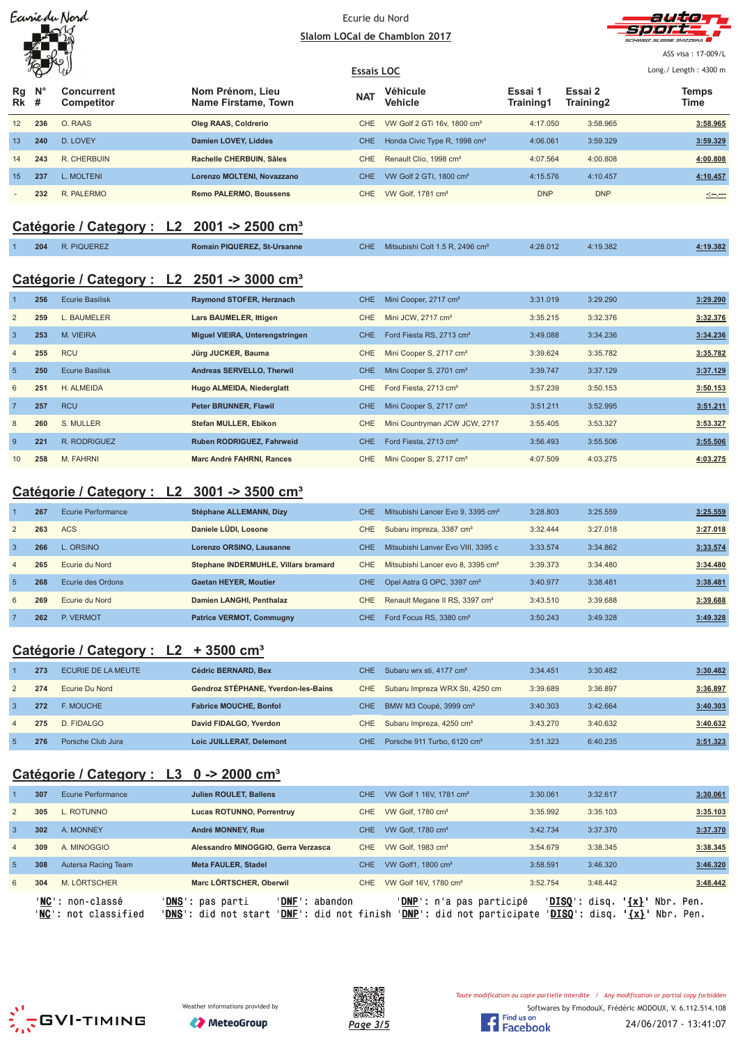| Ecurie du Nord |
|----------------|
|                |
|                |
|                |

#### Ecurie du Nord Slalom LOCal de Chamblon 2017



ASS visa: 17-009/L

#### **Essais LOC** Long./ Length: 4300 m ₩ **Véhicule Essai 1 N° Concurrent Nom Prénom, Lieu Essai 2 Temps Rg The Manufacture of the Contract Level of Training1 Training2 Time Name Firstame, Town Vehicle # Competitor Training2 Rk** 12 **236** O. RAAS **Oleg RAAS, Coldrerio** CHE VW Golf 2 GTi 16v, 1800 cm³ 4:17.050 3:58.965 **3:58.965** 13 **240** D. LOVEY **Damien LOVEY, Liddes** CHE Honda Civic Type R, 1998 cm³ 4:06.061 3:59.329 **3:59.329** 14 **243** R. CHERBUIN **Rachelle CHERBUIN, Sâles** CHE Renault Clio, 1998 cm³ 4:07.564 4:00.808 **4:00.808** 15 **237** L. MOLTENI **Lorenzo MOLTENI, Novazzano** CHE VW Golf 2 GTI, 1800 cm³ 4:15.576 4:10.457 **4:10.457** - **232** R. PALERMO **Remo PALERMO, Boussens** CHE VW Golf, 1781 cm³ DNP DNP **-:--.---**

# **Catégorie / Category : L2 2001 -> 2500 cm³**

| 204 | R. PIQUEREZ | <b>Romain PIQUEREZ, St-Ursanne</b> | CHE. | Mitsubishi Colt 1.5 R, 2496 cm <sup>3</sup> | 4:28.012 | 4:19.382 | 1:19.382 |
|-----|-------------|------------------------------------|------|---------------------------------------------|----------|----------|----------|
|-----|-------------|------------------------------------|------|---------------------------------------------|----------|----------|----------|

# **Catégorie / Category : L2 2501 -> 3000 cm³**

|                | 256 | <b>Ecurie Basilisk</b> | Raymond STOFER, Herznach         | CHE        | Mini Cooper, 2717 cm <sup>3</sup>    | 3:31.019 | 3:29.290 | 3:29.290 |
|----------------|-----|------------------------|----------------------------------|------------|--------------------------------------|----------|----------|----------|
| $\overline{2}$ | 259 | L. BAUMELER            | Lars BAUMELER, Ittigen           | CHE        | Mini JCW, 2717 cm <sup>3</sup>       | 3:35.215 | 3:32.376 | 3:32.376 |
| $\overline{3}$ | 253 | M. VIEIRA              | Miguel VIEIRA, Unterengstringen  | CHE.       | Ford Fiesta RS, 2713 cm <sup>3</sup> | 3:49.088 | 3:34.236 | 3:34.236 |
| $\overline{4}$ | 255 | <b>RCU</b>             | Jürg JUCKER, Bauma               | CHE.       | Mini Cooper S, 2717 cm <sup>3</sup>  | 3:39.624 | 3:35.782 | 3:35.782 |
| 5              | 250 | <b>Ecurie Basilisk</b> | Andreas SERVELLO, Therwil        | CHE.       | Mini Cooper S, 2701 cm <sup>3</sup>  | 3:39.747 | 3:37.129 | 3:37.129 |
| 6              | 251 | H. ALMEIDA             | Hugo ALMEIDA, Niederglatt        | CHE        | Ford Fiesta, 2713 cm <sup>3</sup>    | 3:57.239 | 3:50.153 | 3:50.153 |
| $\overline{7}$ | 257 | <b>RCU</b>             | Peter BRUNNER, Flawil            | <b>CHE</b> | Mini Cooper S, 2717 cm <sup>3</sup>  | 3:51.211 | 3:52.995 | 3:51.211 |
| 8              | 260 | S. MULLER              | Stefan MULLER, Ebikon            | <b>CHE</b> | Mini Countryman JCW JCW, 2717        | 3:55.405 | 3:53.327 | 3:53.327 |
| -9             | 221 | R. RODRIGUEZ           | <b>Ruben RODRIGUEZ, Fahrweid</b> | CHE.       | Ford Fiesta, 2713 cm <sup>3</sup>    | 3:56.493 | 3:55.506 | 3:55.506 |
| 10             | 258 | M. FAHRNI              | Marc André FAHRNI, Rances        | <b>CHE</b> | Mini Cooper S, 2717 cm <sup>3</sup>  | 4:07.509 | 4:03.275 | 4:03.275 |

# **Catégorie / Category : L2 3001 -> 3500 cm³**

|                | 267 | Ecurie Performance | Stéphane ALLEMANN, Dizy              | <b>CHE</b> | Mitsubishi Lancer Evo 9, 3395 cm <sup>3</sup> | 3:28.803 | 3:25.559 | 3:25.559 |
|----------------|-----|--------------------|--------------------------------------|------------|-----------------------------------------------|----------|----------|----------|
| $\overline{2}$ | 263 | <b>ACS</b>         | Daniele LÜDI, Losone                 | CHE        | Subaru impreza, 3387 cm <sup>3</sup>          | 3:32.444 | 3:27.018 | 3:27.018 |
| 3              | 266 | L. ORSINO          | Lorenzo ORSINO, Lausanne             | <b>CHE</b> | Mitsubishi Lanver Evo VIII, 3395 c            | 3:33.574 | 3:34.862 | 3:33.574 |
| $\overline{4}$ | 265 | Ecurie du Nord     | Stephane INDERMUHLE, Villars bramard | CHE.       | Mitsubishi Lancer evo 8, 3395 cm <sup>3</sup> | 3:39.373 | 3:34.480 | 3:34.480 |
| $\overline{5}$ | 268 | Ecurie des Ordons  | <b>Gaetan HEYER, Moutier</b>         | CHE.       | Opel Astra G OPC, 3397 cm <sup>3</sup>        | 3:40.977 | 3:38.481 | 3:38.481 |
| 6              | 269 | Ecurie du Nord     | Damien LANGHI, Penthalaz             | CHE        | Renault Megane II RS, 3397 cm <sup>3</sup>    | 3:43.510 | 3:39.688 | 3:39.688 |
|                | 262 | P. VERMOT          | <b>Patrice VERMOT, Commugny</b>      | <b>CHE</b> | Ford Focus RS, 3380 cm <sup>3</sup>           | 3:50.243 | 3:49.328 | 3:49.328 |

# **Catégorie / Category : L2 + 3500 cm³**

|                | 273 | ECURIE DE LA MEUTE | <b>Cédric BERNARD, Bex</b>          | CHE I | Subaru wrx sti, 4177 cm <sup>3</sup>        | 3:34.451 | 3:30.482 | 3:30.482 |
|----------------|-----|--------------------|-------------------------------------|-------|---------------------------------------------|----------|----------|----------|
| $\sqrt{2}$     | 274 | Ecurie Du Nord     | Gendroz STÉPHANE, Yverdon-les-Bains |       | CHE Subaru Impreza WRX Sti, 4250 cm         | 3:39.689 | 3:36.897 | 3:36.897 |
| 3              | 272 | F. MOUCHE          | <b>Fabrice MOUCHE, Bonfol</b>       |       | CHE BMW M3 Coupé, 3999 cm <sup>3</sup>      | 3:40.303 | 3:42.664 | 3:40.303 |
| $\overline{4}$ | 275 | D. FIDALGO         | David FIDALGO, Yverdon              | CHE   | Subaru Impreza, 4250 cm <sup>3</sup>        | 3:43.270 | 3:40.632 | 3:40.632 |
| -5             | 276 | Porsche Club Jura  | Loic JUILLERAT, Delemont            |       | CHE Porsche 911 Turbo, 6120 cm <sup>3</sup> | 3:51.323 | 6:40.235 | 3:51.323 |

# **Catégorie / Category : L3 0 -> 2000 cm³**

|                | 307 | Ecurie Performance                                        | <b>Julien ROULET, Ballens</b>                                                                                         | CHE. | VW Golf 1 16V, 1781 cm <sup>3</sup>                                      | 3:30.061                         | 3:32.617                                       | 3:30.061 |
|----------------|-----|-----------------------------------------------------------|-----------------------------------------------------------------------------------------------------------------------|------|--------------------------------------------------------------------------|----------------------------------|------------------------------------------------|----------|
| $\overline{2}$ | 305 | L. ROTUNNO                                                | Lucas ROTUNNO, Porrentruy                                                                                             | CHE  | VW Golf, 1780 cm <sup>3</sup>                                            | 3:35.992                         | 3:35.103                                       | 3:35.103 |
| 3              | 302 | A. MONNEY                                                 | André MONNEY, Rue                                                                                                     | CHE. | VW Golf. 1780 cm <sup>3</sup>                                            | 3:42.734                         | 3:37.370                                       | 3:37.370 |
| $\overline{4}$ | 309 | A. MINOGGIO                                               | Alessandro MINOGGIO, Gerra Verzasca                                                                                   | CHE  | VW Golf, 1983 cm <sup>3</sup>                                            | 3:54.679                         | 3:38.345                                       | 3:38.345 |
| $\overline{5}$ | 308 | Autersa Racing Team                                       | <b>Meta FAULER, Stadel</b>                                                                                            | CHE. | VW Golf1, 1800 cm <sup>3</sup>                                           | 3:58.591                         | 3:46.320                                       | 3:46.320 |
| 6              | 304 | M. LÖRTSCHER                                              | Marc LÖRTSCHER, Oberwil                                                                                               | CHE  | VW Golf 16V, 1780 cm <sup>3</sup>                                        | 3:52.754                         | 3:48.442                                       | 3:48.442 |
|                |     | ' <b>NC</b> ': non-classé<br>' <b>NC':</b> not classified | ' <b>DNS</b> ': pas parti<br>' <b>DNF</b> ': abandon<br><b>DNF</b> ': did not finish<br>' <b>DNS</b> ': did not start |      | ' <b>DNP</b> ': n'a pas participé<br>' <b>DNP</b> ': did not participate | 'DISO': disq.<br>$'DISO':$ disq. | Nbr. Pen.<br>$\{x\}$<br>Nbr. Pen.<br>$\{x\}$ . |          |



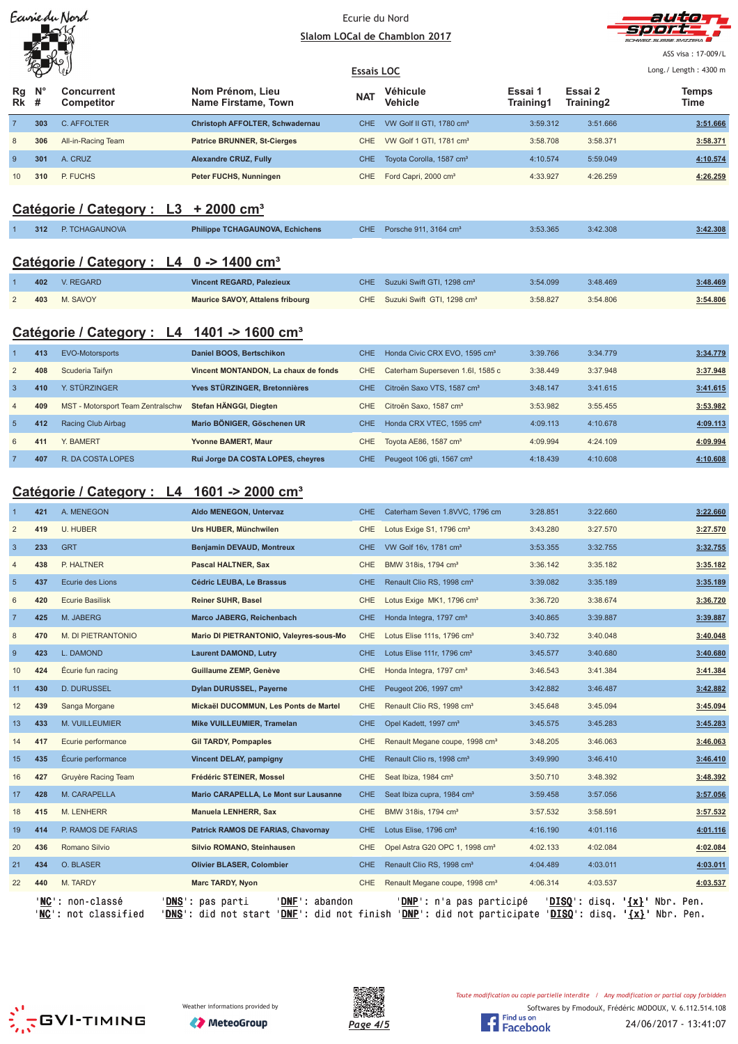| Earrie du Nord                   |            |                                                        |                                                                                                                                                        |                   | Ecurie du Nord                                                                      |                      |                      | auna                                   |
|----------------------------------|------------|--------------------------------------------------------|--------------------------------------------------------------------------------------------------------------------------------------------------------|-------------------|-------------------------------------------------------------------------------------|----------------------|----------------------|----------------------------------------|
|                                  |            |                                                        | Slalom LOCal de Chamblon 2017                                                                                                                          |                   |                                                                                     |                      |                      | ASS visa: 17-009/L                     |
|                                  |            |                                                        | <b>Essais LOC</b>                                                                                                                                      |                   | Long./ Length: 4300 m                                                               |                      |                      |                                        |
| Rg<br>Rk                         | #          | <b>Concurrent</b><br>Competitor                        | Nom Prénom, Lieu<br>Name Firstame, Town                                                                                                                | NAT               | Véhicule<br>Vehicle                                                                 | Essai 1<br>Training1 | Essai 2<br>Training2 | <b>Temps</b><br>Time                   |
| 7                                | 303        | C. AFFOLTER                                            | Christoph AFFOLTER, Schwadernau                                                                                                                        | <b>CHE</b>        | VW Golf II GTI, 1780 cm <sup>3</sup>                                                | 3:59.312             | 3:51.666             | 3:51.666                               |
| 8                                | 306        | All-in-Racing Team                                     | <b>Patrice BRUNNER, St-Cierges</b>                                                                                                                     | <b>CHE</b>        | VW Golf 1 GTI, 1781 cm <sup>3</sup>                                                 | 3:58.708             | 3:58.371             | 3:58.371                               |
| 9                                | 301        | A. CRUZ                                                | <b>Alexandre CRUZ, Fully</b>                                                                                                                           | <b>CHE</b>        | Toyota Corolla, 1587 cm <sup>3</sup>                                                | 4:10.574             | 5:59.049             | 4:10.574                               |
| 10                               | 310        | P. FUCHS                                               | Peter FUCHS, Nunningen                                                                                                                                 | <b>CHE</b>        | Ford Capri, 2000 cm <sup>3</sup>                                                    | 4:33.927             | 4:26.259             | 4:26.259                               |
|                                  |            | Catégorie / Category : L3 + 2000 cm <sup>3</sup>       |                                                                                                                                                        |                   |                                                                                     |                      |                      |                                        |
|                                  | 312        | P. TCHAGAUNOVA                                         | <b>Philippe TCHAGAUNOVA, Echichens</b>                                                                                                                 | CHE.              | Porsche 911, 3164 cm <sup>3</sup>                                                   | 3:53.365             | 3:42.308             | 3:42.308                               |
|                                  |            |                                                        |                                                                                                                                                        |                   |                                                                                     |                      |                      |                                        |
|                                  |            | Catégorie / Category : L4 0 -> 1400 cm <sup>3</sup>    |                                                                                                                                                        |                   |                                                                                     |                      |                      |                                        |
|                                  | 402        | V. REGARD                                              | <b>Vincent REGARD, Palezieux</b>                                                                                                                       | <b>CHE</b>        | Suzuki Swift GTI, 1298 cm <sup>3</sup>                                              | 3:54.099             | 3:48.469             | 3:48.469                               |
| $\overline{2}$                   | 403        | M. SAVOY                                               | <b>Maurice SAVOY, Attalens fribourg</b>                                                                                                                | CHE.              | Suzuki Swift GTI, 1298 cm <sup>3</sup>                                              | 3:58.827             | 3:54.806             | 3:54.806                               |
|                                  |            | Catégorie / Category : L4 1401 -> 1600 cm <sup>3</sup> |                                                                                                                                                        |                   |                                                                                     |                      |                      |                                        |
|                                  |            |                                                        |                                                                                                                                                        |                   |                                                                                     |                      |                      |                                        |
|                                  | 413        | <b>EVO-Motorsports</b>                                 | Daniel BOOS, Bertschikon                                                                                                                               | <b>CHE</b>        | Honda Civic CRX EVO, 1595 cm <sup>3</sup>                                           | 3:39.766             | 3:34.779             | 3:34.779                               |
| $\overline{2}$                   | 408        | Scuderia Taifyn                                        | Vincent MONTANDON, La chaux de fonds                                                                                                                   | <b>CHE</b>        | Caterham Superseven 1.6I, 1585 c                                                    | 3:38.449             | 3:37.948             | 3:37.948                               |
| 3                                | 410        | Y. STÜRZINGER                                          | Yves STÜRZINGER, Bretonnières                                                                                                                          | <b>CHE</b>        | Citroën Saxo VTS, 1587 cm <sup>3</sup>                                              | 3:48.147             | 3:41.615             | 3:41.615                               |
| $\overline{4}$<br>$\overline{5}$ | 409<br>412 | MST - Motorsport Team Zentralschw                      | Stefan HÄNGGI, Diegten<br>Mario BÖNIGER, Göschenen UR                                                                                                  | CHE<br><b>CHE</b> | Citroën Saxo, 1587 cm <sup>3</sup>                                                  | 3:53.982             | 3:55.455             | 3:53.982                               |
| 6                                | 411        | Racing Club Airbag<br>Y. BAMERT                        | Yvonne BAMERT, Maur                                                                                                                                    |                   | Honda CRX VTEC, 1595 cm <sup>3</sup>                                                | 4:09.113<br>4:09.994 | 4:10.678<br>4:24.109 | 4:09.113<br>4:09.994                   |
| 7                                | 407        | R. DA COSTA LOPES                                      | Rui Jorge DA COSTA LOPES, cheyres                                                                                                                      | CHE<br><b>CHE</b> | Toyota AE86, 1587 cm <sup>3</sup><br>Peugeot 106 gti, 1567 cm <sup>3</sup>          | 4:18.439             | 4:10.608             | 4:10.608                               |
|                                  |            |                                                        |                                                                                                                                                        |                   |                                                                                     |                      |                      |                                        |
|                                  |            | Catégorie / Category : L4 1601 -> 2000 cm <sup>3</sup> |                                                                                                                                                        |                   |                                                                                     |                      |                      |                                        |
|                                  | 421        | A. MENEGON                                             | Aldo MENEGON, Untervaz                                                                                                                                 | <b>CHE</b>        | Caterham Seven 1.8VVC, 1796 cm                                                      | 3:28.851             | 3:22.660             | 3:22.660                               |
| $\overline{2}$                   | 419        | U. HUBER                                               | Urs HUBER, Münchwilen                                                                                                                                  | CHE.              | Lotus Exige S1, 1796 cm <sup>3</sup>                                                | 3:43.280             | 3:27.570             | 3:27.570                               |
| 3                                | 233        | <b>GRT</b>                                             | Benjamin DEVAUD, Montreux                                                                                                                              | CHE               | VW Golf 16v, 1781 cm <sup>3</sup>                                                   | 3:53.355             | 3:32.755             | 3:32.755                               |
|                                  | 438        | P. HALTNER                                             | Pascal HALTNER, Sax                                                                                                                                    | CHE               | BMW 318is, 1794 cm <sup>3</sup>                                                     | 3:36.142             | 3:35.182             | 3:35.182                               |
| $\overline{5}$                   | 437        | Ecurie des Lions                                       | Cédric LEUBA, Le Brassus                                                                                                                               | <b>CHE</b>        | Renault Clio RS, 1998 cm <sup>3</sup>                                               | 3:39.082             | 3:35.189             | 3:35.189                               |
| 6                                | 420        | <b>Ecurie Basilisk</b>                                 | <b>Reiner SUHR, Basel</b>                                                                                                                              | CHE               | Lotus Exige MK1, 1796 cm <sup>3</sup>                                               | 3:36.720             | 3:38.674             | 3:36.720                               |
| $\overline{7}$                   | 425        | M. JABERG                                              | Marco JABERG, Reichenbach                                                                                                                              | <b>CHE</b>        | Honda Integra, 1797 cm <sup>3</sup>                                                 | 3:40.865             | 3:39.887             | 3:39.887                               |
| 8                                | 470        | M. DI PIETRANTONIO                                     | Mario DI PIETRANTONIO, Valeyres-sous-Mo                                                                                                                | <b>CHE</b>        | Lotus Elise 111s, 1796 cm <sup>3</sup>                                              | 3:40.732             | 3:40.048             | 3:40.048                               |
| $\boldsymbol{9}$                 | 423        | L. DAMOND                                              | <b>Laurent DAMOND, Lutry</b>                                                                                                                           | <b>CHE</b>        | Lotus Elise 111r, 1796 cm <sup>3</sup>                                              | 3:45.577             | 3:40.680             | 3:40.680                               |
| 10                               | 424        | Écurie fun racing                                      | Guillaume ZEMP, Genève                                                                                                                                 | CHE               | Honda Integra, 1797 cm <sup>3</sup>                                                 | 3:46.543             | 3:41.384             | 3:41.384                               |
| 11                               | 430        | <b>D. DURUSSEL</b>                                     | Dylan DURUSSEL, Payerne                                                                                                                                | <b>CHE</b>        | Peugeot 206, 1997 cm <sup>3</sup>                                                   | 3:42.882             | 3:46.487             | 3:42.882                               |
| 12                               | 439        | Sanga Morgane                                          | Mickaël DUCOMMUN, Les Ponts de Martel                                                                                                                  | CHE               | Renault Clio RS, 1998 cm <sup>3</sup>                                               | 3:45.648             | 3:45.094             | 3:45.094                               |
| 13                               | 433        | M. VUILLEUMIER                                         | Mike VUILLEUMIER, Tramelan                                                                                                                             | <b>CHE</b>        | Opel Kadett, 1997 cm <sup>3</sup>                                                   | 3:45.575             | 3:45.283             | 3:45.283                               |
| 14                               | 417        | Ecurie performance                                     | <b>Gil TARDY, Pompaples</b>                                                                                                                            | CHE               | Renault Megane coupe, 1998 cm <sup>3</sup>                                          | 3:48.205             | 3:46.063             | 3:46.063                               |
| 15                               | 435        | Écurie performance                                     | <b>Vincent DELAY, pampigny</b>                                                                                                                         | <b>CHE</b>        | Renault Clio rs, 1998 cm <sup>3</sup>                                               | 3:49.990             | 3:46.410             | 3:46.410                               |
| 16                               | 427        | Gruyère Racing Team                                    | Frédéric STEINER, Mossel                                                                                                                               | <b>CHE</b>        | Seat Ibiza, 1984 cm <sup>3</sup>                                                    | 3:50.710             | 3:48.392             | 3:48.392                               |
| 17                               | 428        | M. CARAPELLA                                           | Mario CARAPELLA, Le Mont sur Lausanne                                                                                                                  | <b>CHE</b>        | Seat Ibiza cupra, 1984 cm <sup>3</sup>                                              | 3:59.458             | 3:57.056             | 3:57.056                               |
| 18                               | 415        | M. LENHERR                                             | <b>Manuela LENHERR, Sax</b>                                                                                                                            | CHE               | BMW 318is, 1794 cm <sup>3</sup>                                                     | 3:57.532             | 3:58.591             | 3:57.532                               |
| 19                               | 414        | P. RAMOS DE FARIAS                                     | Patrick RAMOS DE FARIAS, Chavornay                                                                                                                     | <b>CHE</b>        | Lotus Elise, 1796 cm <sup>3</sup>                                                   | 4:16.190             | 4:01.116             | 4:01.116                               |
| 20                               | 436        | Romano Silvio                                          | Silvio ROMANO, Steinhausen                                                                                                                             | CHE<br><b>CHE</b> | Opel Astra G20 OPC 1, 1998 cm <sup>3</sup>                                          | 4:02.133             | 4:02.084             | 4:02.084                               |
| 21<br>22                         | 434<br>440 | O. BLASER<br>M. TARDY                                  | <b>Olivier BLASER, Colombier</b><br>Marc TARDY, Nyon                                                                                                   | CHE               | Renault Clio RS, 1998 cm <sup>3</sup><br>Renault Megane coupe, 1998 cm <sup>3</sup> | 4:04.489<br>4:06.314 | 4:03.011<br>4:03.537 | 4:03.011<br>4:03.537                   |
|                                  |            | 'NC': non-classé                                       | 'DNE': abandon<br>' <u>DNS</u> ': pas parti                                                                                                            |                   | ' <u>DNP</u> ': n'a pas participé                                                   |                      |                      | 'DISQ': disq. ' <u>{x}</u> ' Nbr. Pen. |
|                                  |            | 'NC': not classified                                   | ' <mark>DNS</mark> ': did not start ' <u>DNF</u> ': did not finish ' <u>DNP</u> ': did not participate ' <u>DISQ</u> ': disq. ' <u>{x}</u> ' Nbr. Pen. |                   |                                                                                     |                      |                      |                                        |





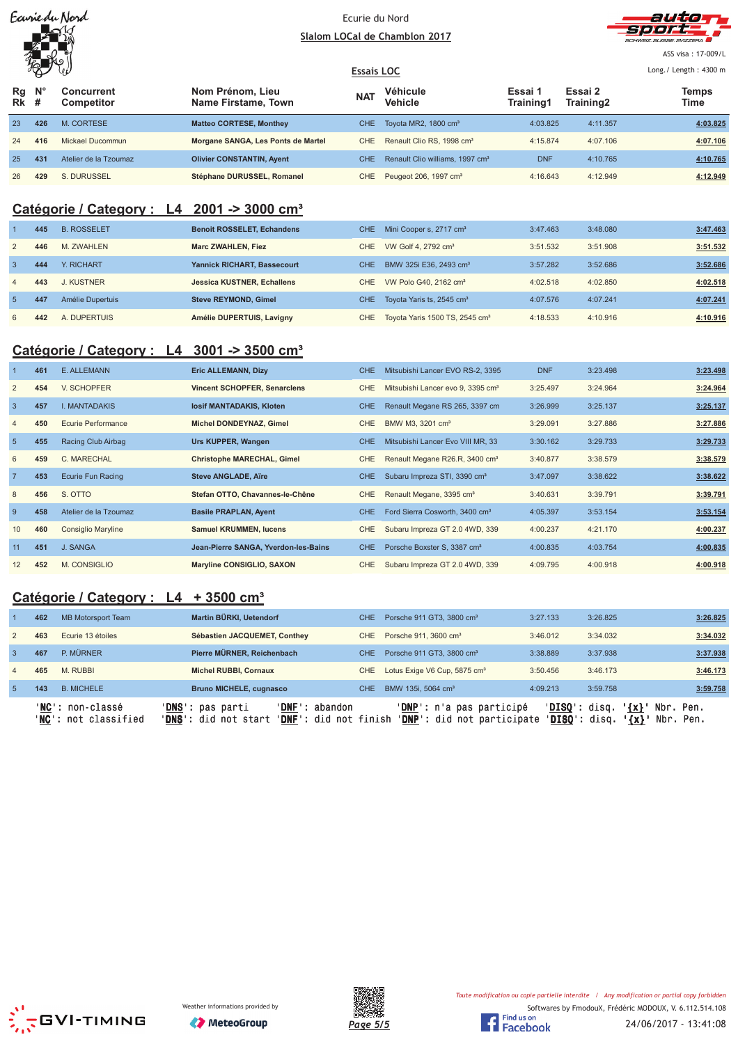| Earriedu Nord |  |  |
|---------------|--|--|
|               |  |  |
|               |  |  |
|               |  |  |

#### Ecurie du Nord Slalom LOCal de Chamblon 2017



ASS visa: 17-009/L

#### **Essais LOC** Long./ Length: 4300 m Ð **N° Nom Prénom, Lieu Véhicule Essai 1 Essai 2 Concurrent Temps Rg The MAT**<br> **Training1 Training2** Training2 Time **Competitor Name Firstame, Town Vehicle Training1 # Rk** 23 **426** M. CORTESE **Matteo CORTESE, Monthey** CHE Toyota MR2, 1800 cm³ 4:03.825 4:11.357 **4:03.825** 24 **416** Mickael Ducommun **Morgane SANGA, Les Ponts de Martel** CHE Renault Clio RS, 1998 cm³ 4:15.874 4:07.106 **4:07.106** 25 **431** Atelier de la Tzoumaz **Olivier CONSTANTIN, Ayent** CHE Renault Clio williams, 1997 cm<sup>3</sup> DNF 4:10.765 4:10.765 26 **429** S. DURUSSEL **Stéphane DURUSSEL, Romanel** CHE Peugeot 206, 1997 cm³ 4:16.643 4:12.949 **4:12.949**

# **Catégorie / Category : L4 2001 -> 3000 cm³**

|                | 445 | <b>B. ROSSELET</b> | <b>Benoit ROSSELET, Echandens</b>  | CHE.  | Mini Cooper s, 2717 cm <sup>3</sup>        | 3:47.463 | 3:48.080 | 3:47.463 |
|----------------|-----|--------------------|------------------------------------|-------|--------------------------------------------|----------|----------|----------|
| 2              | 446 | M. ZWAHLEN         | <b>Marc ZWAHLEN, Fiez</b>          | CHE 1 | VW Golf 4, 2792 cm <sup>3</sup>            | 3:51.532 | 3:51.908 | 3:51.532 |
| -3             | 444 | Y. RICHART         | <b>Yannick RICHART, Bassecourt</b> | CHE.  | BMW 325i E36, 2493 cm <sup>3</sup>         | 3:57.282 | 3:52.686 | 3:52.686 |
| $\overline{4}$ | 443 | J. KUSTNER         | <b>Jessica KUSTNER, Echallens</b>  | CHE.  | VW Polo G40, 2162 cm <sup>3</sup>          | 4:02.518 | 4:02.850 | 4:02.518 |
| -5             | 447 | Amélie Dupertuis   | <b>Steve REYMOND, Gimel</b>        | CHE.  | Toyota Yaris ts, 2545 cm <sup>3</sup>      | 4:07.576 | 4:07.241 | 4:07.241 |
| 6              | 442 | A. DUPERTUIS       | Amélie DUPERTUIS, Lavigny          | CHE.  | Toyota Yaris 1500 TS, 2545 cm <sup>3</sup> | 4:18.533 | 4:10.916 | 4:10.916 |

# **Catégorie / Category : L4 3001 -> 3500 cm³**

|                | 461 | E. ALLEMANN               | <b>Eric ALLEMANN, Dizy</b>           | CHE.       | Mitsubishi Lancer EVO RS-2, 3395              | <b>DNF</b> | 3:23.498 | 3:23.498 |
|----------------|-----|---------------------------|--------------------------------------|------------|-----------------------------------------------|------------|----------|----------|
| 2              | 454 | V. SCHOPFER               | <b>Vincent SCHOPFER, Senarclens</b>  | CHE        | Mitsubishi Lancer evo 9, 3395 cm <sup>3</sup> | 3:25.497   | 3:24.964 | 3:24.964 |
| $\overline{3}$ | 457 | <b>I. MANTADAKIS</b>      | losif MANTADAKIS, Kloten             | <b>CHE</b> | Renault Megane RS 265, 3397 cm                | 3:26.999   | 3:25.137 | 3:25.137 |
| $\overline{4}$ | 450 | Ecurie Performance        | Michel DONDEYNAZ, Gimel              | <b>CHE</b> | BMW M3, 3201 cm <sup>3</sup>                  | 3:29.091   | 3:27.886 | 3:27.886 |
| 5              | 455 | Racing Club Airbag        | Urs KUPPER, Wangen                   | <b>CHE</b> | Mitsubishi Lancer Evo VIII MR, 33             | 3:30.162   | 3:29.733 | 3:29.733 |
| 6              | 459 | C. MARECHAL               | <b>Christophe MARECHAL, Gimel</b>    | <b>CHE</b> | Renault Megane R26.R, 3400 cm <sup>3</sup>    | 3:40.877   | 3:38.579 | 3:38.579 |
| $\overline{7}$ | 453 | <b>Ecurie Fun Racing</b>  | <b>Steve ANGLADE, Aïre</b>           | CHE.       | Subaru Impreza STI, 3390 cm <sup>3</sup>      | 3:47.097   | 3:38.622 | 3:38.622 |
| 8              | 456 | S. OTTO                   | Stefan OTTO, Chavannes-le-Chêne      | <b>CHE</b> | Renault Megane, 3395 cm <sup>3</sup>          | 3:40.631   | 3:39.791 | 3:39.791 |
| -9             | 458 | Atelier de la Tzoumaz     | <b>Basile PRAPLAN, Ayent</b>         | <b>CHE</b> | Ford Sierra Cosworth, 3400 cm <sup>3</sup>    | 4:05.397   | 3:53.154 | 3:53.154 |
| 10             | 460 | <b>Consiglio Maryline</b> | <b>Samuel KRUMMEN, lucens</b>        | <b>CHE</b> | Subaru Impreza GT 2.0 4WD, 339                | 4:00.237   | 4:21.170 | 4:00.237 |
| 11             | 451 | J. SANGA                  | Jean-Pierre SANGA, Yverdon-les-Bains | CHE.       | Porsche Boxster S, 3387 cm <sup>3</sup>       | 4:00.835   | 4:03.754 | 4:00.835 |
| 12             | 452 | M. CONSIGLIO              | Maryline CONSIGLIO, SAXON            | <b>CHE</b> | Subaru Impreza GT 2.0 4WD, 339                | 4:09.795   | 4:00.918 | 4:00.918 |

# **Catégorie / Category : L4 + 3500 cm³**

|                |     | 'NC': non-classé<br>' <b>NC':</b> not classified | ' <b>DNS</b> ': pas parti<br><b>DNF</b><br>'DNS': did not start ' | abandon<br>' <b>DNF</b> ': did not finish | ' <b>DNP</b> ': n'a pas participé<br>'DNP': did not participate | 'DISO':  | ' <b>DISO</b> ': disq.<br>$\{x\}$<br>disq.<br>$\{x\}$ | Nbr. Pen.<br>Nbr. Pen. |
|----------------|-----|--------------------------------------------------|-------------------------------------------------------------------|-------------------------------------------|-----------------------------------------------------------------|----------|-------------------------------------------------------|------------------------|
| -5             | 143 | <b>B. MICHELE</b>                                | <b>Bruno MICHELE, cugnasco</b>                                    | CHE.                                      | BMW 135i, 5064 cm <sup>3</sup>                                  | 4:09.213 | 3:59.758                                              | 3:59.758               |
| $\overline{4}$ | 465 | M. RUBBI                                         | <b>Michel RUBBI, Cornaux</b>                                      | CHE.                                      | Lotus Exige V6 Cup, 5875 cm <sup>3</sup>                        | 3:50.456 | 3:46.173                                              | 3:46.173               |
| -3             | 467 | P. MÜRNER                                        | Pierre MÜRNER, Reichenbach                                        | CHE.                                      | Porsche 911 GT3, 3800 cm <sup>3</sup>                           | 3:38.889 | 3:37.938                                              | 3:37.938               |
| 2              | 463 | Ecurie 13 étoiles                                | Sébastien JACQUEMET, Conthey                                      | CHE                                       | Porsche 911, 3600 cm <sup>3</sup>                               | 3:46.012 | 3:34.032                                              | 3:34.032               |
|                | 462 | MB Motorsport Team                               | Martin BÜRKI, Uetendorf                                           | CHE.                                      | Porsche 911 GT3, 3800 cm <sup>3</sup>                           | 3:27.133 | 3:26.825                                              | 3:26.825               |





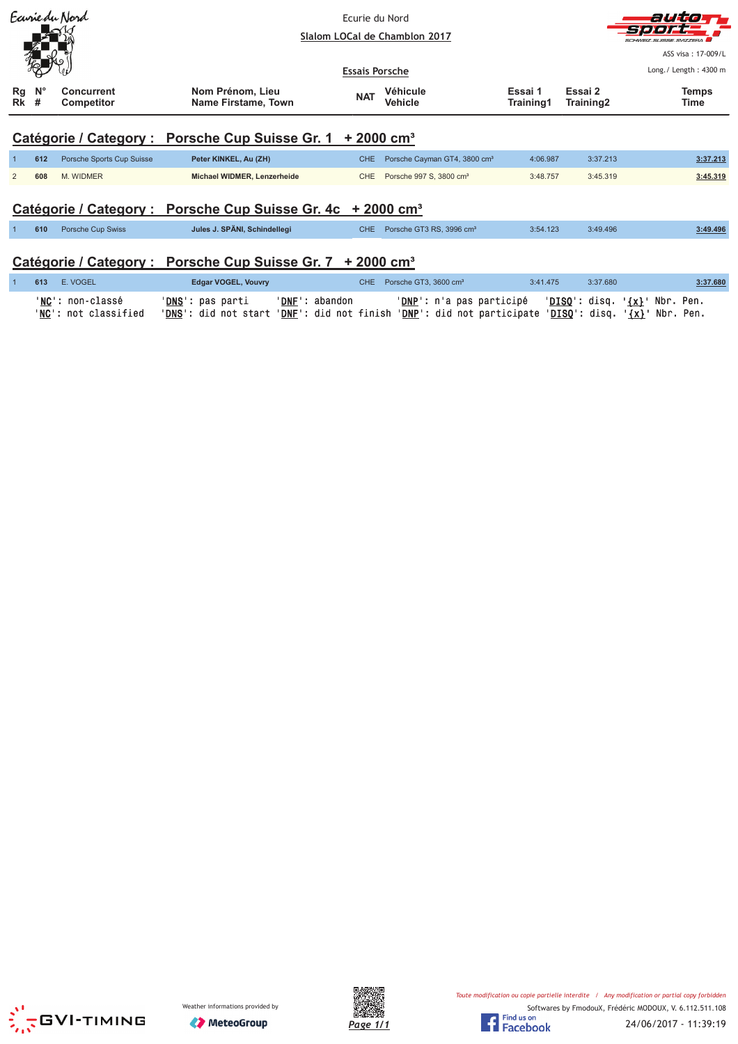| Earriedu Nord  |                                                                        |                                        |                                         | Ecurie du Nord<br>Slalom LOCal de Chamblon 2017 |                                          |                                              |          |                       |  |  |
|----------------|------------------------------------------------------------------------|----------------------------------------|-----------------------------------------|-------------------------------------------------|------------------------------------------|----------------------------------------------|----------|-----------------------|--|--|
|                |                                                                        |                                        |                                         | <b>Essais Porsche</b>                           |                                          |                                              |          | Long./ Length: 4300 m |  |  |
| Rg<br>Rk       | $N^{\circ}$<br>#                                                       | <b>Concurrent</b><br><b>Competitor</b> | Nom Prénom, Lieu<br>Name Firstame, Town | <b>NAT</b>                                      | <b>Véhicule</b><br><b>Vehicle</b>        | Essai 1<br>Essai 2<br>Training1<br>Training2 |          | <b>Temps</b><br>Time  |  |  |
|                | Catégorie / Category : Porsche Cup Suisse Gr. 1 + 2000 cm <sup>3</sup> |                                        |                                         |                                                 |                                          |                                              |          |                       |  |  |
|                | 612                                                                    | Porsche Sports Cup Suisse              | Peter KINKEL, Au (ZH)                   | CHE.                                            | Porsche Cayman GT4, 3800 cm <sup>3</sup> | 4:06.987                                     | 3:37.213 | 3:37.213              |  |  |
| $\overline{2}$ | 608                                                                    | M. WIDMER                              | Michael WIDMER, Lenzerheide             | CHE                                             | Porsche 997 S, 3800 cm <sup>3</sup>      | 3:48.757                                     | 3:45.319 | 3:45.319              |  |  |
|                |                                                                        |                                        |                                         |                                                 |                                          |                                              |          |                       |  |  |

# Catégorie / Category : Porsche Cup Suisse Gr. 4c + 2000 cm<sup>3</sup>

| 610 | Porsche Cup Swiss | Jules J. SPÄNI, Schindellegi                                           | CHE Porsche GT3 RS, 3996 cm <sup>3</sup> | 3:54.123 | 3:49.496 | 3:49.496 |
|-----|-------------------|------------------------------------------------------------------------|------------------------------------------|----------|----------|----------|
|     |                   | Catégorie / Category : Porsche Cup Suisse Gr. 7 + 2000 cm <sup>3</sup> |                                          |          |          |          |

#### **613** E. VOGEL Edgar VOGEL, Vouvry CHE Porsche GT3, 3600 cm<sup>3</sup>  $3:41.475$ 3:37.680 3:37.680  $\overline{1}$ '<mark>DNS</mark>': pas parti '<u>DNF</u>': abandon '<u>DNP</u>': n'a pas participé '<u>DISQ</u>': disq. '{x}' Nbr. Pen.<br>'<u>DNS</u>': did not start '<u>DNF</u>': did not finish '<u>DNP</u>': did not participate '<u>DISQ</u>': disq. '{x}' Nbr. Pen. 'NC': non-classé '<u>NC</u>': not classified